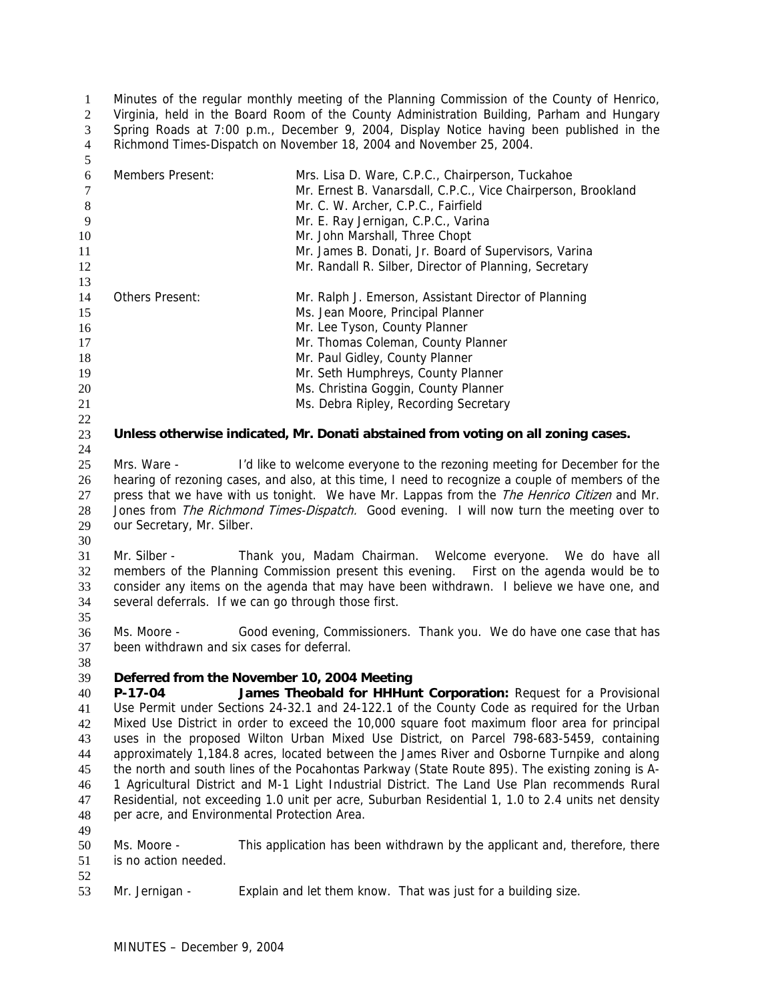Minutes of the regular monthly meeting of the Planning Commission of the County of Henrico, Virginia, held in the Board Room of the County Administration Building, Parham and Hungary Spring Roads at 7:00 p.m., December 9, 2004, Display Notice having been published in the Richmond Times-Dispatch on November 18, 2004 and November 25, 2004. 1 2 3 4 5

| $6\,$            | <b>Members Present:</b>                      | Mrs. Lisa D. Ware, C.P.C., Chairperson, Tuckahoe                                                   |
|------------------|----------------------------------------------|----------------------------------------------------------------------------------------------------|
| $\boldsymbol{7}$ |                                              | Mr. Ernest B. Vanarsdall, C.P.C., Vice Chairperson, Brookland                                      |
| $\,8\,$          |                                              | Mr. C. W. Archer, C.P.C., Fairfield                                                                |
| 9                |                                              | Mr. E. Ray Jernigan, C.P.C., Varina                                                                |
| 10               |                                              | Mr. John Marshall, Three Chopt                                                                     |
| 11               |                                              | Mr. James B. Donati, Jr. Board of Supervisors, Varina                                              |
| 12               |                                              | Mr. Randall R. Silber, Director of Planning, Secretary                                             |
| 13               |                                              |                                                                                                    |
| 14               | Others Present:                              | Mr. Ralph J. Emerson, Assistant Director of Planning                                               |
| 15               |                                              | Ms. Jean Moore, Principal Planner                                                                  |
| 16               |                                              | Mr. Lee Tyson, County Planner                                                                      |
| 17               |                                              | Mr. Thomas Coleman, County Planner                                                                 |
| 18               |                                              | Mr. Paul Gidley, County Planner                                                                    |
| 19               |                                              | Mr. Seth Humphreys, County Planner                                                                 |
| 20               |                                              | Ms. Christina Goggin, County Planner                                                               |
| 21               |                                              | Ms. Debra Ripley, Recording Secretary                                                              |
| 22               |                                              |                                                                                                    |
| 23               |                                              | Unless otherwise indicated, Mr. Donati abstained from voting on all zoning cases.                  |
| 24               |                                              |                                                                                                    |
| 25               | Mrs. Ware -                                  | I'd like to welcome everyone to the rezoning meeting for December for the                          |
| 26               |                                              | hearing of rezoning cases, and also, at this time, I need to recognize a couple of members of the  |
| 27               |                                              | press that we have with us tonight. We have Mr. Lappas from the The Henrico Citizen and Mr.        |
| $28\,$           |                                              | Jones from The Richmond Times-Dispatch. Good evening. I will now turn the meeting over to          |
|                  |                                              |                                                                                                    |
| 29               | our Secretary, Mr. Silber.                   |                                                                                                    |
| 30               |                                              |                                                                                                    |
| 31               | Mr. Silber -                                 | Thank you, Madam Chairman. Welcome everyone. We do have all                                        |
| 32               |                                              | members of the Planning Commission present this evening. First on the agenda would be to           |
| 33               |                                              | consider any items on the agenda that may have been withdrawn. I believe we have one, and          |
|                  |                                              | several deferrals. If we can go through those first.                                               |
| 34               |                                              |                                                                                                    |
| 35               |                                              |                                                                                                    |
| 36               | Ms. Moore -                                  | Good evening, Commissioners. Thank you. We do have one case that has                               |
| 37               | been withdrawn and six cases for deferral.   |                                                                                                    |
| 38               |                                              |                                                                                                    |
| 39               | Deferred from the November 10, 2004 Meeting  |                                                                                                    |
| 40               | $P-17-04$                                    | James Theobald for HHHunt Corporation: Request for a Provisional                                   |
| 41               |                                              | Use Permit under Sections 24-32.1 and 24-122.1 of the County Code as required for the Urban        |
| 42               |                                              | Mixed Use District in order to exceed the 10,000 square foot maximum floor area for principal      |
| 43               |                                              | uses in the proposed Wilton Urban Mixed Use District, on Parcel 798-683-5459, containing           |
| 44               |                                              | approximately 1,184.8 acres, located between the James River and Osborne Turnpike and along        |
| 45               |                                              | the north and south lines of the Pocahontas Parkway (State Route 895). The existing zoning is A-   |
| 46               |                                              | 1 Agricultural District and M-1 Light Industrial District. The Land Use Plan recommends Rural      |
| 47               |                                              | Residential, not exceeding 1.0 unit per acre, Suburban Residential 1, 1.0 to 2.4 units net density |
| 48               | per acre, and Environmental Protection Area. |                                                                                                    |
| 49               |                                              |                                                                                                    |
| 50               | Ms. Moore -                                  | This application has been withdrawn by the applicant and, therefore, there                         |
| 51               | is no action needed.                         |                                                                                                    |
| 52               |                                              |                                                                                                    |
| 53               | Mr. Jernigan -                               | Explain and let them know. That was just for a building size.                                      |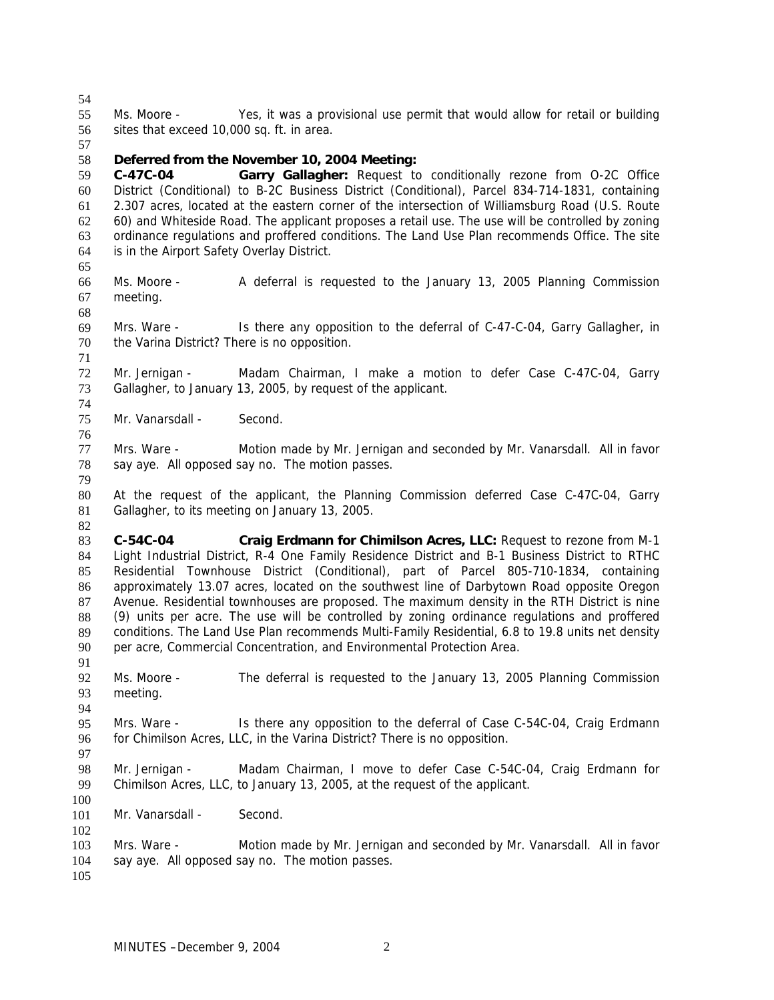54

57

55 56 Ms. Moore - Yes, it was a provisional use permit that would allow for retail or building sites that exceed 10,000 sq. ft. in area.

#### 58 **Deferred from the November 10, 2004 Meeting:**

59 60 61 62 63 64 **C-47C-04 Garry Gallagher:** Request to conditionally rezone from O-2C Office District (Conditional) to B-2C Business District (Conditional), Parcel 834-714-1831, containing 2.307 acres, located at the eastern corner of the intersection of Williamsburg Road (U.S. Route 60) and Whiteside Road. The applicant proposes a retail use. The use will be controlled by zoning ordinance regulations and proffered conditions. The Land Use Plan recommends Office. The site is in the Airport Safety Overlay District.

- 66 67 Ms. Moore - A deferral is requested to the January 13, 2005 Planning Commission meeting.
- 68

74

76

65

69 70 71 Mrs. Ware - Is there any opposition to the deferral of C-47-C-04, Garry Gallagher, in the Varina District? There is no opposition.

72 73 Mr. Jernigan - Madam Chairman, I make a motion to defer Case C-47C-04, Garry Gallagher, to January 13, 2005, by request of the applicant.

75 Mr. Vanarsdall - Second.

77 78 79 Mrs. Ware - Motion made by Mr. Jernigan and seconded by Mr. Vanarsdall. All in favor say aye. All opposed say no. The motion passes.

80 81 At the request of the applicant, the Planning Commission deferred Case C-47C-04, Garry Gallagher, to its meeting on January 13, 2005.

82

83 84 85 86 87 88 89 90 **C-54C-04 Craig Erdmann for Chimilson Acres, LLC:** Request to rezone from M-1 Light Industrial District, R-4 One Family Residence District and B-1 Business District to RTHC Residential Townhouse District (Conditional), part of Parcel 805-710-1834, containing approximately 13.07 acres, located on the southwest line of Darbytown Road opposite Oregon Avenue. Residential townhouses are proposed. The maximum density in the RTH District is nine (9) units per acre. The use will be controlled by zoning ordinance regulations and proffered conditions. The Land Use Plan recommends Multi-Family Residential, 6.8 to 19.8 units net density per acre, Commercial Concentration, and Environmental Protection Area.

92 93 Ms. Moore - The deferral is requested to the January 13, 2005 Planning Commission meeting.

95 96 Mrs. Ware - Is there any opposition to the deferral of Case C-54C-04, Craig Erdmann for Chimilson Acres, LLC, in the Varina District? There is no opposition.

97

91

94

98 99 100 Mr. Jernigan - Madam Chairman, I move to defer Case C-54C-04, Craig Erdmann for Chimilson Acres, LLC, to January 13, 2005, at the request of the applicant.

101 Mr. Vanarsdall - Second.

103 104 Mrs. Ware - Motion made by Mr. Jernigan and seconded by Mr. Vanarsdall. All in favor say aye. All opposed say no. The motion passes.

105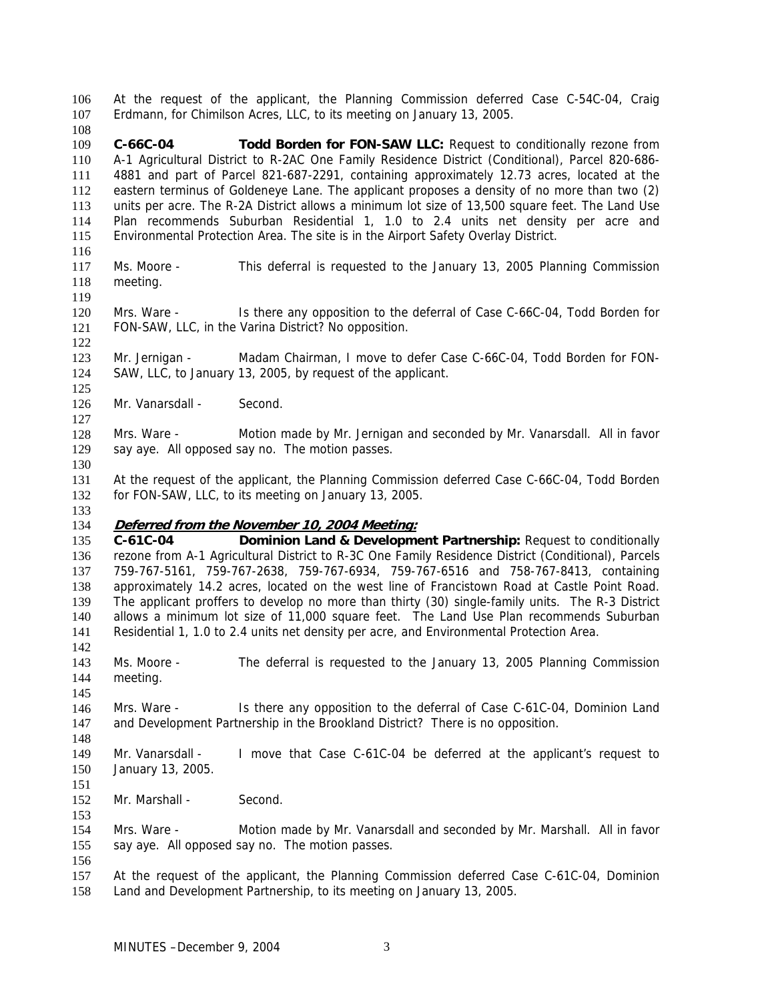At the request of the applicant, the Planning Commission deferred Case C-54C-04, Craig Erdmann, for Chimilson Acres, LLC, to its meeting on January 13, 2005. 106 107

109 110 111 112 113 114 115 **C-66C-04 Todd Borden for FON-SAW LLC:** Request to conditionally rezone from A-1 Agricultural District to R-2AC One Family Residence District (Conditional), Parcel 820-686- 4881 and part of Parcel 821-687-2291, containing approximately 12.73 acres, located at the eastern terminus of Goldeneye Lane. The applicant proposes a density of no more than two (2) units per acre. The R-2A District allows a minimum lot size of 13,500 square feet. The Land Use Plan recommends Suburban Residential 1, 1.0 to 2.4 units net density per acre and Environmental Protection Area. The site is in the Airport Safety Overlay District.

117 118 Ms. Moore - This deferral is requested to the January 13, 2005 Planning Commission meeting.

120 121 Mrs. Ware - Is there any opposition to the deferral of Case C-66C-04, Todd Borden for FON-SAW, LLC, in the Varina District? No opposition.

123 124 Mr. Jernigan - Madam Chairman, I move to defer Case C-66C-04, Todd Borden for FON-SAW, LLC, to January 13, 2005, by request of the applicant.

- 126 Mr. Vanarsdall - Second.
- 128 129 Mrs. Ware - Motion made by Mr. Jernigan and seconded by Mr. Vanarsdall. All in favor say aye. All opposed say no. The motion passes.
- 131 132 At the request of the applicant, the Planning Commission deferred Case C-66C-04, Todd Borden for FON-SAW, LLC, to its meeting on January 13, 2005.
- 133

142

145

148

151

153

108

116

119

122

125

127

130

### 134 **Deferred from the November 10, 2004 Meeting:**

135 136 137 138 139 140 141 **C-61C-04 Dominion Land & Development Partnership:** Request to conditionally rezone from A-1 Agricultural District to R-3C One Family Residence District (Conditional), Parcels 759-767-5161, 759-767-2638, 759-767-6934, 759-767-6516 and 758-767-8413, containing approximately 14.2 acres, located on the west line of Francistown Road at Castle Point Road. The applicant proffers to develop no more than thirty (30) single-family units. The R-3 District allows a minimum lot size of 11,000 square feet. The Land Use Plan recommends Suburban Residential 1, 1.0 to 2.4 units net density per acre, and Environmental Protection Area.

143 144 Ms. Moore - The deferral is requested to the January 13, 2005 Planning Commission meeting.

146 147 Mrs. Ware - Is there any opposition to the deferral of Case C-61C-04, Dominion Land and Development Partnership in the Brookland District? There is no opposition.

149 150 Mr. Vanarsdall - I move that Case C-61C-04 be deferred at the applicant's request to January 13, 2005.

152 Mr. Marshall - Second.

154 155 Mrs. Ware - Motion made by Mr. Vanarsdall and seconded by Mr. Marshall. All in favor say aye. All opposed say no. The motion passes.

156

157 158 At the request of the applicant, the Planning Commission deferred Case C-61C-04, Dominion Land and Development Partnership, to its meeting on January 13, 2005.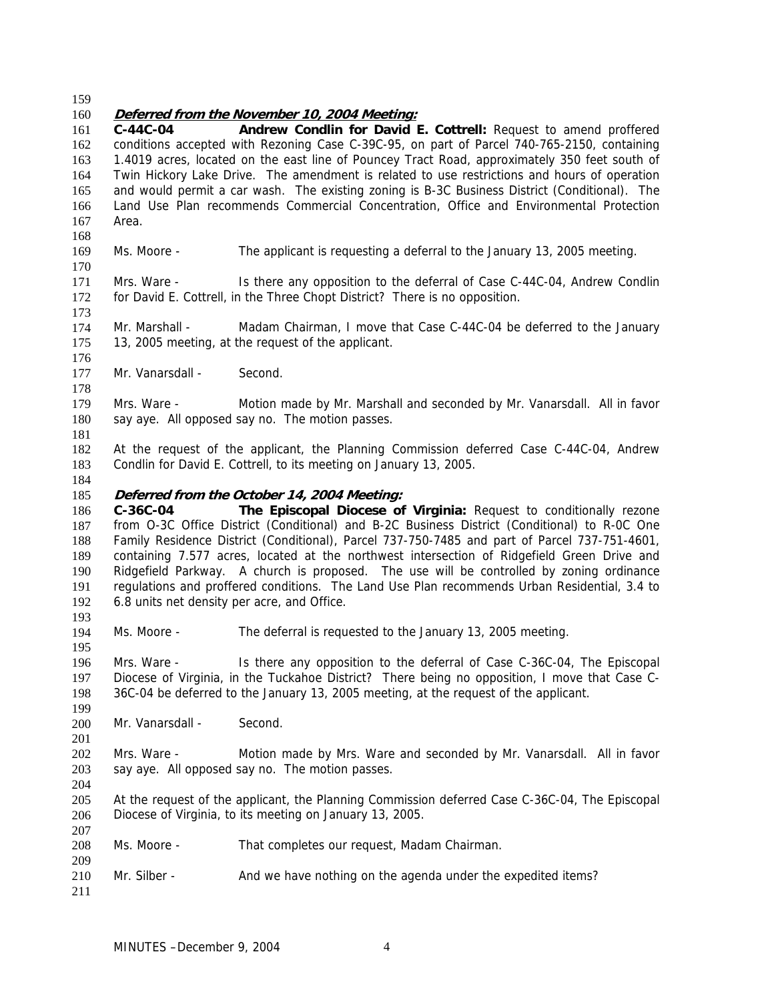159

170

173

176

178

181

193

195

199

201

204

207

209

## 160 **Deferred from the November 10, 2004 Meeting:**

161 162 163 164 165 166 167 168 **C-44C-04 Andrew Condlin for David E. Cottrell:** Request to amend proffered conditions accepted with Rezoning Case C-39C-95, on part of Parcel 740-765-2150, containing 1.4019 acres, located on the east line of Pouncey Tract Road, approximately 350 feet south of Twin Hickory Lake Drive. The amendment is related to use restrictions and hours of operation and would permit a car wash. The existing zoning is B-3C Business District (Conditional). The Land Use Plan recommends Commercial Concentration, Office and Environmental Protection Area.

169 Ms. Moore - The applicant is requesting a deferral to the January 13, 2005 meeting.

171 172 Mrs. Ware - Is there any opposition to the deferral of Case C-44C-04, Andrew Condlin for David E. Cottrell, in the Three Chopt District? There is no opposition.

174 175 Mr. Marshall - Madam Chairman, I move that Case C-44C-04 be deferred to the January 13, 2005 meeting, at the request of the applicant.

177 Mr. Vanarsdall - Second.

179 180 Mrs. Ware - Motion made by Mr. Marshall and seconded by Mr. Vanarsdall. All in favor say aye. All opposed say no. The motion passes.

182 183 At the request of the applicant, the Planning Commission deferred Case C-44C-04, Andrew Condlin for David E. Cottrell, to its meeting on January 13, 2005.

184

#### 185 **Deferred from the October 14, 2004 Meeting:**

186 187 188 189 190 191 192 **C-36C-04 The Episcopal Diocese of Virginia:** Request to conditionally rezone from O-3C Office District (Conditional) and B-2C Business District (Conditional) to R-0C One Family Residence District (Conditional), Parcel 737-750-7485 and part of Parcel 737-751-4601, containing 7.577 acres, located at the northwest intersection of Ridgefield Green Drive and Ridgefield Parkway. A church is proposed. The use will be controlled by zoning ordinance regulations and proffered conditions. The Land Use Plan recommends Urban Residential, 3.4 to 6.8 units net density per acre, and Office.

194 Ms. Moore - The deferral is requested to the January 13, 2005 meeting.

196 197 198 Mrs. Ware - Is there any opposition to the deferral of Case C-36C-04, The Episcopal Diocese of Virginia, in the Tuckahoe District? There being no opposition, I move that Case C-36C-04 be deferred to the January 13, 2005 meeting, at the request of the applicant.

200 Mr. Vanarsdall - Second.

202 203 Mrs. Ware - Motion made by Mrs. Ware and seconded by Mr. Vanarsdall. All in favor say aye. All opposed say no. The motion passes.

205 206 At the request of the applicant, the Planning Commission deferred Case C-36C-04, The Episcopal Diocese of Virginia, to its meeting on January 13, 2005.

- 208 Ms. Moore - That completes our request, Madam Chairman.
- 210 Mr. Silber - And we have nothing on the agenda under the expedited items?
- 211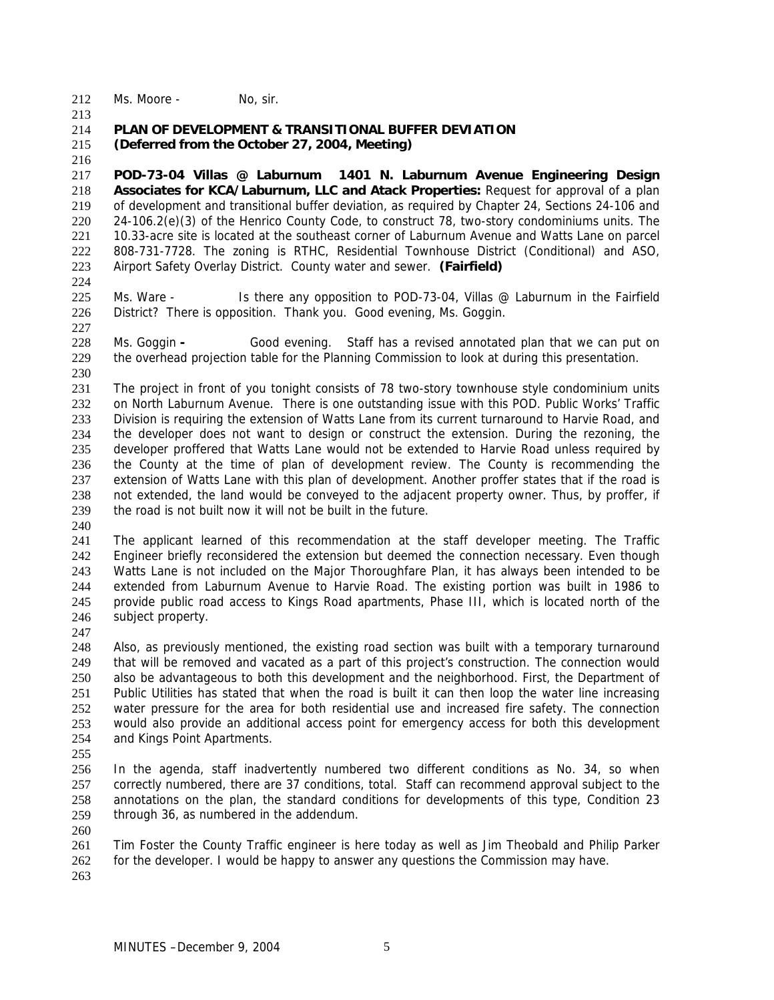212 Ms. Moore - No, sir.

213

#### 214 215 **PLAN OF DEVELOPMENT & TRANSITIONAL BUFFER DEVIATION (Deferred from the October 27, 2004, Meeting)**

216

217 218 219 220 221 222 223 **POD-73-04 Villas @ Laburnum 1401 N. Laburnum Avenue Engineering Design Associates for KCA/Laburnum, LLC and Atack Properties:** Request for approval of a plan of development and transitional buffer deviation, as required by Chapter 24, Sections 24-106 and 24-106.2(e)(3) of the Henrico County Code, to construct 78, two-story condominiums units. The 10.33-acre site is located at the southeast corner of Laburnum Avenue and Watts Lane on parcel 808-731-7728. The zoning is RTHC, Residential Townhouse District (Conditional) and ASO, Airport Safety Overlay District. County water and sewer. **(Fairfield)**

224

227

225 226 Ms. Ware - Is there any opposition to POD-73-04, Villas @ Laburnum in the Fairfield District? There is opposition. Thank you. Good evening, Ms. Goggin.

228 229 Ms. Goggin **-** Good evening. Staff has a revised annotated plan that we can put on the overhead projection table for the Planning Commission to look at during this presentation.

230

231 232 233 234 235 236 237 238 239 The project in front of you tonight consists of 78 two-story townhouse style condominium units on North Laburnum Avenue. There is one outstanding issue with this POD. Public Works' Traffic Division is requiring the extension of Watts Lane from its current turnaround to Harvie Road, and the developer does not want to design or construct the extension. During the rezoning, the developer proffered that Watts Lane would not be extended to Harvie Road unless required by the County at the time of plan of development review. The County is recommending the extension of Watts Lane with this plan of development. Another proffer states that if the road is not extended, the land would be conveyed to the adjacent property owner. Thus, by proffer, if the road is not built now it will not be built in the future.

240

241 242 243 244 245 246 The applicant learned of this recommendation at the staff developer meeting. The Traffic Engineer briefly reconsidered the extension but deemed the connection necessary. Even though Watts Lane is not included on the Major Thoroughfare Plan, it has always been intended to be extended from Laburnum Avenue to Harvie Road. The existing portion was built in 1986 to provide public road access to Kings Road apartments, Phase III, which is located north of the subject property.

247

248 249 250 251 252 253 254 Also, as previously mentioned, the existing road section was built with a temporary turnaround that will be removed and vacated as a part of this project's construction. The connection would also be advantageous to both this development and the neighborhood. First, the Department of Public Utilities has stated that when the road is built it can then loop the water line increasing water pressure for the area for both residential use and increased fire safety. The connection would also provide an additional access point for emergency access for both this development and Kings Point Apartments.

255

256 257 258 259 In the agenda, staff inadvertently numbered two different conditions as No. 34, so when correctly numbered, there are 37 conditions, total. Staff can recommend approval subject to the annotations on the plan, the standard conditions for developments of this type, Condition 23 through 36, as numbered in the addendum.

- 260 261 262 Tim Foster the County Traffic engineer is here today as well as Jim Theobald and Philip Parker for the developer. I would be happy to answer any questions the Commission may have.
- 263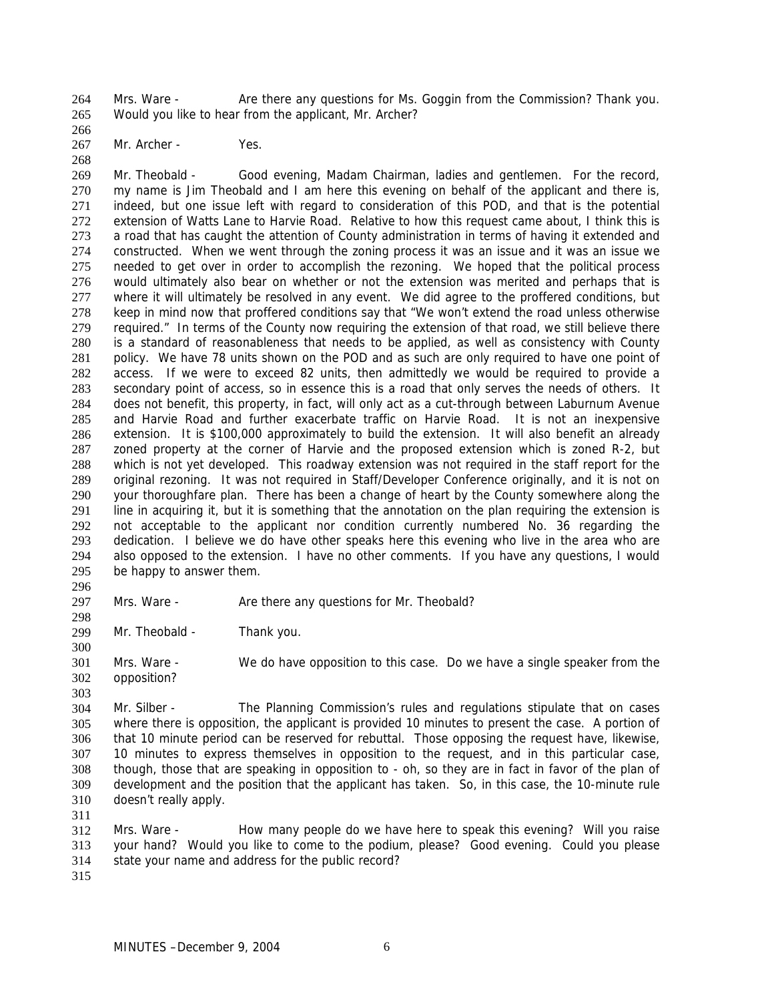Mrs. Ware - Are there any questions for Ms. Goggin from the Commission? Thank you. Would you like to hear from the applicant, Mr. Archer? 264 265

266 267

Mr. Archer - Yes.

268

269 270 271 272 273 274 275 276 277 278 279 280 281 282 283 284 285 286 287 288 289 290 291 292 293 294 295 Mr. Theobald - Good evening, Madam Chairman, ladies and gentlemen. For the record, my name is Jim Theobald and I am here this evening on behalf of the applicant and there is, indeed, but one issue left with regard to consideration of this POD, and that is the potential extension of Watts Lane to Harvie Road. Relative to how this request came about, I think this is a road that has caught the attention of County administration in terms of having it extended and constructed. When we went through the zoning process it was an issue and it was an issue we needed to get over in order to accomplish the rezoning. We hoped that the political process would ultimately also bear on whether or not the extension was merited and perhaps that is where it will ultimately be resolved in any event. We did agree to the proffered conditions, but keep in mind now that proffered conditions say that "We won't extend the road unless otherwise required." In terms of the County now requiring the extension of that road, we still believe there is a standard of reasonableness that needs to be applied, as well as consistency with County policy. We have 78 units shown on the POD and as such are only required to have one point of access. If we were to exceed 82 units, then admittedly we would be required to provide a secondary point of access, so in essence this is a road that only serves the needs of others. It does not benefit, this property, in fact, will only act as a cut-through between Laburnum Avenue and Harvie Road and further exacerbate traffic on Harvie Road. It is not an inexpensive extension. It is \$100,000 approximately to build the extension. It will also benefit an already zoned property at the corner of Harvie and the proposed extension which is zoned R-2, but which is not yet developed. This roadway extension was not required in the staff report for the original rezoning. It was not required in Staff/Developer Conference originally, and it is not on your thoroughfare plan. There has been a change of heart by the County somewhere along the line in acquiring it, but it is something that the annotation on the plan requiring the extension is not acceptable to the applicant nor condition currently numbered No. 36 regarding the dedication. I believe we do have other speaks here this evening who live in the area who are also opposed to the extension. I have no other comments. If you have any questions, I would be happy to answer them.

296

300

297 298 Mrs. Ware - Are there any questions for Mr. Theobald?

299 Mr. Theobald - Thank you.

301 302 Mrs. Ware - We do have opposition to this case. Do we have a single speaker from the opposition?

- 303 304 305 306 307 308 309 310 Mr. Silber - The Planning Commission's rules and regulations stipulate that on cases where there is opposition, the applicant is provided 10 minutes to present the case. A portion of that 10 minute period can be reserved for rebuttal. Those opposing the request have, likewise, 10 minutes to express themselves in opposition to the request, and in this particular case, though, those that are speaking in opposition to - oh, so they are in fact in favor of the plan of development and the position that the applicant has taken. So, in this case, the 10-minute rule doesn't really apply.
- 311

312 313 314 Mrs. Ware - How many people do we have here to speak this evening? Will you raise your hand? Would you like to come to the podium, please? Good evening. Could you please state your name and address for the public record?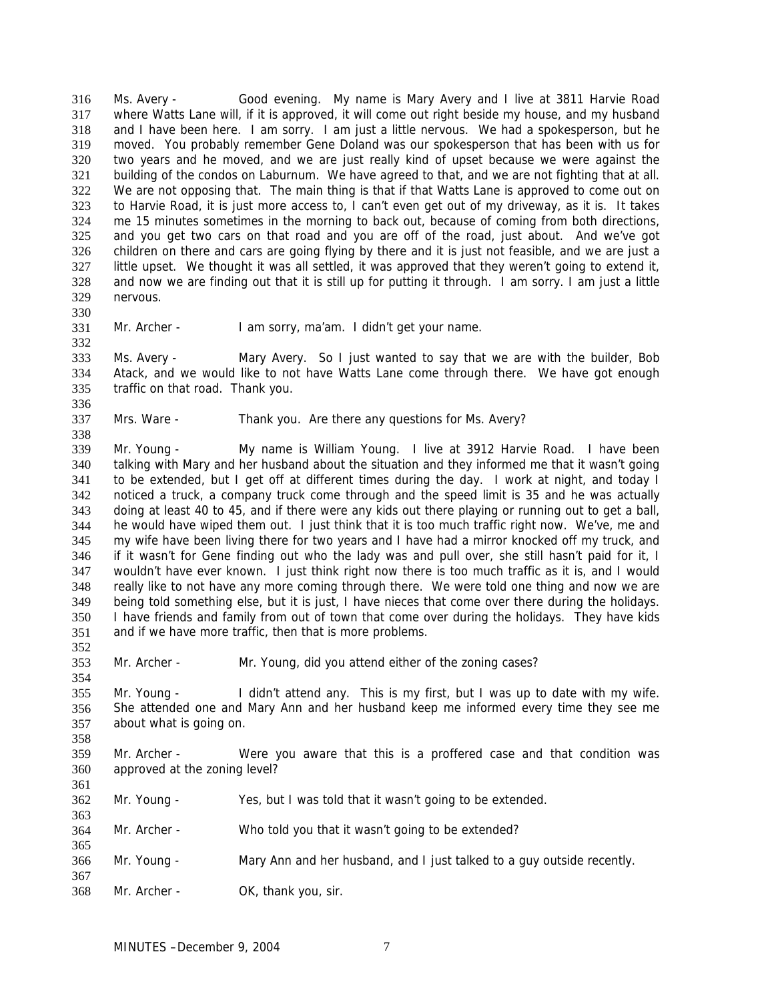Ms. Avery - Good evening. My name is Mary Avery and I live at 3811 Harvie Road where Watts Lane will, if it is approved, it will come out right beside my house, and my husband and I have been here. I am sorry. I am just a little nervous. We had a spokesperson, but he moved. You probably remember Gene Doland was our spokesperson that has been with us for two years and he moved, and we are just really kind of upset because we were against the building of the condos on Laburnum. We have agreed to that, and we are not fighting that at all. We are not opposing that. The main thing is that if that Watts Lane is approved to come out on to Harvie Road, it is just more access to, I can't even get out of my driveway, as it is. It takes me 15 minutes sometimes in the morning to back out, because of coming from both directions, and you get two cars on that road and you are off of the road, just about. And we've got children on there and cars are going flying by there and it is just not feasible, and we are just a little upset. We thought it was all settled, it was approved that they weren't going to extend it, and now we are finding out that it is still up for putting it through. I am sorry. I am just a little nervous. 316 317 318 319 320 321 322 323 324 325 326 327 328 329

- 330
- 331 332

Mr. Archer - I am sorry, ma'am. I didn't get your name.

333 334 335 Ms. Avery - Mary Avery. So I just wanted to say that we are with the builder, Bob Atack, and we would like to not have Watts Lane come through there. We have got enough traffic on that road. Thank you.

336 337 338

352

354

361

363

365

367

Mrs. Ware - Thank you. Are there any questions for Ms. Avery?

339 340 341 342 343 344 345 346 347 348 349 350 351 Mr. Young - My name is William Young. I live at 3912 Harvie Road. I have been talking with Mary and her husband about the situation and they informed me that it wasn't going to be extended, but I get off at different times during the day. I work at night, and today I noticed a truck, a company truck come through and the speed limit is 35 and he was actually doing at least 40 to 45, and if there were any kids out there playing or running out to get a ball, he would have wiped them out. I just think that it is too much traffic right now. We've, me and my wife have been living there for two years and I have had a mirror knocked off my truck, and if it wasn't for Gene finding out who the lady was and pull over, she still hasn't paid for it, I wouldn't have ever known. I just think right now there is too much traffic as it is, and I would really like to not have any more coming through there. We were told one thing and now we are being told something else, but it is just, I have nieces that come over there during the holidays. I have friends and family from out of town that come over during the holidays. They have kids and if we have more traffic, then that is more problems.

353 Mr. Archer - Mr. Young, did you attend either of the zoning cases?

355 356 357 358 Mr. Young - I didn't attend any. This is my first, but I was up to date with my wife. She attended one and Mary Ann and her husband keep me informed every time they see me about what is going on.

- 359 360 Mr. Archer - Were you aware that this is a proffered case and that condition was approved at the zoning level?
- 362 Mr. Young - Yes, but I was told that it wasn't going to be extended.
- 364 Mr. Archer - Who told you that it wasn't going to be extended?
- 366 Mr. Young - Mary Ann and her husband, and I just talked to a guy outside recently.
- 368 Mr. Archer - OK, thank you, sir.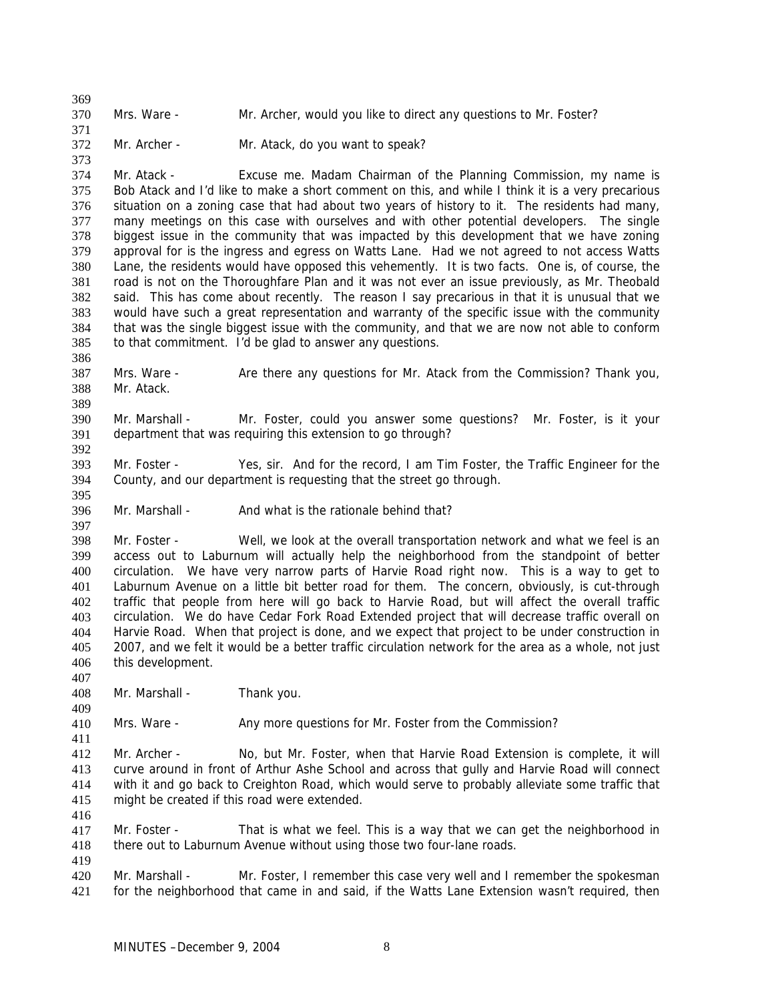370 Mrs. Ware - Mr. Archer, would you like to direct any questions to Mr. Foster?

372 Mr. Archer - Mr. Atack, do you want to speak?

374 375 376 377 378 379 380 381 382 383 384 385 Mr. Atack - Excuse me. Madam Chairman of the Planning Commission, my name is Bob Atack and I'd like to make a short comment on this, and while I think it is a very precarious situation on a zoning case that had about two years of history to it. The residents had many, many meetings on this case with ourselves and with other potential developers. The single biggest issue in the community that was impacted by this development that we have zoning approval for is the ingress and egress on Watts Lane. Had we not agreed to not access Watts Lane, the residents would have opposed this vehemently. It is two facts. One is, of course, the road is not on the Thoroughfare Plan and it was not ever an issue previously, as Mr. Theobald said. This has come about recently. The reason I say precarious in that it is unusual that we would have such a great representation and warranty of the specific issue with the community that was the single biggest issue with the community, and that we are now not able to conform to that commitment. I'd be glad to answer any questions.

387 388 Mrs. Ware - Are there any questions for Mr. Atack from the Commission? Thank you, Mr. Atack.

390 391 Mr. Marshall - Mr. Foster, could you answer some questions? Mr. Foster, is it your department that was requiring this extension to go through?

393 394 Mr. Foster - Yes, sir. And for the record, I am Tim Foster, the Traffic Engineer for the County, and our department is requesting that the street go through.

396 Mr. Marshall - And what is the rationale behind that?

398 399 400 401 402 403 404 405 406 Mr. Foster - Well, we look at the overall transportation network and what we feel is an access out to Laburnum will actually help the neighborhood from the standpoint of better circulation. We have very narrow parts of Harvie Road right now. This is a way to get to Laburnum Avenue on a little bit better road for them. The concern, obviously, is cut-through traffic that people from here will go back to Harvie Road, but will affect the overall traffic circulation. We do have Cedar Fork Road Extended project that will decrease traffic overall on Harvie Road. When that project is done, and we expect that project to be under construction in 2007, and we felt it would be a better traffic circulation network for the area as a whole, not just this development.

408 Mr. Marshall - Thank you.

410 Mrs. Ware - Any more questions for Mr. Foster from the Commission?

412 413 414 415 Mr. Archer - No, but Mr. Foster, when that Harvie Road Extension is complete, it will curve around in front of Arthur Ashe School and across that gully and Harvie Road will connect with it and go back to Creighton Road, which would serve to probably alleviate some traffic that might be created if this road were extended.

417 418 Mr. Foster - That is what we feel. This is a way that we can get the neighborhood in there out to Laburnum Avenue without using those two four-lane roads.

419

416

369

371

373

386

389

392

395

397

407

409

411

420 421 Mr. Marshall - Mr. Foster, I remember this case very well and I remember the spokesman for the neighborhood that came in and said, if the Watts Lane Extension wasn't required, then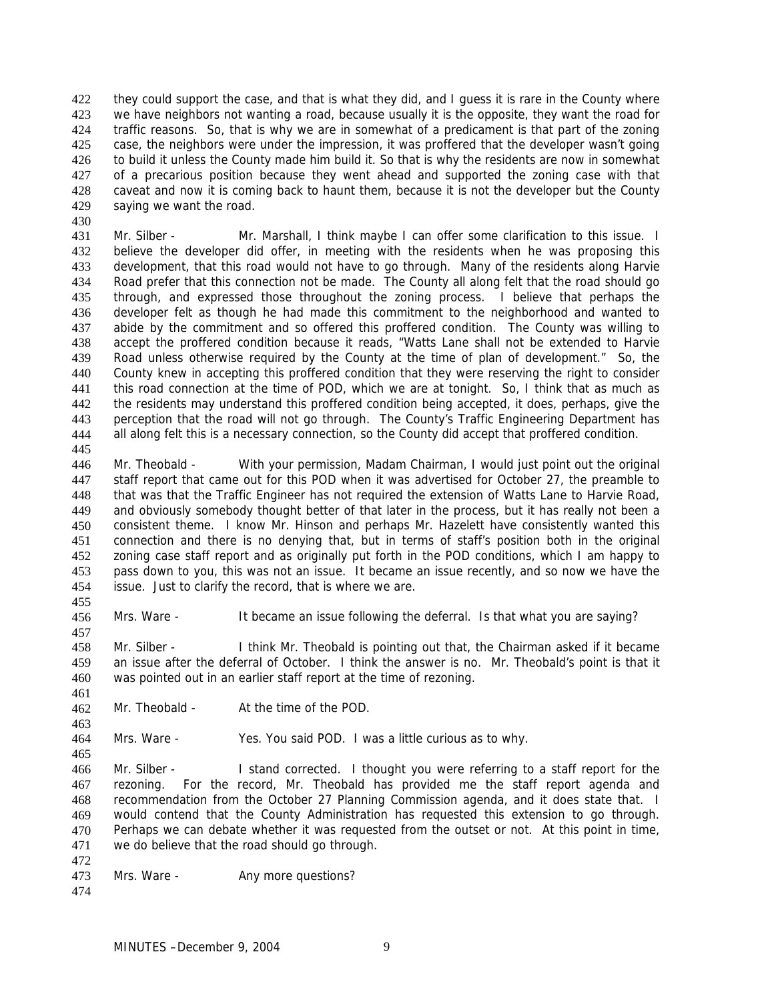they could support the case, and that is what they did, and I guess it is rare in the County where we have neighbors not wanting a road, because usually it is the opposite, they want the road for traffic reasons. So, that is why we are in somewhat of a predicament is that part of the zoning case, the neighbors were under the impression, it was proffered that the developer wasn't going to build it unless the County made him build it. So that is why the residents are now in somewhat of a precarious position because they went ahead and supported the zoning case with that caveat and now it is coming back to haunt them, because it is not the developer but the County saying we want the road. 422 423 424 425 426 427 428 429

- 431 432 433 434 435 436 437 438 439 440 441 442 443 444 Mr. Silber - Mr. Marshall, I think maybe I can offer some clarification to this issue. I believe the developer did offer, in meeting with the residents when he was proposing this development, that this road would not have to go through. Many of the residents along Harvie Road prefer that this connection not be made. The County all along felt that the road should go through, and expressed those throughout the zoning process. I believe that perhaps the developer felt as though he had made this commitment to the neighborhood and wanted to abide by the commitment and so offered this proffered condition. The County was willing to accept the proffered condition because it reads, "Watts Lane shall not be extended to Harvie Road unless otherwise required by the County at the time of plan of development." So, the County knew in accepting this proffered condition that they were reserving the right to consider this road connection at the time of POD, which we are at tonight. So, I think that as much as the residents may understand this proffered condition being accepted, it does, perhaps, give the perception that the road will not go through. The County's Traffic Engineering Department has all along felt this is a necessary connection, so the County did accept that proffered condition.
- 446 447 448 449 450 451 452 453 454 Mr. Theobald - With your permission, Madam Chairman, I would just point out the original staff report that came out for this POD when it was advertised for October 27, the preamble to that was that the Traffic Engineer has not required the extension of Watts Lane to Harvie Road, and obviously somebody thought better of that later in the process, but it has really not been a consistent theme. I know Mr. Hinson and perhaps Mr. Hazelett have consistently wanted this connection and there is no denying that, but in terms of staff's position both in the original zoning case staff report and as originally put forth in the POD conditions, which I am happy to pass down to you, this was not an issue. It became an issue recently, and so now we have the issue. Just to clarify the record, that is where we are.
- 456 Mrs. Ware - It became an issue following the deferral. Is that what you are saying?
- 458 459 460 Mr. Silber - I think Mr. Theobald is pointing out that, the Chairman asked if it became an issue after the deferral of October. I think the answer is no. Mr. Theobald's point is that it was pointed out in an earlier staff report at the time of rezoning.
- 462 Mr. Theobald - At the time of the POD.

464 Mrs. Ware - Yes. You said POD. I was a little curious as to why.

- 466 467 468 469 470 471 Mr. Silber - I stand corrected. I thought you were referring to a staff report for the rezoning. For the record, Mr. Theobald has provided me the staff report agenda and recommendation from the October 27 Planning Commission agenda, and it does state that. I would contend that the County Administration has requested this extension to go through. Perhaps we can debate whether it was requested from the outset or not. At this point in time, we do believe that the road should go through.
- 472

430

445

455

457

461

463

- 473 Mrs. Ware - **Any more questions?**
- 474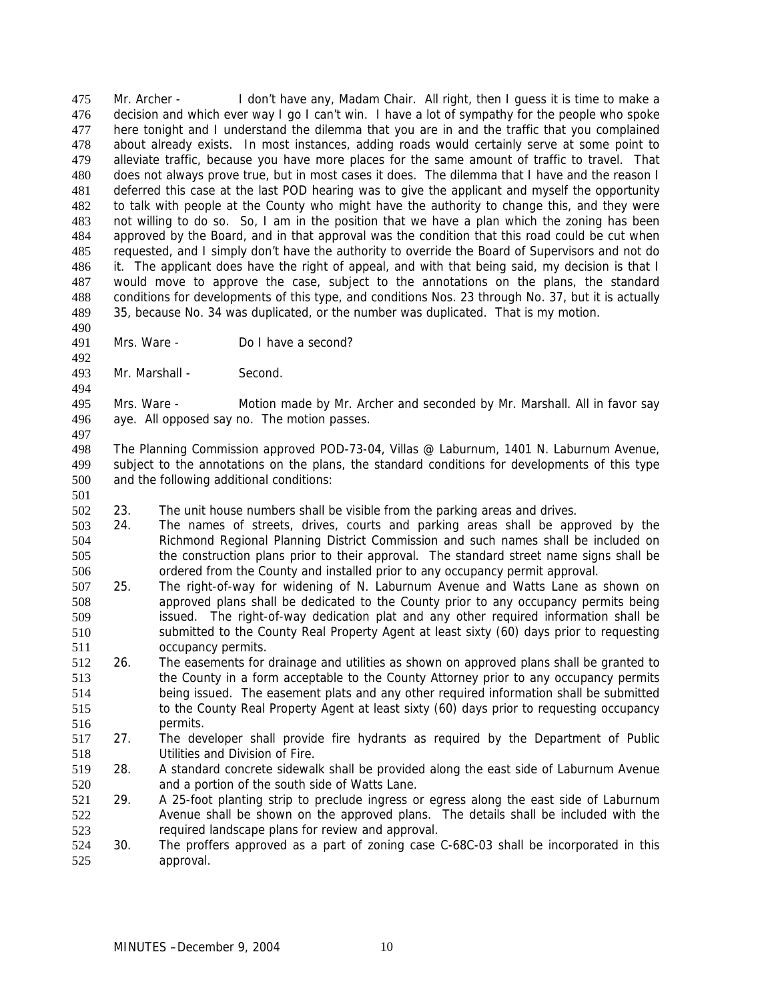Mr. Archer - I don't have any, Madam Chair. All right, then I guess it is time to make a decision and which ever way I go I can't win. I have a lot of sympathy for the people who spoke here tonight and I understand the dilemma that you are in and the traffic that you complained about already exists. In most instances, adding roads would certainly serve at some point to alleviate traffic, because you have more places for the same amount of traffic to travel. That does not always prove true, but in most cases it does. The dilemma that I have and the reason I deferred this case at the last POD hearing was to give the applicant and myself the opportunity to talk with people at the County who might have the authority to change this, and they were not willing to do so. So, I am in the position that we have a plan which the zoning has been approved by the Board, and in that approval was the condition that this road could be cut when requested, and I simply don't have the authority to override the Board of Supervisors and not do it. The applicant does have the right of appeal, and with that being said, my decision is that I would move to approve the case, subject to the annotations on the plans, the standard conditions for developments of this type, and conditions Nos. 23 through No. 37, but it is actually 35, because No. 34 was duplicated, or the number was duplicated. That is my motion. 475 476 477 478 479 480 481 482 483 484 485 486 487 488 489

- 491 Mrs. Ware - Do I have a second?
- 493 Mr. Marshall - Second.

490

492

494

497

501

495 496 Mrs. Ware - Motion made by Mr. Archer and seconded by Mr. Marshall. All in favor say aye. All opposed say no. The motion passes.

498 499 500 The Planning Commission approved POD-73-04, Villas @ Laburnum, 1401 N. Laburnum Avenue, subject to the annotations on the plans, the standard conditions for developments of this type and the following additional conditions:

- 502 23. The unit house numbers shall be visible from the parking areas and drives.
- 503 504 505 506 24. The names of streets, drives, courts and parking areas shall be approved by the Richmond Regional Planning District Commission and such names shall be included on the construction plans prior to their approval. The standard street name signs shall be ordered from the County and installed prior to any occupancy permit approval.
- 507 508 509 510 511 25. The right-of-way for widening of N. Laburnum Avenue and Watts Lane as shown on approved plans shall be dedicated to the County prior to any occupancy permits being issued. The right-of-way dedication plat and any other required information shall be submitted to the County Real Property Agent at least sixty (60) days prior to requesting occupancy permits.
- 512 513 514 515 516 26. The easements for drainage and utilities as shown on approved plans shall be granted to the County in a form acceptable to the County Attorney prior to any occupancy permits being issued. The easement plats and any other required information shall be submitted to the County Real Property Agent at least sixty (60) days prior to requesting occupancy permits.
- 517 518 27. The developer shall provide fire hydrants as required by the Department of Public Utilities and Division of Fire.
- 519 520 28. A standard concrete sidewalk shall be provided along the east side of Laburnum Avenue and a portion of the south side of Watts Lane.
- 521 522 523 29. A 25-foot planting strip to preclude ingress or egress along the east side of Laburnum Avenue shall be shown on the approved plans. The details shall be included with the required landscape plans for review and approval.
- 524 525 30. The proffers approved as a part of zoning case C-68C-03 shall be incorporated in this approval.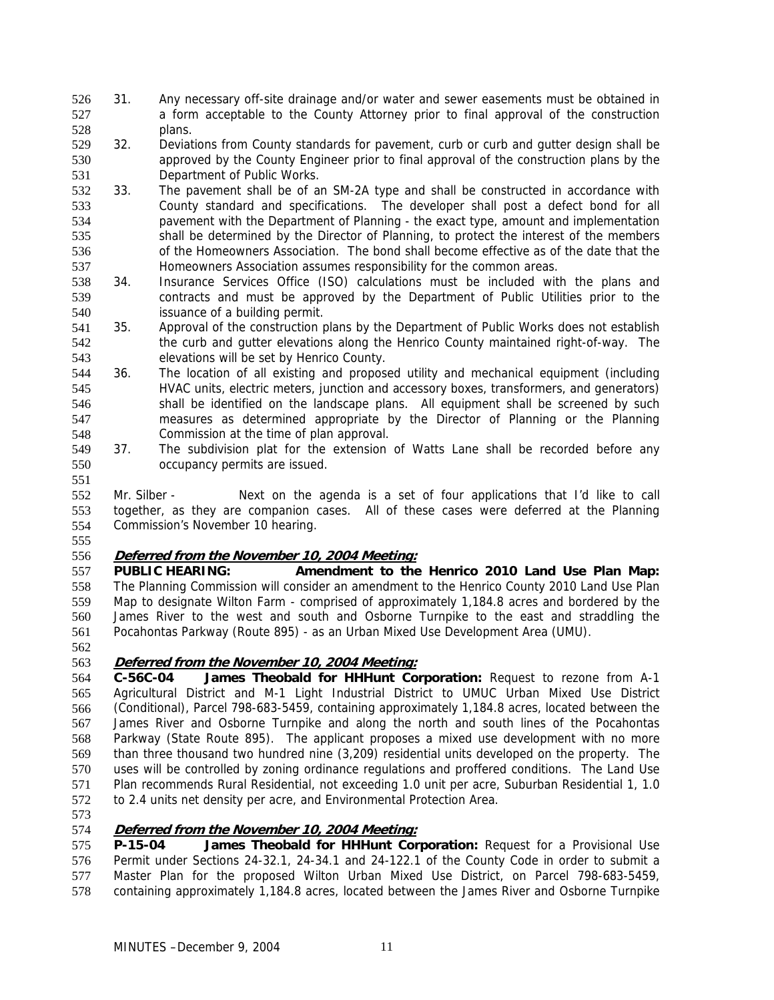- 31. Any necessary off-site drainage and/or water and sewer easements must be obtained in a form acceptable to the County Attorney prior to final approval of the construction plans. 526 527 528
- 529 530 531 32. Deviations from County standards for pavement, curb or curb and gutter design shall be approved by the County Engineer prior to final approval of the construction plans by the Department of Public Works.
- 532 533 534 535 536 537 33. The pavement shall be of an SM-2A type and shall be constructed in accordance with County standard and specifications. The developer shall post a defect bond for all pavement with the Department of Planning - the exact type, amount and implementation shall be determined by the Director of Planning, to protect the interest of the members of the Homeowners Association. The bond shall become effective as of the date that the Homeowners Association assumes responsibility for the common areas.
- 538 539 540 34. Insurance Services Office (ISO) calculations must be included with the plans and contracts and must be approved by the Department of Public Utilities prior to the issuance of a building permit.
- 541 542 543 35. Approval of the construction plans by the Department of Public Works does not establish the curb and gutter elevations along the Henrico County maintained right-of-way. The elevations will be set by Henrico County.
- 544 545 546 547 548 36. The location of all existing and proposed utility and mechanical equipment (including HVAC units, electric meters, junction and accessory boxes, transformers, and generators) shall be identified on the landscape plans. All equipment shall be screened by such measures as determined appropriate by the Director of Planning or the Planning Commission at the time of plan approval.
- 549 550 37. The subdivision plat for the extension of Watts Lane shall be recorded before any occupancy permits are issued.

552 553 554 Mr. Silber - Next on the agenda is a set of four applications that I'd like to call together, as they are companion cases. All of these cases were deferred at the Planning Commission's November 10 hearing.

555

551

## 556 **Deferred from the November 10, 2004 Meeting:**

557 558 559 560 561 **PUBLIC HEARING: Amendment to the Henrico 2010 Land Use Plan Map:**  The Planning Commission will consider an amendment to the Henrico County 2010 Land Use Plan Map to designate Wilton Farm - comprised of approximately 1,184.8 acres and bordered by the James River to the west and south and Osborne Turnpike to the east and straddling the Pocahontas Parkway (Route 895) - as an Urban Mixed Use Development Area (UMU).

562

# 563 **Deferred from the November 10, 2004 Meeting:**

564 565 566 567 568 569 570 571 572 **C-56C-04 James Theobald for HHHunt Corporation:** Request to rezone from A-1 Agricultural District and M-1 Light Industrial District to UMUC Urban Mixed Use District (Conditional), Parcel 798-683-5459, containing approximately 1,184.8 acres, located between the James River and Osborne Turnpike and along the north and south lines of the Pocahontas Parkway (State Route 895). The applicant proposes a mixed use development with no more than three thousand two hundred nine (3,209) residential units developed on the property. The uses will be controlled by zoning ordinance regulations and proffered conditions. The Land Use Plan recommends Rural Residential, not exceeding 1.0 unit per acre, Suburban Residential 1, 1.0 to 2.4 units net density per acre, and Environmental Protection Area.

573

# 574 **Deferred from the November 10, 2004 Meeting:**

575 576 577 578 **P-15-04 James Theobald for HHHunt Corporation:** Request for a Provisional Use Permit under Sections 24-32.1, 24-34.1 and 24-122.1 of the County Code in order to submit a Master Plan for the proposed Wilton Urban Mixed Use District, on Parcel 798-683-5459, containing approximately 1,184.8 acres, located between the James River and Osborne Turnpike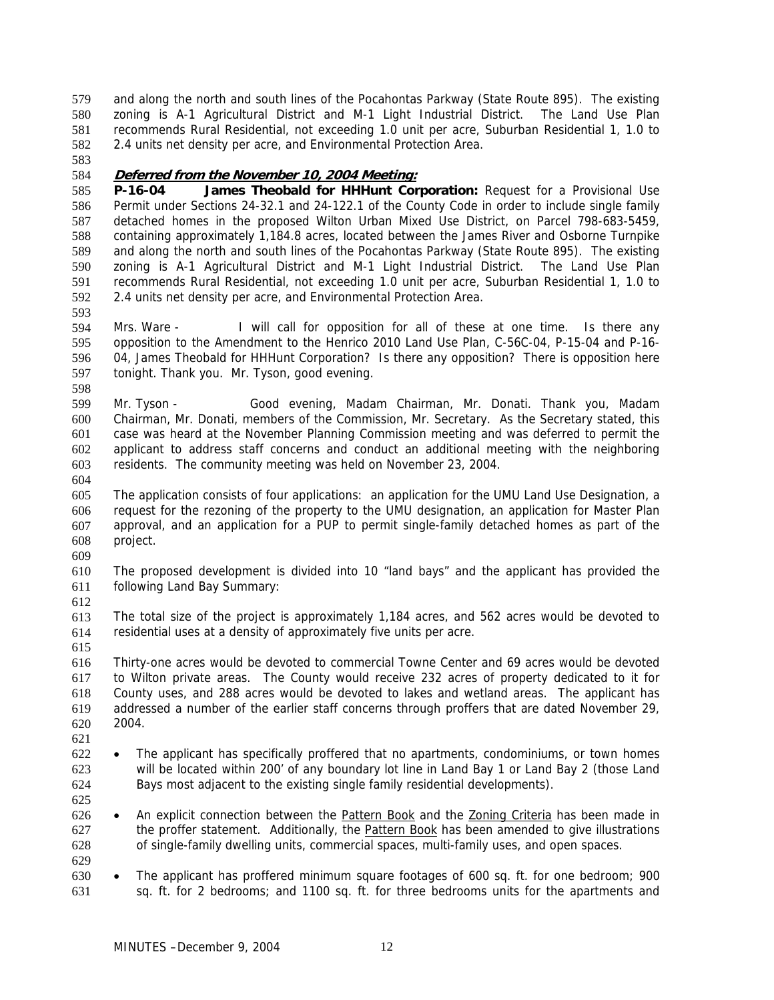and along the north and south lines of the Pocahontas Parkway (State Route 895). The existing zoning is A-1 Agricultural District and M-1 Light Industrial District. The Land Use Plan recommends Rural Residential, not exceeding 1.0 unit per acre, Suburban Residential 1, 1.0 to 2.4 units net density per acre, and Environmental Protection Area. 579 580 581 582

583

593

## 584 **Deferred from the November 10, 2004 Meeting:**

585 586 587 588 589 590 591 592 **P-16-04 James Theobald for HHHunt Corporation:** Request for a Provisional Use Permit under Sections 24-32.1 and 24-122.1 of the County Code in order to include single family detached homes in the proposed Wilton Urban Mixed Use District, on Parcel 798-683-5459, containing approximately 1,184.8 acres, located between the James River and Osborne Turnpike and along the north and south lines of the Pocahontas Parkway (State Route 895). The existing zoning is A-1 Agricultural District and M-1 Light Industrial District. The Land Use Plan recommends Rural Residential, not exceeding 1.0 unit per acre, Suburban Residential 1, 1.0 to 2.4 units net density per acre, and Environmental Protection Area.

594 595 596 597 598 Mrs. Ware - I will call for opposition for all of these at one time. Is there any opposition to the Amendment to the Henrico 2010 Land Use Plan, C-56C-04, P-15-04 and P-16- 04, James Theobald for HHHunt Corporation? Is there any opposition? There is opposition here tonight. Thank you. Mr. Tyson, good evening.

599 600 601 602 603 Mr. Tyson - Good evening, Madam Chairman, Mr. Donati. Thank you, Madam Chairman, Mr. Donati, members of the Commission, Mr. Secretary. As the Secretary stated, this case was heard at the November Planning Commission meeting and was deferred to permit the applicant to address staff concerns and conduct an additional meeting with the neighboring residents. The community meeting was held on November 23, 2004.

604

605 606 607 608 609 The application consists of four applications: an application for the UMU Land Use Designation, a request for the rezoning of the property to the UMU designation, an application for Master Plan approval, and an application for a PUP to permit single-family detached homes as part of the project.

610 611 The proposed development is divided into 10 "land bays" and the applicant has provided the following Land Bay Summary:

612

613 614 The total size of the project is approximately 1,184 acres, and 562 acres would be devoted to residential uses at a density of approximately five units per acre.

615

616 617 618 619 620 Thirty-one acres would be devoted to commercial Towne Center and 69 acres would be devoted to Wilton private areas. The County would receive 232 acres of property dedicated to it for County uses, and 288 acres would be devoted to lakes and wetland areas. The applicant has addressed a number of the earlier staff concerns through proffers that are dated November 29, 2004.

- 621
- 622 623 624 • The applicant has specifically proffered that no apartments, condominiums, or town homes will be located within 200' of any boundary lot line in Land Bay 1 or Land Bay 2 (those Land Bays most adjacent to the existing single family residential developments).
- 625
- An explicit connection between the Pattern Book and the Zoning Criteria has been made in the proffer statement. Additionally, the **Pattern Book** has been amended to give illustrations 626 of single-family dwelling units, commercial spaces, multi-family uses, and open spaces. 627 628
- 629
- 630 631 • The applicant has proffered minimum square footages of 600 sq. ft. for one bedroom; 900 sq. ft. for 2 bedrooms; and 1100 sq. ft. for three bedrooms units for the apartments and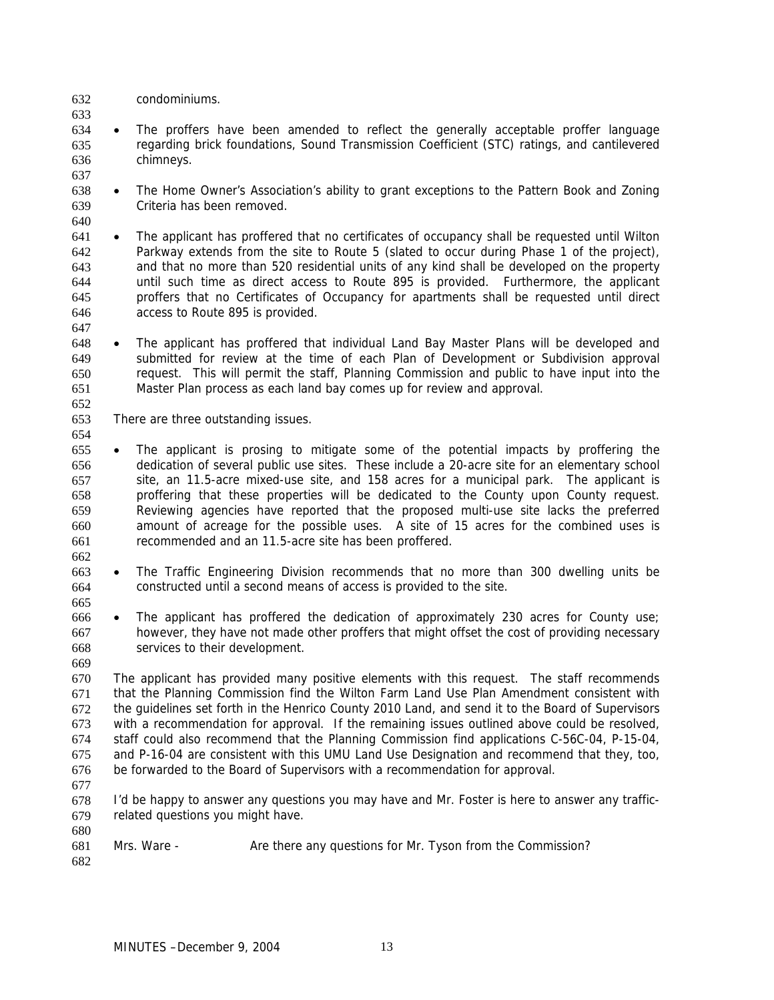- 632 condominiums.
- 633

637

- 634 635 636 • The proffers have been amended to reflect the generally acceptable proffer language regarding brick foundations, Sound Transmission Coefficient (STC) ratings, and cantilevered chimneys.
- 638 639 • The Home Owner's Association's ability to grant exceptions to the Pattern Book and Zoning Criteria has been removed.
- 640 641 642 643 644 645 646 • The applicant has proffered that no certificates of occupancy shall be requested until Wilton Parkway extends from the site to Route 5 (slated to occur during Phase 1 of the project), and that no more than 520 residential units of any kind shall be developed on the property until such time as direct access to Route 895 is provided. Furthermore, the applicant proffers that no Certificates of Occupancy for apartments shall be requested until direct access to Route 895 is provided.
- 648 649 650 651 • The applicant has proffered that individual Land Bay Master Plans will be developed and submitted for review at the time of each Plan of Development or Subdivision approval request. This will permit the staff, Planning Commission and public to have input into the Master Plan process as each land bay comes up for review and approval.
- 652 653 654

662

665

669

- There are three outstanding issues.
- 655 656 657 658 659 660 661 The applicant is prosing to mitigate some of the potential impacts by proffering the dedication of several public use sites. These include a 20-acre site for an elementary school site, an 11.5-acre mixed-use site, and 158 acres for a municipal park. The applicant is proffering that these properties will be dedicated to the County upon County request. Reviewing agencies have reported that the proposed multi-use site lacks the preferred amount of acreage for the possible uses. A site of 15 acres for the combined uses is recommended and an 11.5-acre site has been proffered.
- 663 664 • The Traffic Engineering Division recommends that no more than 300 dwelling units be constructed until a second means of access is provided to the site.
- 666 667 668 The applicant has proffered the dedication of approximately 230 acres for County use; however, they have not made other proffers that might offset the cost of providing necessary services to their development.
- 670 671 672 673 674 675 676 The applicant has provided many positive elements with this request. The staff recommends that the Planning Commission find the Wilton Farm Land Use Plan Amendment consistent with the guidelines set forth in the Henrico County 2010 Land, and send it to the Board of Supervisors with a recommendation for approval. If the remaining issues outlined above could be resolved, staff could also recommend that the Planning Commission find applications C-56C-04, P-15-04, and P-16-04 are consistent with this UMU Land Use Designation and recommend that they, too, be forwarded to the Board of Supervisors with a recommendation for approval.
- 677
- 678 679 680 I'd be happy to answer any questions you may have and Mr. Foster is here to answer any trafficrelated questions you might have.
- 681 682 Mrs. Ware - Are there any questions for Mr. Tyson from the Commission?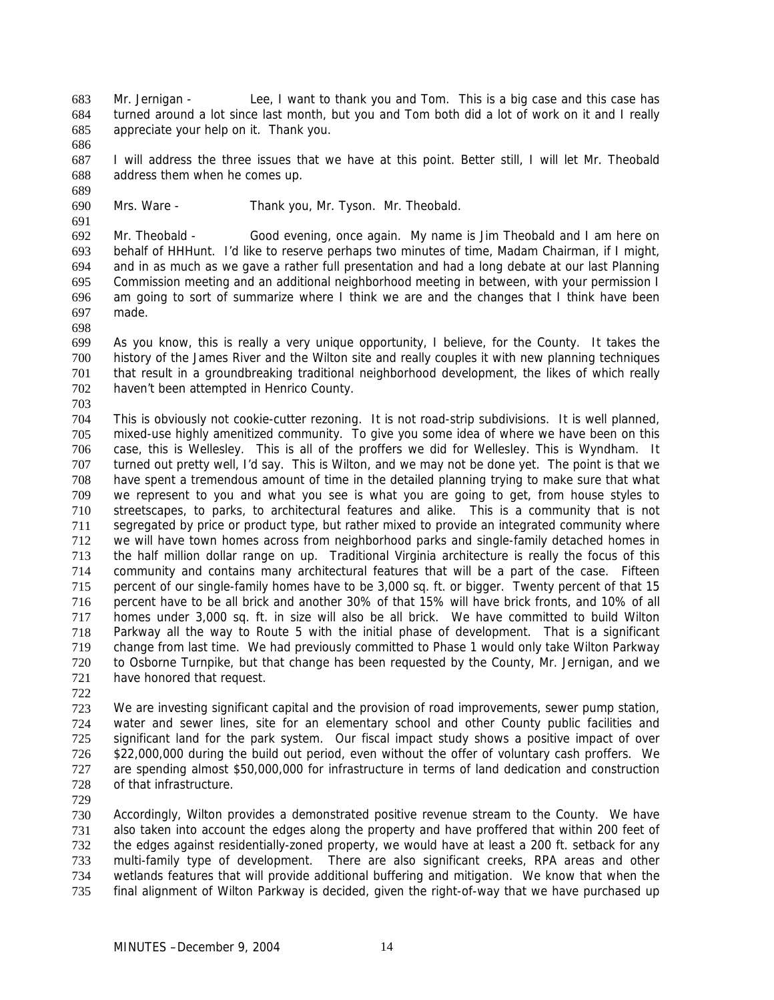- Mr. Jernigan Lee, I want to thank you and Tom. This is a big case and this case has turned around a lot since last month, but you and Tom both did a lot of work on it and I really appreciate your help on it. Thank you. 683 684 685
- 686

691

687 688 689 I will address the three issues that we have at this point. Better still, I will let Mr. Theobald address them when he comes up.

690 Mrs. Ware - Thank you, Mr. Tyson. Mr. Theobald.

692 693 694 695 696 697 Mr. Theobald - Good evening, once again. My name is Jim Theobald and I am here on behalf of HHHunt. I'd like to reserve perhaps two minutes of time, Madam Chairman, if I might, and in as much as we gave a rather full presentation and had a long debate at our last Planning Commission meeting and an additional neighborhood meeting in between, with your permission I am going to sort of summarize where I think we are and the changes that I think have been made.

699 700 701 702 As you know, this is really a very unique opportunity, I believe, for the County. It takes the history of the James River and the Wilton site and really couples it with new planning techniques that result in a groundbreaking traditional neighborhood development, the likes of which really haven't been attempted in Henrico County.

703

698

704 705 706 707 708 709 710 711 712 713 714 715 716 717 718 719 720 721 This is obviously not cookie-cutter rezoning. It is not road-strip subdivisions. It is well planned, mixed-use highly amenitized community. To give you some idea of where we have been on this case, this is Wellesley. This is all of the proffers we did for Wellesley. This is Wyndham. It turned out pretty well, I'd say. This is Wilton, and we may not be done yet. The point is that we have spent a tremendous amount of time in the detailed planning trying to make sure that what we represent to you and what you see is what you are going to get, from house styles to streetscapes, to parks, to architectural features and alike. This is a community that is not segregated by price or product type, but rather mixed to provide an integrated community where we will have town homes across from neighborhood parks and single-family detached homes in the half million dollar range on up. Traditional Virginia architecture is really the focus of this community and contains many architectural features that will be a part of the case. Fifteen percent of our single-family homes have to be 3,000 sq. ft. or bigger. Twenty percent of that 15 percent have to be all brick and another 30% of that 15% will have brick fronts, and 10% of all homes under 3,000 sq. ft. in size will also be all brick. We have committed to build Wilton Parkway all the way to Route 5 with the initial phase of development. That is a significant change from last time. We had previously committed to Phase 1 would only take Wilton Parkway to Osborne Turnpike, but that change has been requested by the County, Mr. Jernigan, and we have honored that request.

722

723 724 725 726 727 728 We are investing significant capital and the provision of road improvements, sewer pump station, water and sewer lines, site for an elementary school and other County public facilities and significant land for the park system. Our fiscal impact study shows a positive impact of over \$22,000,000 during the build out period, even without the offer of voluntary cash proffers. We are spending almost \$50,000,000 for infrastructure in terms of land dedication and construction of that infrastructure.

729

730 731 732 733 734 735 Accordingly, Wilton provides a demonstrated positive revenue stream to the County. We have also taken into account the edges along the property and have proffered that within 200 feet of the edges against residentially-zoned property, we would have at least a 200 ft. setback for any multi-family type of development. There are also significant creeks, RPA areas and other wetlands features that will provide additional buffering and mitigation. We know that when the final alignment of Wilton Parkway is decided, given the right-of-way that we have purchased up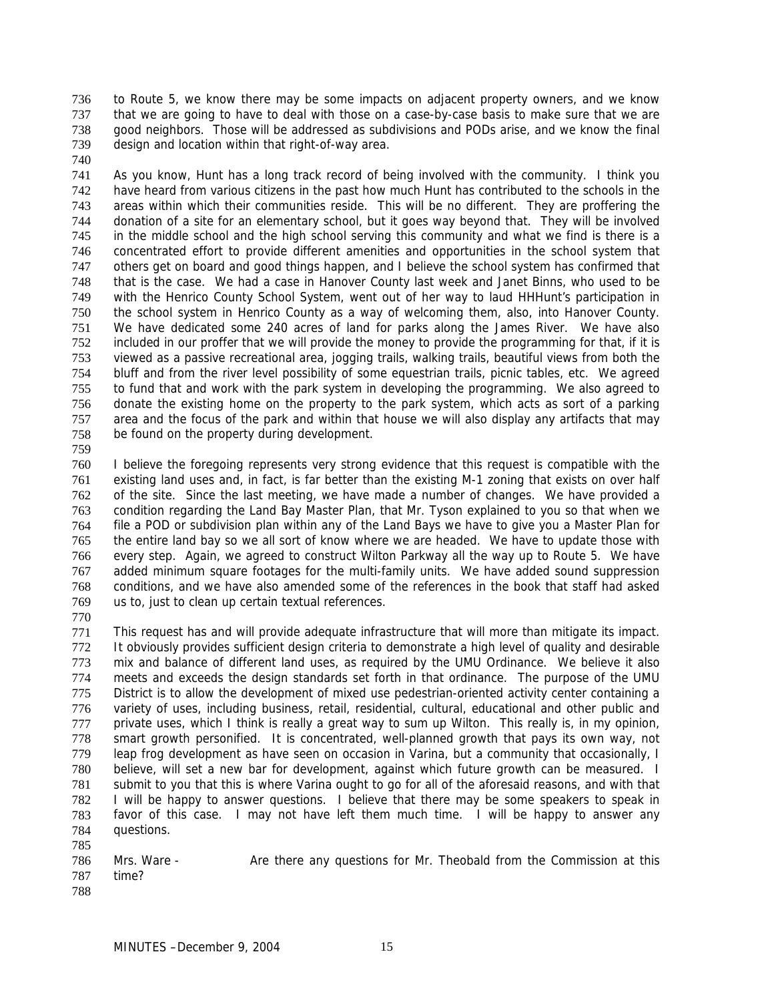to Route 5, we know there may be some impacts on adjacent property owners, and we know that we are going to have to deal with those on a case-by-case basis to make sure that we are good neighbors. Those will be addressed as subdivisions and PODs arise, and we know the final design and location within that right-of-way area. 736 737 738 739

740

741 742 743 744 745 746 747 748 749 750 751 752 753 754 755 756 757 758 As you know, Hunt has a long track record of being involved with the community. I think you have heard from various citizens in the past how much Hunt has contributed to the schools in the areas within which their communities reside. This will be no different. They are proffering the donation of a site for an elementary school, but it goes way beyond that. They will be involved in the middle school and the high school serving this community and what we find is there is a concentrated effort to provide different amenities and opportunities in the school system that others get on board and good things happen, and I believe the school system has confirmed that that is the case. We had a case in Hanover County last week and Janet Binns, who used to be with the Henrico County School System, went out of her way to laud HHHunt's participation in the school system in Henrico County as a way of welcoming them, also, into Hanover County. We have dedicated some 240 acres of land for parks along the James River. We have also included in our proffer that we will provide the money to provide the programming for that, if it is viewed as a passive recreational area, jogging trails, walking trails, beautiful views from both the bluff and from the river level possibility of some equestrian trails, picnic tables, etc. We agreed to fund that and work with the park system in developing the programming. We also agreed to donate the existing home on the property to the park system, which acts as sort of a parking area and the focus of the park and within that house we will also display any artifacts that may be found on the property during development.

759

760 761 762 763 764 765 766 767 768 769 I believe the foregoing represents very strong evidence that this request is compatible with the existing land uses and, in fact, is far better than the existing M-1 zoning that exists on over half of the site. Since the last meeting, we have made a number of changes. We have provided a condition regarding the Land Bay Master Plan, that Mr. Tyson explained to you so that when we file a POD or subdivision plan within any of the Land Bays we have to give you a Master Plan for the entire land bay so we all sort of know where we are headed. We have to update those with every step. Again, we agreed to construct Wilton Parkway all the way up to Route 5. We have added minimum square footages for the multi-family units. We have added sound suppression conditions, and we have also amended some of the references in the book that staff had asked us to, just to clean up certain textual references.

770

771 772 773 774 775 776 777 778 779 780 781 782 783 784 785 This request has and will provide adequate infrastructure that will more than mitigate its impact. It obviously provides sufficient design criteria to demonstrate a high level of quality and desirable mix and balance of different land uses, as required by the UMU Ordinance. We believe it also meets and exceeds the design standards set forth in that ordinance. The purpose of the UMU District is to allow the development of mixed use pedestrian-oriented activity center containing a variety of uses, including business, retail, residential, cultural, educational and other public and private uses, which I think is really a great way to sum up Wilton. This really is, in my opinion, smart growth personified. It is concentrated, well-planned growth that pays its own way, not leap frog development as have seen on occasion in Varina, but a community that occasionally, I believe, will set a new bar for development, against which future growth can be measured. I submit to you that this is where Varina ought to go for all of the aforesaid reasons, and with that I will be happy to answer questions. I believe that there may be some speakers to speak in favor of this case. I may not have left them much time. I will be happy to answer any questions.

786 787 Mrs. Ware - Are there any questions for Mr. Theobald from the Commission at this time?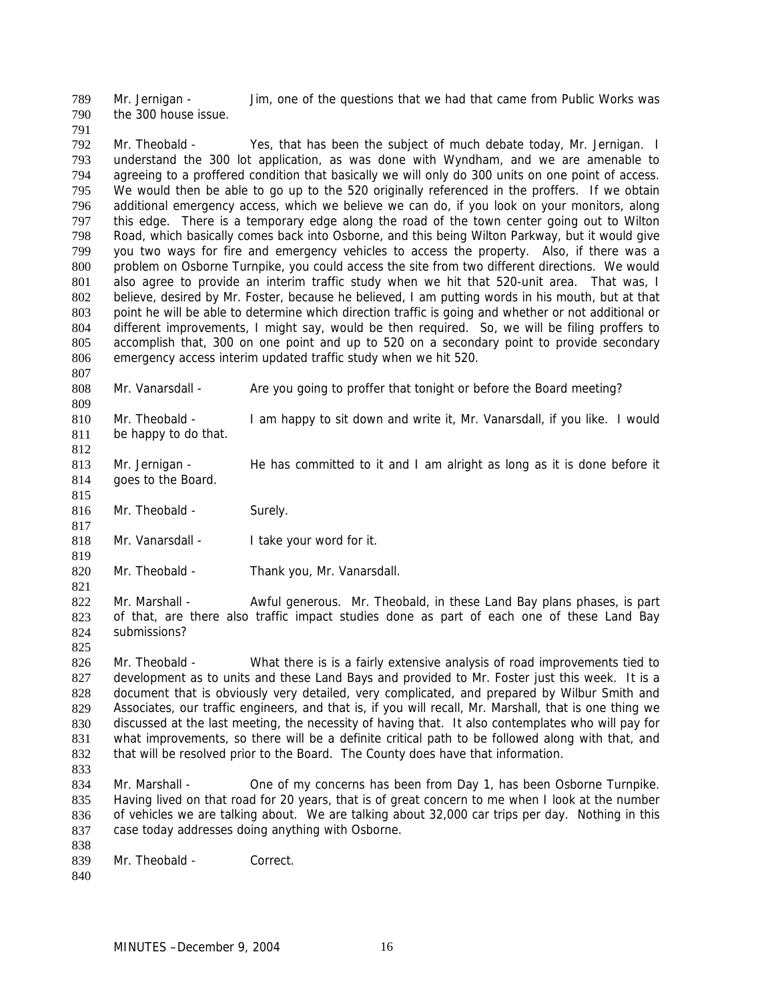Mr. Jernigan - Jim, one of the questions that we had that came from Public Works was the 300 house issue. 789 790

791

807

815

817

819

821

792 793 794 795 796 797 798 799 800 801 802 803 804 805 806 Mr. Theobald - Yes, that has been the subject of much debate today, Mr. Jernigan. I understand the 300 lot application, as was done with Wyndham, and we are amenable to agreeing to a proffered condition that basically we will only do 300 units on one point of access. We would then be able to go up to the 520 originally referenced in the proffers. If we obtain additional emergency access, which we believe we can do, if you look on your monitors, along this edge. There is a temporary edge along the road of the town center going out to Wilton Road, which basically comes back into Osborne, and this being Wilton Parkway, but it would give you two ways for fire and emergency vehicles to access the property. Also, if there was a problem on Osborne Turnpike, you could access the site from two different directions. We would also agree to provide an interim traffic study when we hit that 520-unit area. That was, I believe, desired by Mr. Foster, because he believed, I am putting words in his mouth, but at that point he will be able to determine which direction traffic is going and whether or not additional or different improvements, I might say, would be then required. So, we will be filing proffers to accomplish that, 300 on one point and up to 520 on a secondary point to provide secondary emergency access interim updated traffic study when we hit 520.

808 809 Mr. Vanarsdall - Are you going to proffer that tonight or before the Board meeting?

810 811 812 Mr. Theobald - I am happy to sit down and write it, Mr. Vanarsdall, if you like. I would be happy to do that.

813 814 Mr. Jernigan - He has committed to it and I am alright as long as it is done before it goes to the Board.

816 Mr. Theobald - Surely.

818 Mr. Vanarsdall - I take your word for it.

820 Mr. Theobald - Thank you, Mr. Vanarsdall.

822 823 824 Mr. Marshall - Awful generous. Mr. Theobald, in these Land Bay plans phases, is part of that, are there also traffic impact studies done as part of each one of these Land Bay submissions?

825

826 827 828 829 830 831 832 833 Mr. Theobald - What there is is a fairly extensive analysis of road improvements tied to development as to units and these Land Bays and provided to Mr. Foster just this week. It is a document that is obviously very detailed, very complicated, and prepared by Wilbur Smith and Associates, our traffic engineers, and that is, if you will recall, Mr. Marshall, that is one thing we discussed at the last meeting, the necessity of having that. It also contemplates who will pay for what improvements, so there will be a definite critical path to be followed along with that, and that will be resolved prior to the Board. The County does have that information.

- 834 835 836 837 Mr. Marshall - One of my concerns has been from Day 1, has been Osborne Turnpike. Having lived on that road for 20 years, that is of great concern to me when I look at the number of vehicles we are talking about. We are talking about 32,000 car trips per day. Nothing in this case today addresses doing anything with Osborne.
- 838 839 Mr. Theobald - Correct.
- 840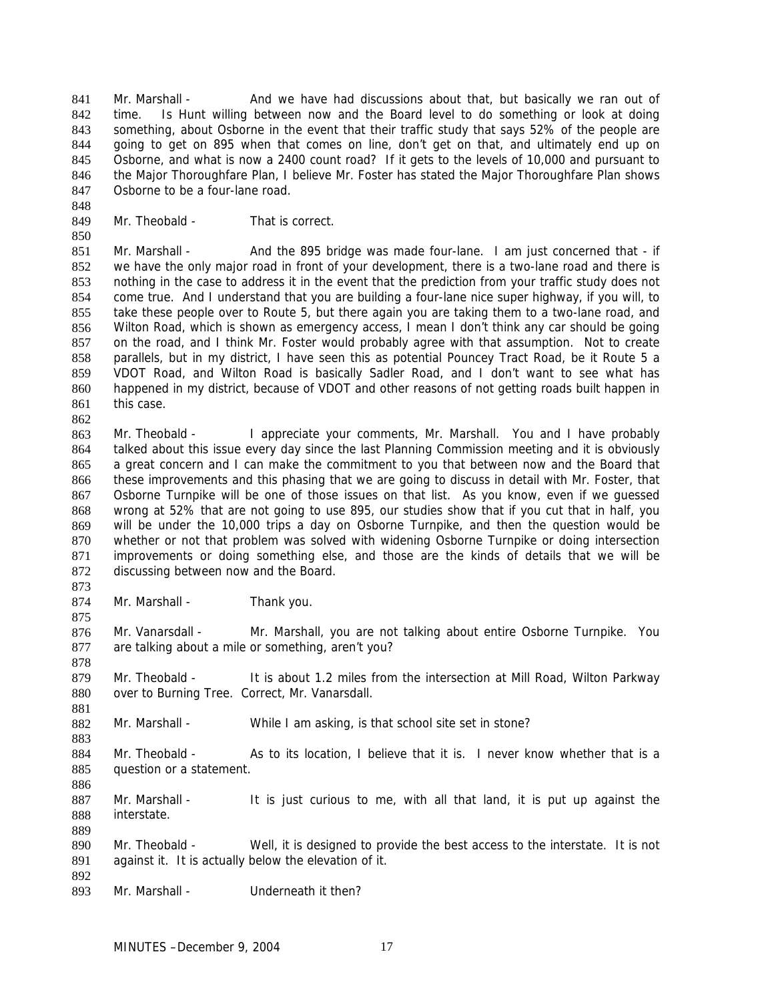Mr. Marshall - And we have had discussions about that, but basically we ran out of time. Is Hunt willing between now and the Board level to do something or look at doing something, about Osborne in the event that their traffic study that says 52% of the people are going to get on 895 when that comes on line, don't get on that, and ultimately end up on Osborne, and what is now a 2400 count road? If it gets to the levels of 10,000 and pursuant to the Major Thoroughfare Plan, I believe Mr. Foster has stated the Major Thoroughfare Plan shows Osborne to be a four-lane road. 841 842 843 844 845 846 847

849 Mr. Theobald - That is correct.

850

848

851 852 853 854 855 856 857 858 859 860 861 862 Mr. Marshall - And the 895 bridge was made four-lane. I am just concerned that - if we have the only major road in front of your development, there is a two-lane road and there is nothing in the case to address it in the event that the prediction from your traffic study does not come true. And I understand that you are building a four-lane nice super highway, if you will, to take these people over to Route 5, but there again you are taking them to a two-lane road, and Wilton Road, which is shown as emergency access, I mean I don't think any car should be going on the road, and I think Mr. Foster would probably agree with that assumption. Not to create parallels, but in my district, I have seen this as potential Pouncey Tract Road, be it Route 5 a VDOT Road, and Wilton Road is basically Sadler Road, and I don't want to see what has happened in my district, because of VDOT and other reasons of not getting roads built happen in this case.

863 864 865 866 867 868 869 870 871 872 Mr. Theobald - I appreciate your comments, Mr. Marshall. You and I have probably talked about this issue every day since the last Planning Commission meeting and it is obviously a great concern and I can make the commitment to you that between now and the Board that these improvements and this phasing that we are going to discuss in detail with Mr. Foster, that Osborne Turnpike will be one of those issues on that list. As you know, even if we guessed wrong at 52% that are not going to use 895, our studies show that if you cut that in half, you will be under the 10,000 trips a day on Osborne Turnpike, and then the question would be whether or not that problem was solved with widening Osborne Turnpike or doing intersection improvements or doing something else, and those are the kinds of details that we will be discussing between now and the Board.

873 874

875

878

881

883

886

889

892

Mr. Marshall - Thank you.

876 877 Mr. Vanarsdall - Mr. Marshall, you are not talking about entire Osborne Turnpike. You are talking about a mile or something, aren't you?

879 880 Mr. Theobald - It is about 1.2 miles from the intersection at Mill Road, Wilton Parkway over to Burning Tree. Correct, Mr. Vanarsdall.

- 882 Mr. Marshall - While I am asking, is that school site set in stone?
- 884 885 Mr. Theobald - As to its location, I believe that it is. I never know whether that is a question or a statement.
- 887 888 Mr. Marshall - It is just curious to me, with all that land, it is put up against the interstate.
- 890 891 Mr. Theobald - Well, it is designed to provide the best access to the interstate. It is not against it. It is actually below the elevation of it.
- 893 Mr. Marshall - Underneath it then?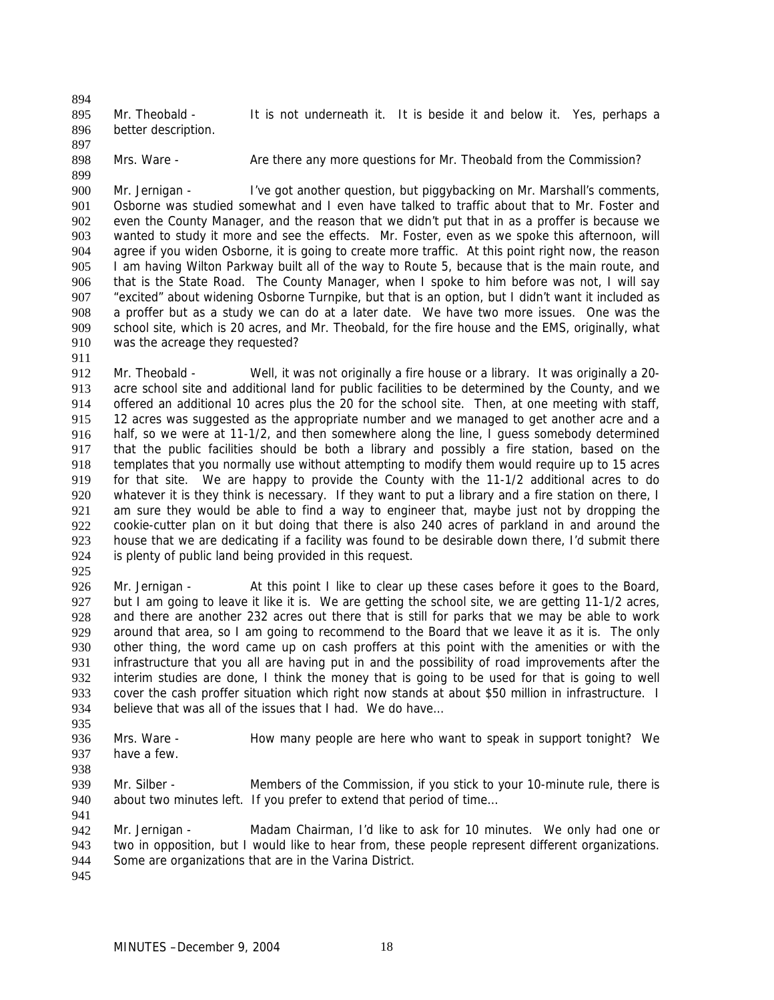895 896 Mr. Theobald - It is not underneath it. It is beside it and below it. Yes, perhaps a better description.

897 898

894

- 899
- Mrs. Ware Are there any more questions for Mr. Theobald from the Commission?

900 901 902 903 904 905 906 907 908 909 910 Mr. Jernigan - I've got another question, but piggybacking on Mr. Marshall's comments, Osborne was studied somewhat and I even have talked to traffic about that to Mr. Foster and even the County Manager, and the reason that we didn't put that in as a proffer is because we wanted to study it more and see the effects. Mr. Foster, even as we spoke this afternoon, will agree if you widen Osborne, it is going to create more traffic. At this point right now, the reason I am having Wilton Parkway built all of the way to Route 5, because that is the main route, and that is the State Road. The County Manager, when I spoke to him before was not, I will say "excited" about widening Osborne Turnpike, but that is an option, but I didn't want it included as a proffer but as a study we can do at a later date. We have two more issues. One was the school site, which is 20 acres, and Mr. Theobald, for the fire house and the EMS, originally, what was the acreage they requested?

911

912 913 914 915 916 917 918 919 920 921 922 923 924 Mr. Theobald - Well, it was not originally a fire house or a library. It was originally a 20acre school site and additional land for public facilities to be determined by the County, and we offered an additional 10 acres plus the 20 for the school site. Then, at one meeting with staff, 12 acres was suggested as the appropriate number and we managed to get another acre and a half, so we were at 11-1/2, and then somewhere along the line, I guess somebody determined that the public facilities should be both a library and possibly a fire station, based on the templates that you normally use without attempting to modify them would require up to 15 acres for that site. We are happy to provide the County with the 11-1/2 additional acres to do whatever it is they think is necessary. If they want to put a library and a fire station on there, I am sure they would be able to find a way to engineer that, maybe just not by dropping the cookie-cutter plan on it but doing that there is also 240 acres of parkland in and around the house that we are dedicating if a facility was found to be desirable down there, I'd submit there is plenty of public land being provided in this request.

925

926 927 928 929 930 931 932 933 934 Mr. Jernigan - At this point I like to clear up these cases before it goes to the Board, but I am going to leave it like it is. We are getting the school site, we are getting 11-1/2 acres, and there are another 232 acres out there that is still for parks that we may be able to work around that area, so I am going to recommend to the Board that we leave it as it is. The only other thing, the word came up on cash proffers at this point with the amenities or with the infrastructure that you all are having put in and the possibility of road improvements after the interim studies are done, I think the money that is going to be used for that is going to well cover the cash proffer situation which right now stands at about \$50 million in infrastructure. I believe that was all of the issues that I had. We do have…

- 936 937 Mrs. Ware - How many people are here who want to speak in support tonight? We have a few.
- 938

935

939 940 941 Mr. Silber - Members of the Commission, if you stick to your 10-minute rule, there is about two minutes left. If you prefer to extend that period of time…

- 942 943 944 Mr. Jernigan - Madam Chairman, I'd like to ask for 10 minutes. We only had one or two in opposition, but I would like to hear from, these people represent different organizations. Some are organizations that are in the Varina District.
- 945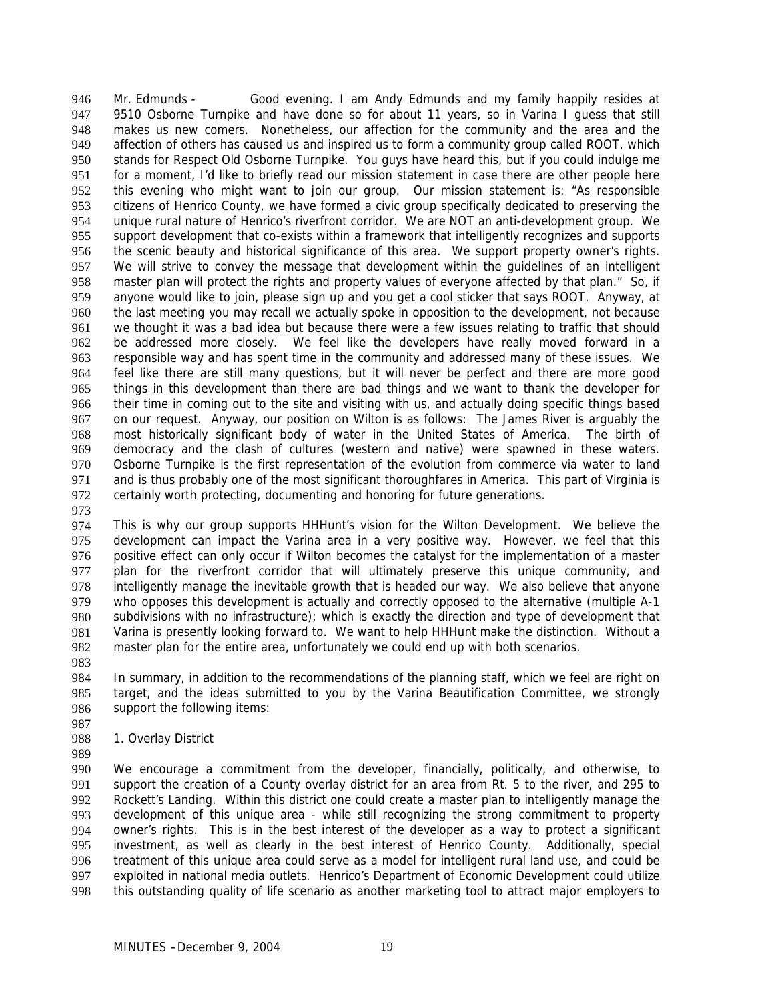Mr. Edmunds - Good evening. I am Andy Edmunds and my family happily resides at 9510 Osborne Turnpike and have done so for about 11 years, so in Varina I guess that still makes us new comers. Nonetheless, our affection for the community and the area and the affection of others has caused us and inspired us to form a community group called ROOT, which stands for Respect Old Osborne Turnpike. You guys have heard this, but if you could indulge me for a moment, I'd like to briefly read our mission statement in case there are other people here this evening who might want to join our group. Our mission statement is: "As responsible citizens of Henrico County, we have formed a civic group specifically dedicated to preserving the unique rural nature of Henrico's riverfront corridor. We are NOT an anti-development group. We support development that co-exists within a framework that intelligently recognizes and supports the scenic beauty and historical significance of this area. We support property owner's rights. We will strive to convey the message that development within the quidelines of an intelligent master plan will protect the rights and property values of everyone affected by that plan." So, if anyone would like to join, please sign up and you get a cool sticker that says ROOT. Anyway, at the last meeting you may recall we actually spoke in opposition to the development, not because we thought it was a bad idea but because there were a few issues relating to traffic that should be addressed more closely. We feel like the developers have really moved forward in a responsible way and has spent time in the community and addressed many of these issues. We feel like there are still many questions, but it will never be perfect and there are more good things in this development than there are bad things and we want to thank the developer for their time in coming out to the site and visiting with us, and actually doing specific things based on our request. Anyway, our position on Wilton is as follows: The James River is arguably the most historically significant body of water in the United States of America. The birth of democracy and the clash of cultures (western and native) were spawned in these waters. Osborne Turnpike is the first representation of the evolution from commerce via water to land and is thus probably one of the most significant thoroughfares in America. This part of Virginia is certainly worth protecting, documenting and honoring for future generations. 946 947 948 949 950 951 952 953 954 955 956 957 958 959 960 961 962 963 964 965 966 967 968 969 970 971 972

973

974 975 976 977 978 979 980 981 982 This is why our group supports HHHunt's vision for the Wilton Development. We believe the development can impact the Varina area in a very positive way. However, we feel that this positive effect can only occur if Wilton becomes the catalyst for the implementation of a master plan for the riverfront corridor that will ultimately preserve this unique community, and intelligently manage the inevitable growth that is headed our way. We also believe that anyone who opposes this development is actually and correctly opposed to the alternative (multiple A-1 subdivisions with no infrastructure); which is exactly the direction and type of development that Varina is presently looking forward to. We want to help HHHunt make the distinction. Without a master plan for the entire area, unfortunately we could end up with both scenarios.

983

984 985 986 In summary, in addition to the recommendations of the planning staff, which we feel are right on target, and the ideas submitted to you by the Varina Beautification Committee, we strongly support the following items:

- 987 988 1. Overlay District
- 989

990 991 992 993 994 995 996 997 998 We encourage a commitment from the developer, financially, politically, and otherwise, to support the creation of a County overlay district for an area from Rt. 5 to the river, and 295 to Rockett's Landing. Within this district one could create a master plan to intelligently manage the development of this unique area - while still recognizing the strong commitment to property owner's rights. This is in the best interest of the developer as a way to protect a significant investment, as well as clearly in the best interest of Henrico County. Additionally, special treatment of this unique area could serve as a model for intelligent rural land use, and could be exploited in national media outlets. Henrico's Department of Economic Development could utilize this outstanding quality of life scenario as another marketing tool to attract major employers to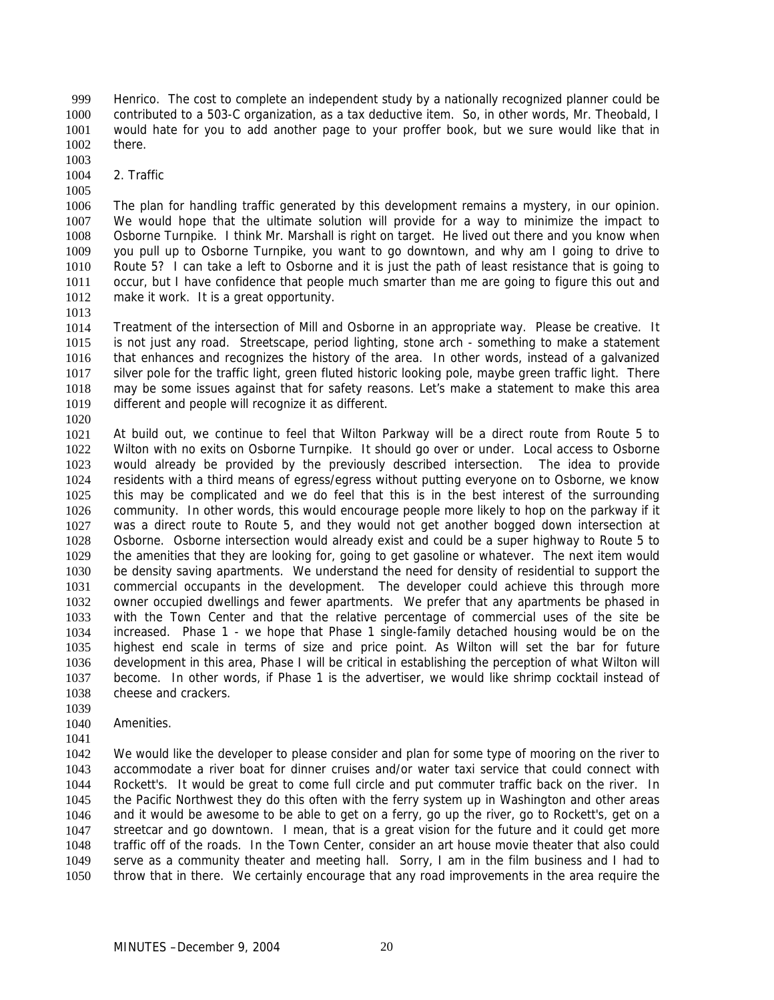Henrico. The cost to complete an independent study by a nationally recognized planner could be contributed to a 503-C organization, as a tax deductive item. So, in other words, Mr. Theobald, I would hate for you to add another page to your proffer book, but we sure would like that in there. 999 1000 1001 1002

- 1003
- 1004 2. Traffic

1005

1006 1007 1008 1009 1010 1011 1012 The plan for handling traffic generated by this development remains a mystery, in our opinion. We would hope that the ultimate solution will provide for a way to minimize the impact to Osborne Turnpike. I think Mr. Marshall is right on target. He lived out there and you know when you pull up to Osborne Turnpike, you want to go downtown, and why am I going to drive to Route 5? I can take a left to Osborne and it is just the path of least resistance that is going to occur, but I have confidence that people much smarter than me are going to figure this out and make it work. It is a great opportunity.

1013

1014 1015 1016 1017 1018 1019 Treatment of the intersection of Mill and Osborne in an appropriate way. Please be creative. It is not just any road. Streetscape, period lighting, stone arch - something to make a statement that enhances and recognizes the history of the area. In other words, instead of a galvanized silver pole for the traffic light, green fluted historic looking pole, maybe green traffic light. There may be some issues against that for safety reasons. Let's make a statement to make this area different and people will recognize it as different.

1020

1021 1022 1023 1024 1025 1026 1027 1028 1029 1030 1031 1032 1033 1034 1035 1036 1037 1038 At build out, we continue to feel that Wilton Parkway will be a direct route from Route 5 to Wilton with no exits on Osborne Turnpike. It should go over or under. Local access to Osborne would already be provided by the previously described intersection. The idea to provide residents with a third means of egress/egress without putting everyone on to Osborne, we know this may be complicated and we do feel that this is in the best interest of the surrounding community. In other words, this would encourage people more likely to hop on the parkway if it was a direct route to Route 5, and they would not get another bogged down intersection at Osborne. Osborne intersection would already exist and could be a super highway to Route 5 to the amenities that they are looking for, going to get gasoline or whatever. The next item would be density saving apartments. We understand the need for density of residential to support the commercial occupants in the development. The developer could achieve this through more owner occupied dwellings and fewer apartments. We prefer that any apartments be phased in with the Town Center and that the relative percentage of commercial uses of the site be increased. Phase 1 - we hope that Phase 1 single-family detached housing would be on the highest end scale in terms of size and price point. As Wilton will set the bar for future development in this area, Phase I will be critical in establishing the perception of what Wilton will become. In other words, if Phase 1 is the advertiser, we would like shrimp cocktail instead of cheese and crackers.

- 1039
- 1040 Amenities.
- 1041

1042 1043 1044 1045 1046 1047 1048 1049 1050 We would like the developer to please consider and plan for some type of mooring on the river to accommodate a river boat for dinner cruises and/or water taxi service that could connect with Rockett's. It would be great to come full circle and put commuter traffic back on the river. In the Pacific Northwest they do this often with the ferry system up in Washington and other areas and it would be awesome to be able to get on a ferry, go up the river, go to Rockett's, get on a streetcar and go downtown. I mean, that is a great vision for the future and it could get more traffic off of the roads. In the Town Center, consider an art house movie theater that also could serve as a community theater and meeting hall. Sorry, I am in the film business and I had to throw that in there. We certainly encourage that any road improvements in the area require the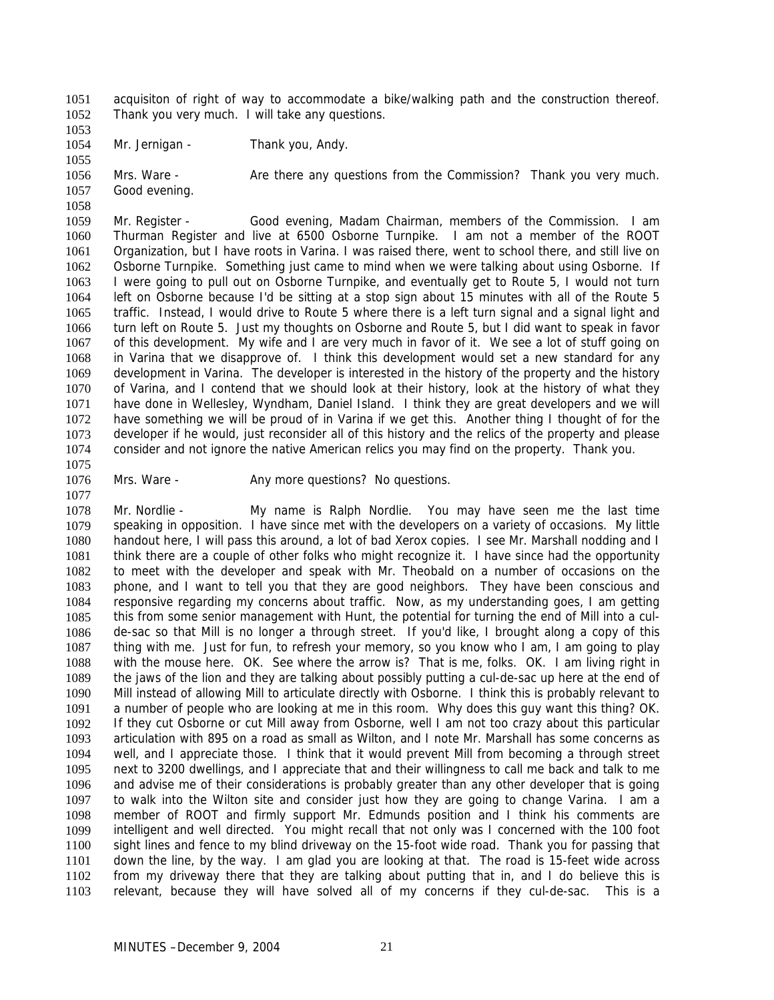acquisiton of right of way to accommodate a bike/walking path and the construction thereof. Thank you very much. I will take any questions. 1051 1052

1053

1055

1058

1077

1054 Mr. Jernigan - Thank you, Andy.

1056 1057 Mrs. Ware - Are there any questions from the Commission? Thank you very much. Good evening.

1059 1060 1061 1062 1063 1064 1065 1066 1067 1068 1069 1070 1071 1072 1073 1074 1075 Mr. Register - Good evening, Madam Chairman, members of the Commission. I am Thurman Register and live at 6500 Osborne Turnpike. I am not a member of the ROOT Organization, but I have roots in Varina. I was raised there, went to school there, and still live on Osborne Turnpike. Something just came to mind when we were talking about using Osborne. If I were going to pull out on Osborne Turnpike, and eventually get to Route 5, I would not turn left on Osborne because I'd be sitting at a stop sign about 15 minutes with all of the Route 5 traffic. Instead, I would drive to Route 5 where there is a left turn signal and a signal light and turn left on Route 5. Just my thoughts on Osborne and Route 5, but I did want to speak in favor of this development. My wife and I are very much in favor of it. We see a lot of stuff going on in Varina that we disapprove of. I think this development would set a new standard for any development in Varina. The developer is interested in the history of the property and the history of Varina, and I contend that we should look at their history, look at the history of what they have done in Wellesley, Wyndham, Daniel Island. I think they are great developers and we will have something we will be proud of in Varina if we get this. Another thing I thought of for the developer if he would, just reconsider all of this history and the relics of the property and please consider and not ignore the native American relics you may find on the property. Thank you.

1076 Mrs. Ware - The Any more questions? No questions.

1078 1079 1080 1081 1082 1083 1084 1085 1086 1087 1088 1089 1090 1091 1092 1093 1094 1095 1096 1097 1098 1099 1100 1101 1102 1103 Mr. Nordlie - My name is Ralph Nordlie. You may have seen me the last time speaking in opposition. I have since met with the developers on a variety of occasions. My little handout here, I will pass this around, a lot of bad Xerox copies. I see Mr. Marshall nodding and I think there are a couple of other folks who might recognize it. I have since had the opportunity to meet with the developer and speak with Mr. Theobald on a number of occasions on the phone, and I want to tell you that they are good neighbors. They have been conscious and responsive regarding my concerns about traffic. Now, as my understanding goes, I am getting this from some senior management with Hunt, the potential for turning the end of Mill into a culde-sac so that Mill is no longer a through street. If you'd like, I brought along a copy of this thing with me. Just for fun, to refresh your memory, so you know who I am, I am going to play with the mouse here. OK. See where the arrow is? That is me, folks. OK. I am living right in the jaws of the lion and they are talking about possibly putting a cul-de-sac up here at the end of Mill instead of allowing Mill to articulate directly with Osborne. I think this is probably relevant to a number of people who are looking at me in this room. Why does this guy want this thing? OK. If they cut Osborne or cut Mill away from Osborne, well I am not too crazy about this particular articulation with 895 on a road as small as Wilton, and I note Mr. Marshall has some concerns as well, and I appreciate those. I think that it would prevent Mill from becoming a through street next to 3200 dwellings, and I appreciate that and their willingness to call me back and talk to me and advise me of their considerations is probably greater than any other developer that is going to walk into the Wilton site and consider just how they are going to change Varina. I am a member of ROOT and firmly support Mr. Edmunds position and I think his comments are intelligent and well directed. You might recall that not only was I concerned with the 100 foot sight lines and fence to my blind driveway on the 15-foot wide road. Thank you for passing that down the line, by the way. I am glad you are looking at that. The road is 15-feet wide across from my driveway there that they are talking about putting that in, and I do believe this is relevant, because they will have solved all of my concerns if they cul-de-sac. This is a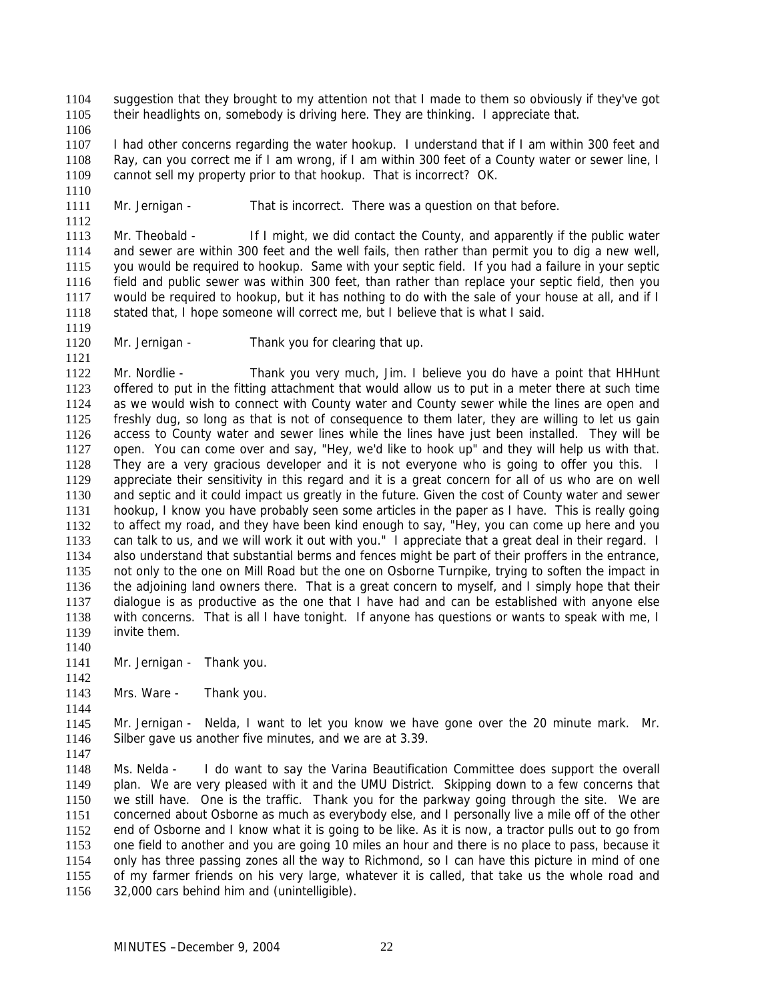suggestion that they brought to my attention not that I made to them so obviously if they've got their headlights on, somebody is driving here. They are thinking. I appreciate that. 1104 1105

1106

1110

1112

1107 1108 1109 I had other concerns regarding the water hookup. I understand that if I am within 300 feet and Ray, can you correct me if I am wrong, if I am within 300 feet of a County water or sewer line, I cannot sell my property prior to that hookup. That is incorrect? OK.

1111 Mr. Jernigan - That is incorrect. There was a question on that before.

1113 1114 1115 1116 1117 1118 Mr. Theobald - If I might, we did contact the County, and apparently if the public water and sewer are within 300 feet and the well fails, then rather than permit you to dig a new well, you would be required to hookup. Same with your septic field. If you had a failure in your septic field and public sewer was within 300 feet, than rather than replace your septic field, then you would be required to hookup, but it has nothing to do with the sale of your house at all, and if I stated that, I hope someone will correct me, but I believe that is what I said.

- 1119 1120 1121
- Mr. Jernigan Thank you for clearing that up.

1122 1123 1124 1125 1126 1127 1128 1129 1130 1131 1132 1133 1134 1135 1136 1137 1138 1139 Mr. Nordlie - Thank you very much, Jim. I believe you do have a point that HHHunt offered to put in the fitting attachment that would allow us to put in a meter there at such time as we would wish to connect with County water and County sewer while the lines are open and freshly dug, so long as that is not of consequence to them later, they are willing to let us gain access to County water and sewer lines while the lines have just been installed. They will be open. You can come over and say, "Hey, we'd like to hook up" and they will help us with that. They are a very gracious developer and it is not everyone who is going to offer you this. I appreciate their sensitivity in this regard and it is a great concern for all of us who are on well and septic and it could impact us greatly in the future. Given the cost of County water and sewer hookup, I know you have probably seen some articles in the paper as I have. This is really going to affect my road, and they have been kind enough to say, "Hey, you can come up here and you can talk to us, and we will work it out with you." I appreciate that a great deal in their regard. I also understand that substantial berms and fences might be part of their proffers in the entrance, not only to the one on Mill Road but the one on Osborne Turnpike, trying to soften the impact in the adjoining land owners there. That is a great concern to myself, and I simply hope that their dialogue is as productive as the one that I have had and can be established with anyone else with concerns. That is all I have tonight. If anyone has questions or wants to speak with me, I invite them.

- 1141 Mr. Jernigan - Thank you.
- 1143 Mrs. Ware - Thank you.

1145 1146 Mr. Jernigan - Nelda, I want to let you know we have gone over the 20 minute mark. Mr. Silber gave us another five minutes, and we are at 3.39.

1147

1140

1142

1144

1148 1149 1150 1151 1152 1153 1154 1155 1156 Ms. Nelda - I do want to say the Varina Beautification Committee does support the overall plan. We are very pleased with it and the UMU District. Skipping down to a few concerns that we still have. One is the traffic. Thank you for the parkway going through the site. We are concerned about Osborne as much as everybody else, and I personally live a mile off of the other end of Osborne and I know what it is going to be like. As it is now, a tractor pulls out to go from one field to another and you are going 10 miles an hour and there is no place to pass, because it only has three passing zones all the way to Richmond, so I can have this picture in mind of one of my farmer friends on his very large, whatever it is called, that take us the whole road and 32,000 cars behind him and (unintelligible).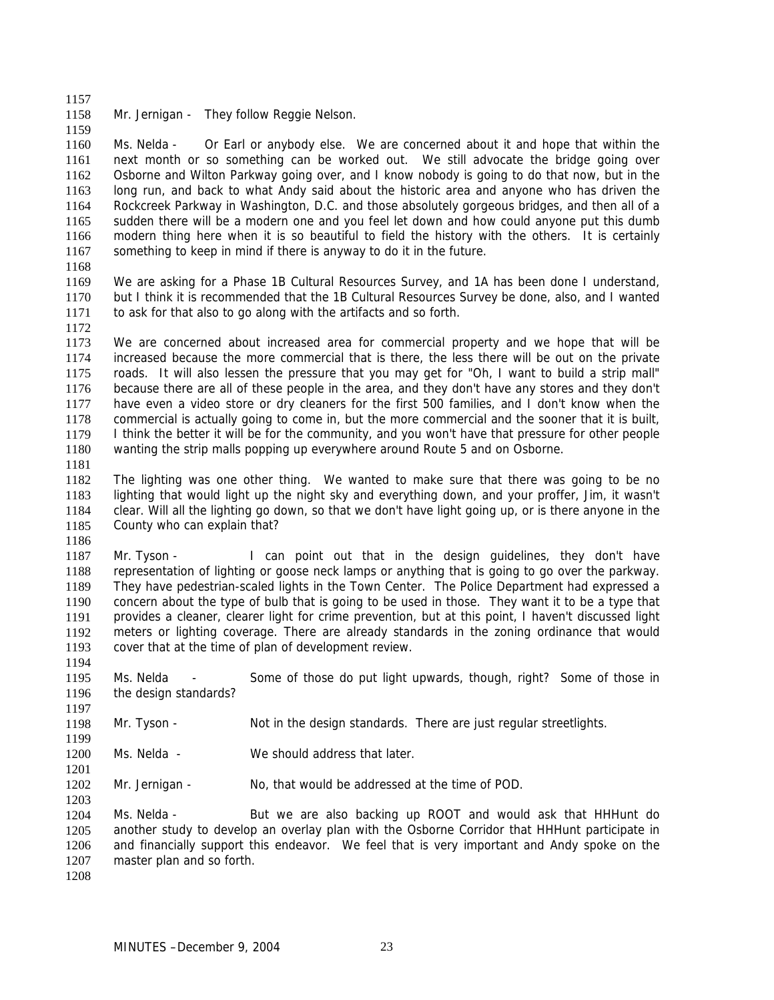1157 1158 Mr. Jernigan - They follow Reggie Nelson.

1160 1161 1162 1163 1164 1165 1166 1167 Ms. Nelda - Or Earl or anybody else. We are concerned about it and hope that within the next month or so something can be worked out. We still advocate the bridge going over Osborne and Wilton Parkway going over, and I know nobody is going to do that now, but in the long run, and back to what Andy said about the historic area and anyone who has driven the Rockcreek Parkway in Washington, D.C. and those absolutely gorgeous bridges, and then all of a sudden there will be a modern one and you feel let down and how could anyone put this dumb modern thing here when it is so beautiful to field the history with the others. It is certainly something to keep in mind if there is anyway to do it in the future.

1168

1159

- 1169 1170 1171 We are asking for a Phase 1B Cultural Resources Survey, and 1A has been done I understand, but I think it is recommended that the 1B Cultural Resources Survey be done, also, and I wanted to ask for that also to go along with the artifacts and so forth.
- 1172

1173 1174 1175 1176 1177 1178 1179 1180 We are concerned about increased area for commercial property and we hope that will be increased because the more commercial that is there, the less there will be out on the private roads. It will also lessen the pressure that you may get for "Oh, I want to build a strip mall" because there are all of these people in the area, and they don't have any stores and they don't have even a video store or dry cleaners for the first 500 families, and I don't know when the commercial is actually going to come in, but the more commercial and the sooner that it is built, I think the better it will be for the community, and you won't have that pressure for other people wanting the strip malls popping up everywhere around Route 5 and on Osborne.

1181

1194

1197

1201

1203

1182 1183 1184 1185 1186 The lighting was one other thing. We wanted to make sure that there was going to be no lighting that would light up the night sky and everything down, and your proffer, Jim, it wasn't clear. Will all the lighting go down, so that we don't have light going up, or is there anyone in the County who can explain that?

1187 1188 1189 1190 1191 1192 1193 Mr. Tyson - I can point out that in the design quidelines, they don't have representation of lighting or goose neck lamps or anything that is going to go over the parkway. They have pedestrian-scaled lights in the Town Center. The Police Department had expressed a concern about the type of bulb that is going to be used in those. They want it to be a type that provides a cleaner, clearer light for crime prevention, but at this point, I haven't discussed light meters or lighting coverage. There are already standards in the zoning ordinance that would cover that at the time of plan of development review.

- 1195 1196 Ms. Nelda - Some of those do put light upwards, though, right? Some of those in the design standards?
- 1198 1199 Mr. Tyson - Not in the design standards. There are just regular streetlights.
- 1200 Ms. Nelda - We should address that later.

1202 Mr. Jernigan - No, that would be addressed at the time of POD.

1204 1205 1206 1207 Ms. Nelda - But we are also backing up ROOT and would ask that HHHunt do another study to develop an overlay plan with the Osborne Corridor that HHHunt participate in and financially support this endeavor. We feel that is very important and Andy spoke on the master plan and so forth.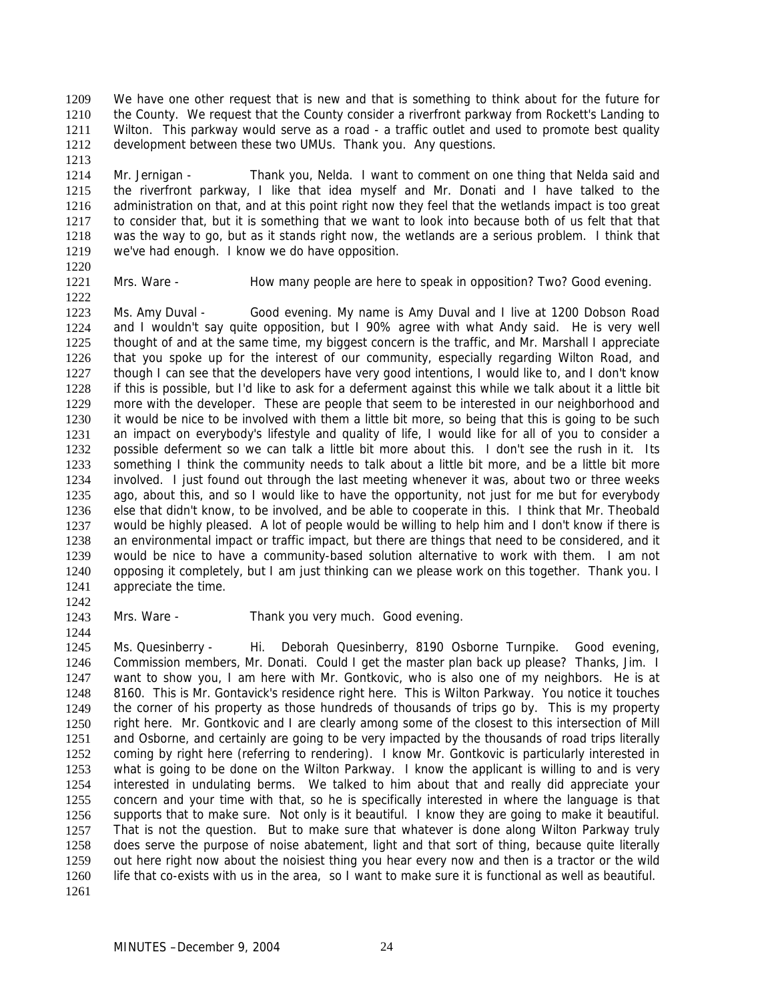We have one other request that is new and that is something to think about for the future for the County. We request that the County consider a riverfront parkway from Rockett's Landing to Wilton. This parkway would serve as a road - a traffic outlet and used to promote best quality development between these two UMUs. Thank you. Any questions. 1209 1210 1211 1212

1214 1215 1216 1217 1218 1219 Mr. Jernigan - Thank you, Nelda. I want to comment on one thing that Nelda said and the riverfront parkway, I like that idea myself and Mr. Donati and I have talked to the administration on that, and at this point right now they feel that the wetlands impact is too great to consider that, but it is something that we want to look into because both of us felt that that was the way to go, but as it stands right now, the wetlands are a serious problem. I think that we've had enough. I know we do have opposition.

1220 1221

1222

1213

Mrs. Ware - How many people are here to speak in opposition? Two? Good evening.

1223 1224 1225 1226 1227 1228 1229 1230 1231 1232 1233 1234 1235 1236 1237 1238 1239 1240 1241 Ms. Amy Duval - Good evening. My name is Amy Duval and I live at 1200 Dobson Road and I wouldn't say quite opposition, but I 90% agree with what Andy said. He is very well thought of and at the same time, my biggest concern is the traffic, and Mr. Marshall I appreciate that you spoke up for the interest of our community, especially regarding Wilton Road, and though I can see that the developers have very good intentions, I would like to, and I don't know if this is possible, but I'd like to ask for a deferment against this while we talk about it a little bit more with the developer. These are people that seem to be interested in our neighborhood and it would be nice to be involved with them a little bit more, so being that this is going to be such an impact on everybody's lifestyle and quality of life, I would like for all of you to consider a possible deferment so we can talk a little bit more about this. I don't see the rush in it. Its something I think the community needs to talk about a little bit more, and be a little bit more involved. I just found out through the last meeting whenever it was, about two or three weeks ago, about this, and so I would like to have the opportunity, not just for me but for everybody else that didn't know, to be involved, and be able to cooperate in this. I think that Mr. Theobald would be highly pleased. A lot of people would be willing to help him and I don't know if there is an environmental impact or traffic impact, but there are things that need to be considered, and it would be nice to have a community-based solution alternative to work with them. I am not opposing it completely, but I am just thinking can we please work on this together. Thank you. I appreciate the time.

- 1242
- 1243 1244

Mrs. Ware - Thank you very much. Good evening.

1245 1246 1247 1248 1249 1250 1251 1252 1253 1254 1255 1256 1257 1258 1259 1260 1261 Ms. Quesinberry - Hi. Deborah Quesinberry, 8190 Osborne Turnpike. Good evening, Commission members, Mr. Donati. Could I get the master plan back up please? Thanks, Jim. I want to show you, I am here with Mr. Gontkovic, who is also one of my neighbors. He is at 8160. This is Mr. Gontavick's residence right here. This is Wilton Parkway. You notice it touches the corner of his property as those hundreds of thousands of trips go by. This is my property right here. Mr. Gontkovic and I are clearly among some of the closest to this intersection of Mill and Osborne, and certainly are going to be very impacted by the thousands of road trips literally coming by right here (referring to rendering). I know Mr. Gontkovic is particularly interested in what is going to be done on the Wilton Parkway. I know the applicant is willing to and is very interested in undulating berms. We talked to him about that and really did appreciate your concern and your time with that, so he is specifically interested in where the language is that supports that to make sure. Not only is it beautiful. I know they are going to make it beautiful. That is not the question. But to make sure that whatever is done along Wilton Parkway truly does serve the purpose of noise abatement, light and that sort of thing, because quite literally out here right now about the noisiest thing you hear every now and then is a tractor or the wild life that co-exists with us in the area, so I want to make sure it is functional as well as beautiful.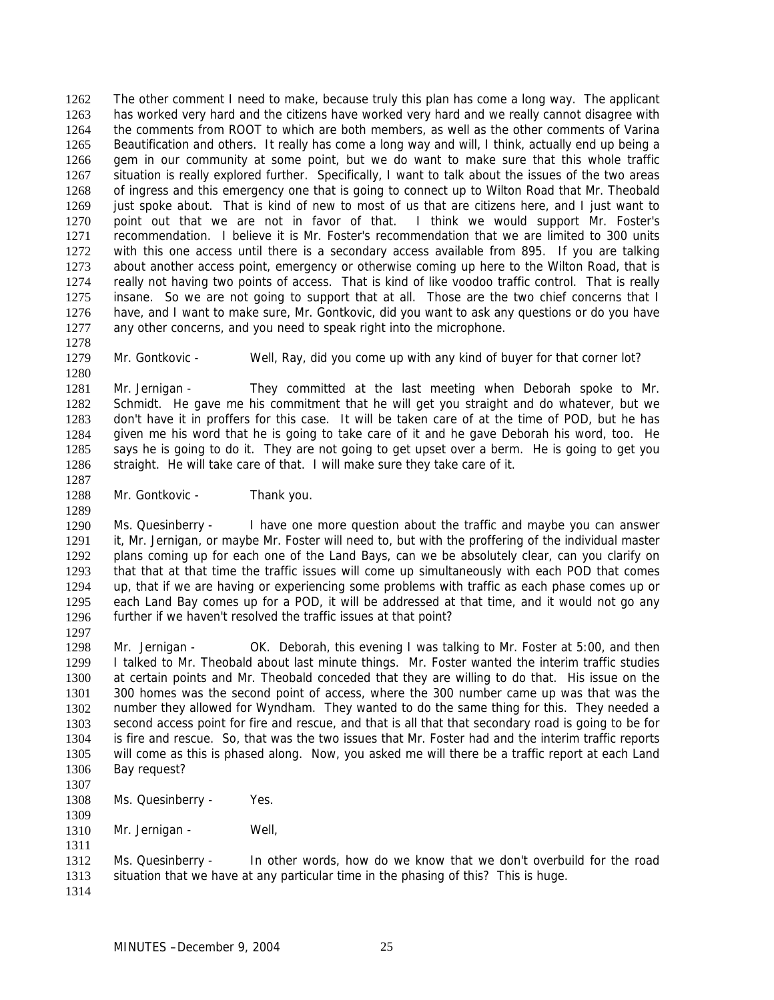The other comment I need to make, because truly this plan has come a long way. The applicant has worked very hard and the citizens have worked very hard and we really cannot disagree with the comments from ROOT to which are both members, as well as the other comments of Varina Beautification and others. It really has come a long way and will, I think, actually end up being a gem in our community at some point, but we do want to make sure that this whole traffic situation is really explored further. Specifically, I want to talk about the issues of the two areas of ingress and this emergency one that is going to connect up to Wilton Road that Mr. Theobald just spoke about. That is kind of new to most of us that are citizens here, and I just want to point out that we are not in favor of that. I think we would support Mr. Foster's recommendation. I believe it is Mr. Foster's recommendation that we are limited to 300 units with this one access until there is a secondary access available from 895. If you are talking about another access point, emergency or otherwise coming up here to the Wilton Road, that is really not having two points of access. That is kind of like voodoo traffic control. That is really insane. So we are not going to support that at all. Those are the two chief concerns that I have, and I want to make sure, Mr. Gontkovic, did you want to ask any questions or do you have any other concerns, and you need to speak right into the microphone. 1262 1263 1264 1265 1266 1267 1268 1269 1270 1271 1272 1273 1274 1275 1276 1277

1279 1280 Mr. Gontkovic - Well, Ray, did you come up with any kind of buyer for that corner lot?

1281 1282 1283 1284 1285 1286 1287 Mr. Jernigan - They committed at the last meeting when Deborah spoke to Mr. Schmidt. He gave me his commitment that he will get you straight and do whatever, but we don't have it in proffers for this case. It will be taken care of at the time of POD, but he has given me his word that he is going to take care of it and he gave Deborah his word, too. He says he is going to do it. They are not going to get upset over a berm. He is going to get you straight. He will take care of that. I will make sure they take care of it.

1288 Mr. Gontkovic - Thank you.

1290 1291 1292 1293 1294 1295 1296 1297 Ms. Quesinberry - I have one more question about the traffic and maybe you can answer it, Mr. Jernigan, or maybe Mr. Foster will need to, but with the proffering of the individual master plans coming up for each one of the Land Bays, can we be absolutely clear, can you clarify on that that at that time the traffic issues will come up simultaneously with each POD that comes up, that if we are having or experiencing some problems with traffic as each phase comes up or each Land Bay comes up for a POD, it will be addressed at that time, and it would not go any further if we haven't resolved the traffic issues at that point?

- 1298 1299 1300 1301 1302 1303 1304 1305 1306 1307 Mr. Jernigan - OK. Deborah, this evening I was talking to Mr. Foster at 5:00, and then I talked to Mr. Theobald about last minute things. Mr. Foster wanted the interim traffic studies at certain points and Mr. Theobald conceded that they are willing to do that. His issue on the 300 homes was the second point of access, where the 300 number came up was that was the number they allowed for Wyndham. They wanted to do the same thing for this. They needed a second access point for fire and rescue, and that is all that that secondary road is going to be for is fire and rescue. So, that was the two issues that Mr. Foster had and the interim traffic reports will come as this is phased along. Now, you asked me will there be a traffic report at each Land Bay request?
- 1308 Ms. Quesinberry - Yes.
- 1309 1310 Mr. Jernigan - Well,
- 1312 1313 Ms. Quesinberry - In other words, how do we know that we don't overbuild for the road situation that we have at any particular time in the phasing of this? This is huge.
- 1314

1311

1278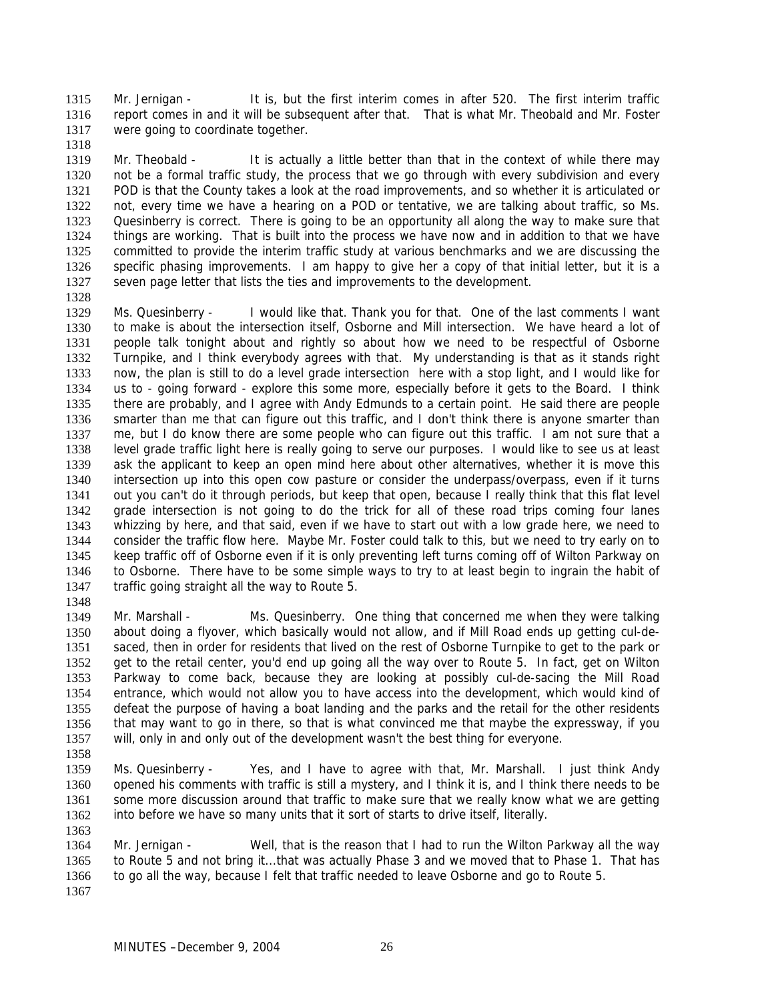Mr. Jernigan - It is, but the first interim comes in after 520. The first interim traffic report comes in and it will be subsequent after that. That is what Mr. Theobald and Mr. Foster were going to coordinate together. 1315 1316 1317

1319 1320 1321 1322 1323 1324 1325 1326 1327 Mr. Theobald - It is actually a little better than that in the context of while there may not be a formal traffic study, the process that we go through with every subdivision and every POD is that the County takes a look at the road improvements, and so whether it is articulated or not, every time we have a hearing on a POD or tentative, we are talking about traffic, so Ms. Quesinberry is correct. There is going to be an opportunity all along the way to make sure that things are working. That is built into the process we have now and in addition to that we have committed to provide the interim traffic study at various benchmarks and we are discussing the specific phasing improvements. I am happy to give her a copy of that initial letter, but it is a seven page letter that lists the ties and improvements to the development.

1328

1318

1329 1330 1331 1332 1333 1334 1335 1336 1337 1338 1339 1340 1341 1342 1343 1344 1345 1346 1347 1348 Ms. Quesinberry - I would like that. Thank you for that. One of the last comments I want to make is about the intersection itself, Osborne and Mill intersection. We have heard a lot of people talk tonight about and rightly so about how we need to be respectful of Osborne Turnpike, and I think everybody agrees with that. My understanding is that as it stands right now, the plan is still to do a level grade intersection here with a stop light, and I would like for us to - going forward - explore this some more, especially before it gets to the Board. I think there are probably, and I agree with Andy Edmunds to a certain point. He said there are people smarter than me that can figure out this traffic, and I don't think there is anyone smarter than me, but I do know there are some people who can figure out this traffic. I am not sure that a level grade traffic light here is really going to serve our purposes. I would like to see us at least ask the applicant to keep an open mind here about other alternatives, whether it is move this intersection up into this open cow pasture or consider the underpass/overpass, even if it turns out you can't do it through periods, but keep that open, because I really think that this flat level grade intersection is not going to do the trick for all of these road trips coming four lanes whizzing by here, and that said, even if we have to start out with a low grade here, we need to consider the traffic flow here. Maybe Mr. Foster could talk to this, but we need to try early on to keep traffic off of Osborne even if it is only preventing left turns coming off of Wilton Parkway on to Osborne. There have to be some simple ways to try to at least begin to ingrain the habit of traffic going straight all the way to Route 5.

1349 1350 1351 1352 1353 1354 1355 1356 1357 Mr. Marshall - Ms. Quesinberry. One thing that concerned me when they were talking about doing a flyover, which basically would not allow, and if Mill Road ends up getting cul-desaced, then in order for residents that lived on the rest of Osborne Turnpike to get to the park or get to the retail center, you'd end up going all the way over to Route 5. In fact, get on Wilton Parkway to come back, because they are looking at possibly cul-de-sacing the Mill Road entrance, which would not allow you to have access into the development, which would kind of defeat the purpose of having a boat landing and the parks and the retail for the other residents that may want to go in there, so that is what convinced me that maybe the expressway, if you will, only in and only out of the development wasn't the best thing for everyone.

1358

1363

1359 1360 1361 1362 Ms. Quesinberry - Yes, and I have to agree with that, Mr. Marshall. I just think Andy opened his comments with traffic is still a mystery, and I think it is, and I think there needs to be some more discussion around that traffic to make sure that we really know what we are getting into before we have so many units that it sort of starts to drive itself, literally.

1364 1365 1366 1367 Mr. Jernigan - Well, that is the reason that I had to run the Wilton Parkway all the way to Route 5 and not bring it...that was actually Phase 3 and we moved that to Phase 1. That has to go all the way, because I felt that traffic needed to leave Osborne and go to Route 5.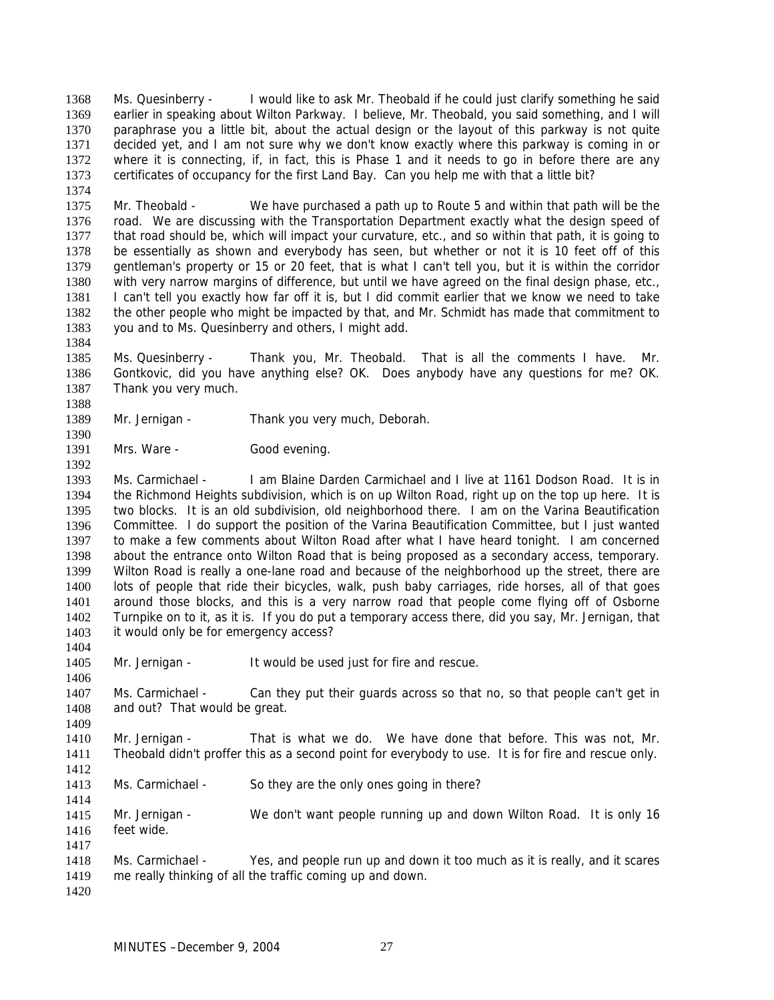Ms. Quesinberry - I would like to ask Mr. Theobald if he could just clarify something he said earlier in speaking about Wilton Parkway. I believe, Mr. Theobald, you said something, and I will paraphrase you a little bit, about the actual design or the layout of this parkway is not quite decided yet, and I am not sure why we don't know exactly where this parkway is coming in or where it is connecting, if, in fact, this is Phase 1 and it needs to go in before there are any certificates of occupancy for the first Land Bay. Can you help me with that a little bit? 1368 1369 1370 1371 1372 1373

1375 1376 1377 1378 1379 1380 1381 1382 1383 Mr. Theobald - We have purchased a path up to Route 5 and within that path will be the road. We are discussing with the Transportation Department exactly what the design speed of that road should be, which will impact your curvature, etc., and so within that path, it is going to be essentially as shown and everybody has seen, but whether or not it is 10 feet off of this gentleman's property or 15 or 20 feet, that is what I can't tell you, but it is within the corridor with very narrow margins of difference, but until we have agreed on the final design phase, etc., I can't tell you exactly how far off it is, but I did commit earlier that we know we need to take the other people who might be impacted by that, and Mr. Schmidt has made that commitment to you and to Ms. Quesinberry and others, I might add.

1385 1386 1387 Ms. Quesinberry - Thank you, Mr. Theobald. That is all the comments I have. Mr. Gontkovic, did you have anything else? OK. Does anybody have any questions for me? OK. Thank you very much.

1389 Mr. Jernigan - Thank you very much, Deborah.

1391 Mrs. Ware - Good evening.

1393 1394 1395 1396 1397 1398 1399 1400 1401 1402 1403 Ms. Carmichael - I am Blaine Darden Carmichael and I live at 1161 Dodson Road. It is in the Richmond Heights subdivision, which is on up Wilton Road, right up on the top up here. It is two blocks. It is an old subdivision, old neighborhood there. I am on the Varina Beautification Committee. I do support the position of the Varina Beautification Committee, but I just wanted to make a few comments about Wilton Road after what I have heard tonight. I am concerned about the entrance onto Wilton Road that is being proposed as a secondary access, temporary. Wilton Road is really a one-lane road and because of the neighborhood up the street, there are lots of people that ride their bicycles, walk, push baby carriages, ride horses, all of that goes around those blocks, and this is a very narrow road that people come flying off of Osborne Turnpike on to it, as it is. If you do put a temporary access there, did you say, Mr. Jernigan, that it would only be for emergency access?

1405 Mr. Jernigan - It would be used just for fire and rescue.

1407 1408 Ms. Carmichael - Can they put their guards across so that no, so that people can't get in and out? That would be great.

1410 1411 Mr. Jernigan - That is what we do. We have done that before. This was not, Mr. Theobald didn't proffer this as a second point for everybody to use. It is for fire and rescue only.

1413 Ms. Carmichael - So they are the only ones going in there?

1415 1416 Mr. Jernigan - We don't want people running up and down Wilton Road. It is only 16 feet wide.

1418 1419 Ms. Carmichael - Yes, and people run up and down it too much as it is really, and it scares me really thinking of all the traffic coming up and down.

1420

1374

1384

1388

1390

1392

1404

1406

1409

1412

1414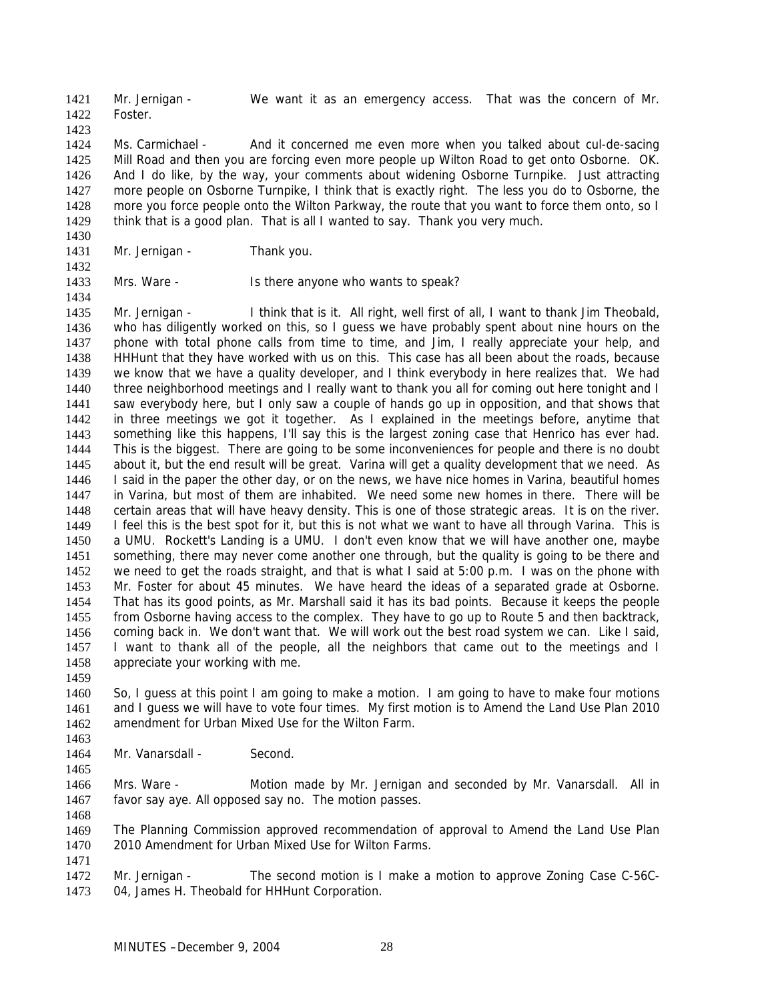Mr. Jernigan - We want it as an emergency access. That was the concern of Mr. Foster. 1421 1422 1423

1424 1425 1426 1427 1428 1429 Ms. Carmichael - And it concerned me even more when you talked about cul-de-sacing Mill Road and then you are forcing even more people up Wilton Road to get onto Osborne. OK. And I do like, by the way, your comments about widening Osborne Turnpike. Just attracting more people on Osborne Turnpike, I think that is exactly right. The less you do to Osborne, the more you force people onto the Wilton Parkway, the route that you want to force them onto, so I think that is a good plan. That is all I wanted to say. Thank you very much.

1431 Mr. Jernigan - Thank you.

1430

1432

1434

1433 Mrs. Ware - Is there anyone who wants to speak?

1435 1436 1437 1438 1439 1440 1441 1442 1443 1444 1445 1446 1447 1448 1449 1450 1451 1452 1453 1454 1455 1456 1457 1458 Mr. Jernigan - I think that is it. All right, well first of all, I want to thank Jim Theobald, who has diligently worked on this, so I guess we have probably spent about nine hours on the phone with total phone calls from time to time, and Jim, I really appreciate your help, and HHHunt that they have worked with us on this. This case has all been about the roads, because we know that we have a quality developer, and I think everybody in here realizes that. We had three neighborhood meetings and I really want to thank you all for coming out here tonight and I saw everybody here, but I only saw a couple of hands go up in opposition, and that shows that in three meetings we got it together. As I explained in the meetings before, anytime that something like this happens, I'll say this is the largest zoning case that Henrico has ever had. This is the biggest. There are going to be some inconveniences for people and there is no doubt about it, but the end result will be great. Varina will get a quality development that we need. As I said in the paper the other day, or on the news, we have nice homes in Varina, beautiful homes in Varina, but most of them are inhabited. We need some new homes in there. There will be certain areas that will have heavy density. This is one of those strategic areas. It is on the river. I feel this is the best spot for it, but this is not what we want to have all through Varina. This is a UMU. Rockett's Landing is a UMU. I don't even know that we will have another one, maybe something, there may never come another one through, but the quality is going to be there and we need to get the roads straight, and that is what I said at 5:00 p.m. I was on the phone with Mr. Foster for about 45 minutes. We have heard the ideas of a separated grade at Osborne. That has its good points, as Mr. Marshall said it has its bad points. Because it keeps the people from Osborne having access to the complex. They have to go up to Route 5 and then backtrack, coming back in. We don't want that. We will work out the best road system we can. Like I said, I want to thank all of the people, all the neighbors that came out to the meetings and I appreciate your working with me.

1460 1461 1462 1463 So, I guess at this point I am going to make a motion. I am going to have to make four motions and I guess we will have to vote four times. My first motion is to Amend the Land Use Plan 2010 amendment for Urban Mixed Use for the Wilton Farm.

1464 Mr. Vanarsdall - Second.

1466 1467 Mrs. Ware - Motion made by Mr. Jernigan and seconded by Mr. Vanarsdall. All in favor say aye. All opposed say no. The motion passes.

1469 1470 The Planning Commission approved recommendation of approval to Amend the Land Use Plan 2010 Amendment for Urban Mixed Use for Wilton Farms.

1471

1459

1465

1468

1472 1473 Mr. Jernigan - The second motion is I make a motion to approve Zoning Case C-56C-04, James H. Theobald for HHHunt Corporation.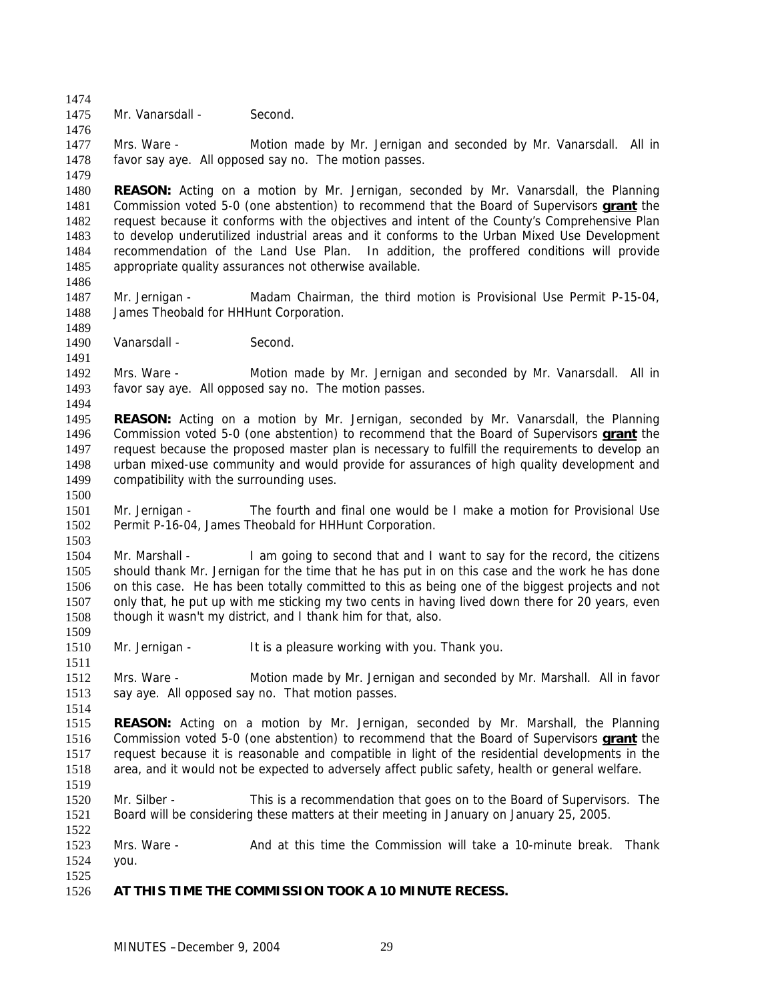1475 Mr. Vanarsdall - Second.

1476

1486

1489

1491

1494

1500

1503

1509

1511

1514

1522

1474

1477 1478 1479 Mrs. Ware - Motion made by Mr. Jernigan and seconded by Mr. Vanarsdall. All in favor say aye. All opposed say no. The motion passes.

1480 **REASON:** Acting on a motion by Mr. Jernigan, seconded by Mr. Vanarsdall, the Planning Commission voted 5-0 (one abstention) to recommend that the Board of Supervisors **grant** the request because it conforms with the objectives and intent of the County's Comprehensive Plan to develop underutilized industrial areas and it conforms to the Urban Mixed Use Development recommendation of the Land Use Plan. In addition, the proffered conditions will provide appropriate quality assurances not otherwise available. 1481 1482 1483 1484 1485

- 1487 1488 Mr. Jernigan - Madam Chairman, the third motion is Provisional Use Permit P-15-04, James Theobald for HHHunt Corporation.
- 1490 Vanarsdall - Second.

1492 1493 Mrs. Ware - Motion made by Mr. Jernigan and seconded by Mr. Vanarsdall. All in favor say aye. All opposed say no. The motion passes.

- 1495 **REASON:** Acting on a motion by Mr. Jernigan, seconded by Mr. Vanarsdall, the Planning Commission voted 5-0 (one abstention) to recommend that the Board of Supervisors **grant** the request because the proposed master plan is necessary to fulfill the requirements to develop an urban mixed-use community and would provide for assurances of high quality development and compatibility with the surrounding uses. 1496 1497 1498 1499
- 1501 1502 Mr. Jernigan - The fourth and final one would be I make a motion for Provisional Use Permit P-16-04, James Theobald for HHHunt Corporation.

1504 1505 1506 1507 1508 Mr. Marshall - I am going to second that and I want to say for the record, the citizens should thank Mr. Jernigan for the time that he has put in on this case and the work he has done on this case. He has been totally committed to this as being one of the biggest projects and not only that, he put up with me sticking my two cents in having lived down there for 20 years, even though it wasn't my district, and I thank him for that, also.

- 1510 Mr. Jernigan - It is a pleasure working with you. Thank you.
- 1512 1513 Mrs. Ware - Motion made by Mr. Jernigan and seconded by Mr. Marshall. All in favor say aye. All opposed say no. That motion passes.

1515 **REASON:** Acting on a motion by Mr. Jernigan, seconded by Mr. Marshall, the Planning Commission voted 5-0 (one abstention) to recommend that the Board of Supervisors **grant** the request because it is reasonable and compatible in light of the residential developments in the area, and it would not be expected to adversely affect public safety, health or general welfare. 1516 1517 1518 1519

1520 1521 Mr. Silber - This is a recommendation that goes on to the Board of Supervisors. The Board will be considering these matters at their meeting in January on January 25, 2005.

1523 1524 1525 Mrs. Ware - Thank and at this time the Commission will take a 10-minute break. Thank you.

1526 **AT THIS TIME THE COMMISSION TOOK A 10 MINUTE RECESS.**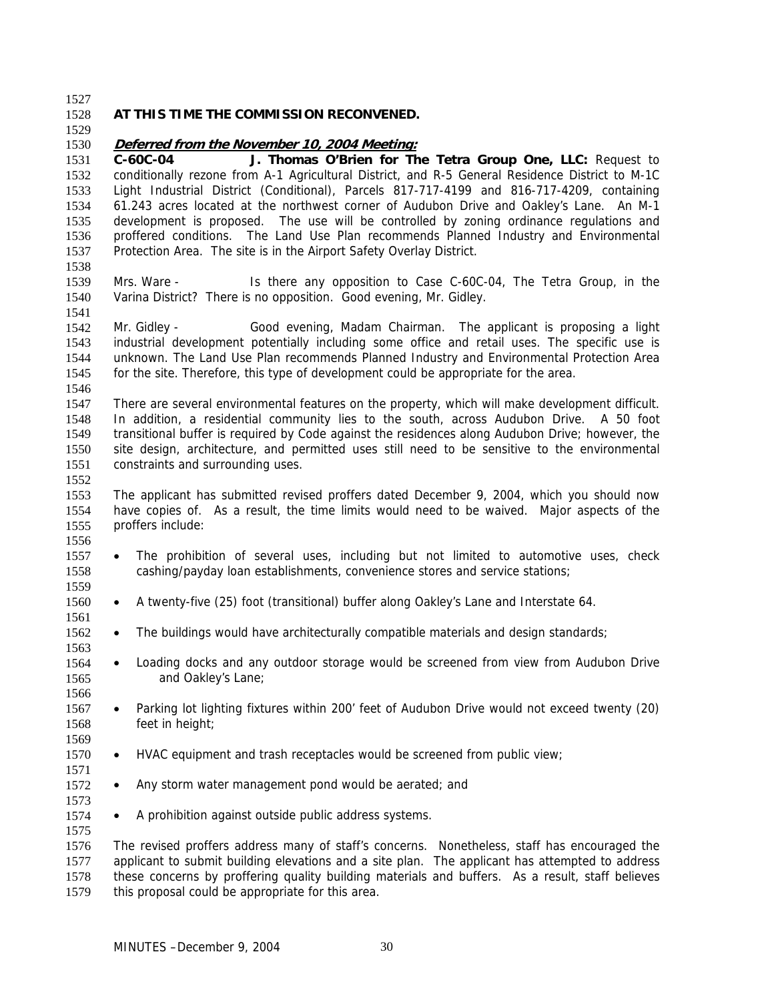| 1528                                                         | AT THIS TIME THE COMMISSION RECONVENED.                                                                                                                                                                                                                                                                                                                                                                                                                                                                                                                                                                                                                                        |
|--------------------------------------------------------------|--------------------------------------------------------------------------------------------------------------------------------------------------------------------------------------------------------------------------------------------------------------------------------------------------------------------------------------------------------------------------------------------------------------------------------------------------------------------------------------------------------------------------------------------------------------------------------------------------------------------------------------------------------------------------------|
| 1529                                                         |                                                                                                                                                                                                                                                                                                                                                                                                                                                                                                                                                                                                                                                                                |
| 1530<br>1531<br>1532<br>1533<br>1534<br>1535<br>1536<br>1537 | Deferred from the November 10, 2004 Meeting:<br>J. Thomas O'Brien for The Tetra Group One, LLC: Request to<br>C-60C-04<br>conditionally rezone from A-1 Agricultural District, and R-5 General Residence District to M-1C<br>Light Industrial District (Conditional), Parcels 817-717-4199 and 816-717-4209, containing<br>61.243 acres located at the northwest corner of Audubon Drive and Oakley's Lane. An M-1<br>development is proposed. The use will be controlled by zoning ordinance regulations and<br>proffered conditions. The Land Use Plan recommends Planned Industry and Environmental<br>Protection Area. The site is in the Airport Safety Overlay District. |
| 1538<br>1539<br>1540                                         | Mrs. Ware -<br>Is there any opposition to Case C-60C-04, The Tetra Group, in the<br>Varina District? There is no opposition. Good evening, Mr. Gidley.                                                                                                                                                                                                                                                                                                                                                                                                                                                                                                                         |
| 1541<br>1542<br>1543<br>1544<br>1545                         | Mr. Gidley -<br>Good evening, Madam Chairman. The applicant is proposing a light<br>industrial development potentially including some office and retail uses. The specific use is<br>unknown. The Land Use Plan recommends Planned Industry and Environmental Protection Area<br>for the site. Therefore, this type of development could be appropriate for the area.                                                                                                                                                                                                                                                                                                          |
| 1546<br>1547<br>1548<br>1549<br>1550<br>1551                 | There are several environmental features on the property, which will make development difficult.<br>In addition, a residential community lies to the south, across Audubon Drive. A 50 foot<br>transitional buffer is required by Code against the residences along Audubon Drive; however, the<br>site design, architecture, and permitted uses still need to be sensitive to the environmental<br>constraints and surrounding uses.                                                                                                                                                                                                                                          |
| 1552<br>1553<br>1554<br>1555                                 | The applicant has submitted revised proffers dated December 9, 2004, which you should now<br>have copies of. As a result, the time limits would need to be waived. Major aspects of the<br>proffers include:                                                                                                                                                                                                                                                                                                                                                                                                                                                                   |
| 1556<br>1557<br>$\bullet$<br>1558<br>1559                    | The prohibition of several uses, including but not limited to automotive uses, check<br>cashing/payday loan establishments, convenience stores and service stations;                                                                                                                                                                                                                                                                                                                                                                                                                                                                                                           |
| 1560<br>$\bullet$<br>1561                                    | A twenty-five (25) foot (transitional) buffer along Oakley's Lane and Interstate 64.                                                                                                                                                                                                                                                                                                                                                                                                                                                                                                                                                                                           |
| 1562<br>$\bullet$<br>1563                                    | The buildings would have architecturally compatible materials and design standards;                                                                                                                                                                                                                                                                                                                                                                                                                                                                                                                                                                                            |
| $\bullet$                                                    | Loading docks and any outdoor storage would be screened from view from Audubon Drive<br>and Oakley's Lane;                                                                                                                                                                                                                                                                                                                                                                                                                                                                                                                                                                     |
| 1566<br>1567<br>$\bullet$<br>1568<br>1569                    | Parking lot lighting fixtures within 200' feet of Audubon Drive would not exceed twenty (20)<br>feet in height;                                                                                                                                                                                                                                                                                                                                                                                                                                                                                                                                                                |
| $\bullet$                                                    | HVAC equipment and trash receptacles would be screened from public view;                                                                                                                                                                                                                                                                                                                                                                                                                                                                                                                                                                                                       |
| $\bullet$                                                    | Any storm water management pond would be aerated; and                                                                                                                                                                                                                                                                                                                                                                                                                                                                                                                                                                                                                          |
| $\bullet$                                                    | A prohibition against outside public address systems.                                                                                                                                                                                                                                                                                                                                                                                                                                                                                                                                                                                                                          |
| 1575<br>1576<br>1577<br>1578<br>1579                         | The revised proffers address many of staff's concerns. Nonetheless, staff has encouraged the<br>applicant to submit building elevations and a site plan. The applicant has attempted to address<br>these concerns by proffering quality building materials and buffers. As a result, staff believes<br>this proposal could be appropriate for this area.                                                                                                                                                                                                                                                                                                                       |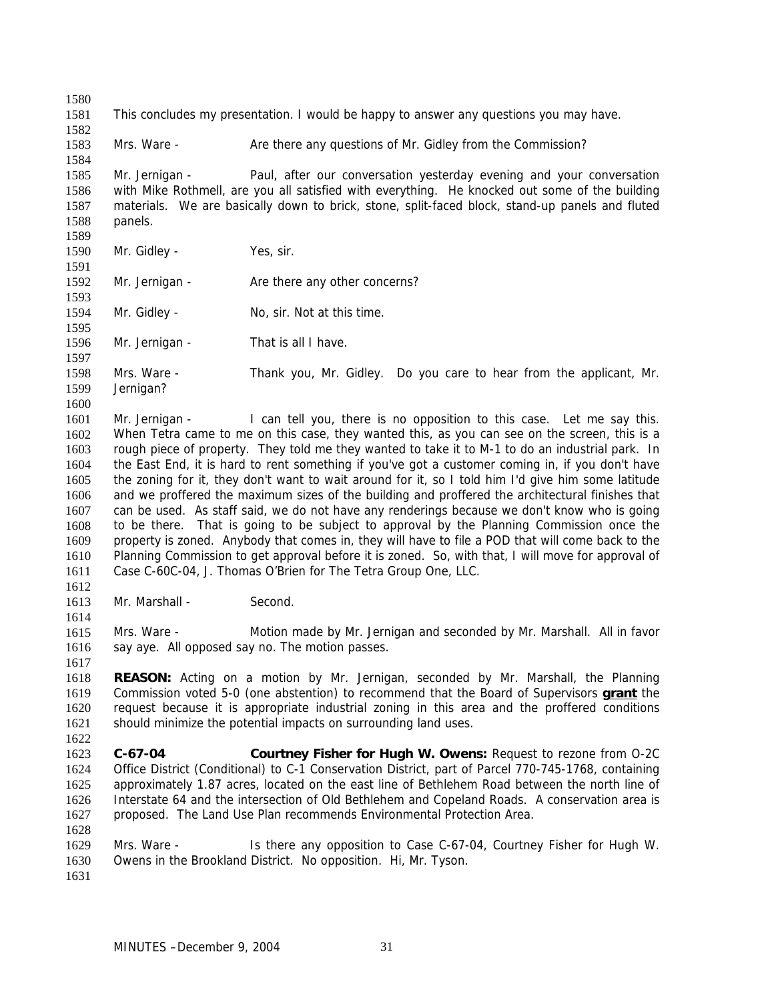1580 1581 1582 1583 1584 1585 1586 1587 1588 1589 1590 1591 1592 1593 1594 1595 1596 1597 1598 1599 1600 1601 1602 1603 1604 1605 1606 1607 1608 1609 1610 1611 1612 1613 1614 1615 1616 1617 1618 This concludes my presentation. I would be happy to answer any questions you may have. Mrs. Ware - Are there any questions of Mr. Gidley from the Commission? Mr. Jernigan - Paul, after our conversation yesterday evening and your conversation with Mike Rothmell, are you all satisfied with everything. He knocked out some of the building materials. We are basically down to brick, stone, split-faced block, stand-up panels and fluted panels. Mr. Gidley - Yes, sir. Mr. Jernigan - Are there any other concerns? Mr. Gidley - No, sir. Not at this time. Mr. Jernigan - That is all I have. Mrs. Ware - Thank you, Mr. Gidley. Do you care to hear from the applicant, Mr. Jernigan? Mr. Jernigan - I can tell you, there is no opposition to this case. Let me say this. When Tetra came to me on this case, they wanted this, as you can see on the screen, this is a rough piece of property. They told me they wanted to take it to M-1 to do an industrial park. In the East End, it is hard to rent something if you've got a customer coming in, if you don't have the zoning for it, they don't want to wait around for it, so I told him I'd give him some latitude and we proffered the maximum sizes of the building and proffered the architectural finishes that can be used. As staff said, we do not have any renderings because we don't know who is going to be there. That is going to be subject to approval by the Planning Commission once the property is zoned. Anybody that comes in, they will have to file a POD that will come back to the Planning Commission to get approval before it is zoned. So, with that, I will move for approval of Case C-60C-04, J. Thomas O'Brien for The Tetra Group One, LLC. Mr. Marshall - Second. Mrs. Ware - Motion made by Mr. Jernigan and seconded by Mr. Marshall. All in favor say aye. All opposed say no. The motion passes. **REASON:** Acting on a motion by Mr. Jernigan, seconded by Mr. Marshall, the Planning Commission voted 5-0 (one abstention) to recommend that the Board of Supervisors **grant** the request because it is appropriate industrial zoning in this area and the proffered conditions should minimize the potential impacts on surrounding land uses. 1619 1620 1621 1622 1623 1624 1625 1626 1627 1628 1629 1630 1631 **C-67-04 Courtney Fisher for Hugh W. Owens:** Request to rezone from O-2C Office District (Conditional) to C-1 Conservation District, part of Parcel 770-745-1768, containing approximately 1.87 acres, located on the east line of Bethlehem Road between the north line of Interstate 64 and the intersection of Old Bethlehem and Copeland Roads. A conservation area is proposed. The Land Use Plan recommends Environmental Protection Area. Mrs. Ware - Is there any opposition to Case C-67-04, Courtney Fisher for Hugh W. Owens in the Brookland District. No opposition. Hi, Mr. Tyson.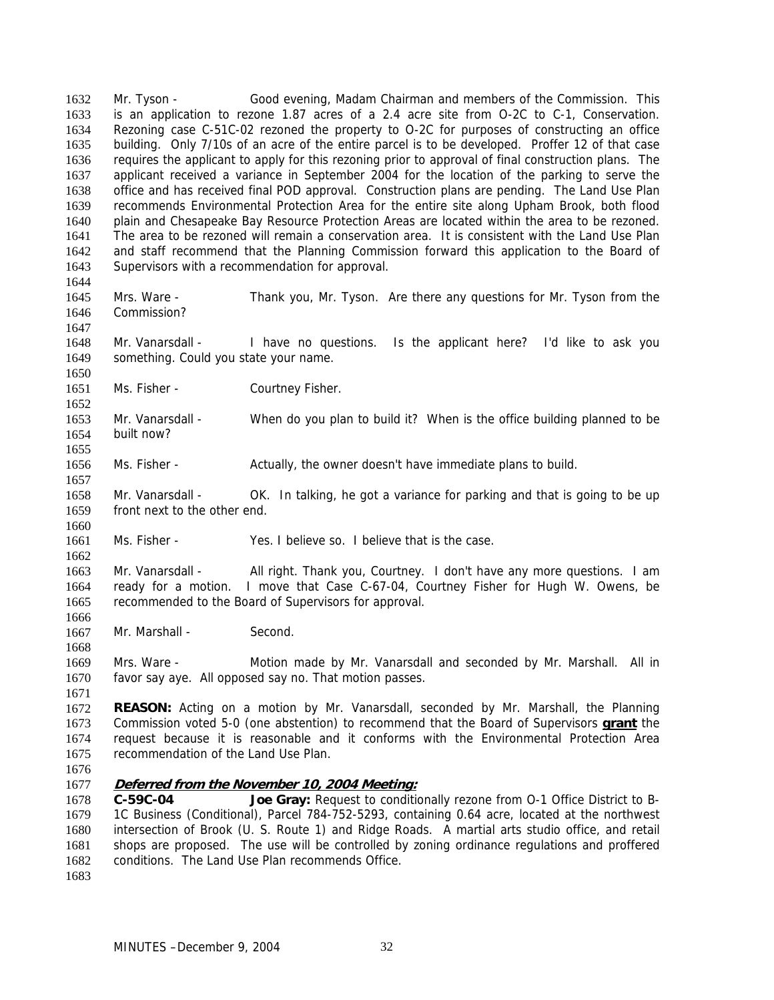Mr. Tyson - Good evening, Madam Chairman and members of the Commission. This is an application to rezone 1.87 acres of a 2.4 acre site from O-2C to C-1, Conservation. Rezoning case C-51C-02 rezoned the property to O-2C for purposes of constructing an office building. Only 7/10s of an acre of the entire parcel is to be developed. Proffer 12 of that case requires the applicant to apply for this rezoning prior to approval of final construction plans. The applicant received a variance in September 2004 for the location of the parking to serve the office and has received final POD approval. Construction plans are pending. The Land Use Plan recommends Environmental Protection Area for the entire site along Upham Brook, both flood plain and Chesapeake Bay Resource Protection Areas are located within the area to be rezoned. The area to be rezoned will remain a conservation area. It is consistent with the Land Use Plan and staff recommend that the Planning Commission forward this application to the Board of Supervisors with a recommendation for approval. 1632 1633 1634 1635 1636 1637 1638 1639 1640 1641 1642 1643 1644

1645 1646 Mrs. Ware - Thank you, Mr. Tyson. Are there any questions for Mr. Tyson from the Commission?

1648 1649 Mr. Vanarsdall - I have no questions. Is the applicant here? I'd like to ask you something. Could you state your name.

1651 Ms. Fisher - Courtney Fisher.

1653 1654 1655 Mr. Vanarsdall - When do you plan to build it? When is the office building planned to be built now?

1656 Ms. Fisher - Actually, the owner doesn't have immediate plans to build.

1658 1659 Mr. Vanarsdall - OK. In talking, he got a variance for parking and that is going to be up front next to the other end.

1661 Ms. Fisher - Yes. I believe so. I believe that is the case.

1663 1664 1665 Mr. Vanarsdall - All right. Thank you, Courtney. I don't have any more questions. I am ready for a motion. I move that Case C-67-04, Courtney Fisher for Hugh W. Owens, be recommended to the Board of Supervisors for approval.

1667 Mr. Marshall - Second.

1669 1670 Mrs. Ware - Motion made by Mr. Vanarsdall and seconded by Mr. Marshall. All in favor say aye. All opposed say no. That motion passes.

1672 **REASON:** Acting on a motion by Mr. Vanarsdall, seconded by Mr. Marshall, the Planning Commission voted 5-0 (one abstention) to recommend that the Board of Supervisors **grant** the request because it is reasonable and it conforms with the Environmental Protection Area recommendation of the Land Use Plan. 1673 1674 1675

1676

1647

1650

1652

1657

1660

1662

1666

1668

1671

1677 **Deferred from the November 10, 2004 Meeting:**

1678 1679 1680 1681 1682 1683 Joe Gray: Request to conditionally rezone from O-1 Office District to B-1C Business (Conditional), Parcel 784-752-5293, containing 0.64 acre, located at the northwest intersection of Brook (U. S. Route 1) and Ridge Roads. A martial arts studio office, and retail shops are proposed. The use will be controlled by zoning ordinance regulations and proffered conditions. The Land Use Plan recommends Office.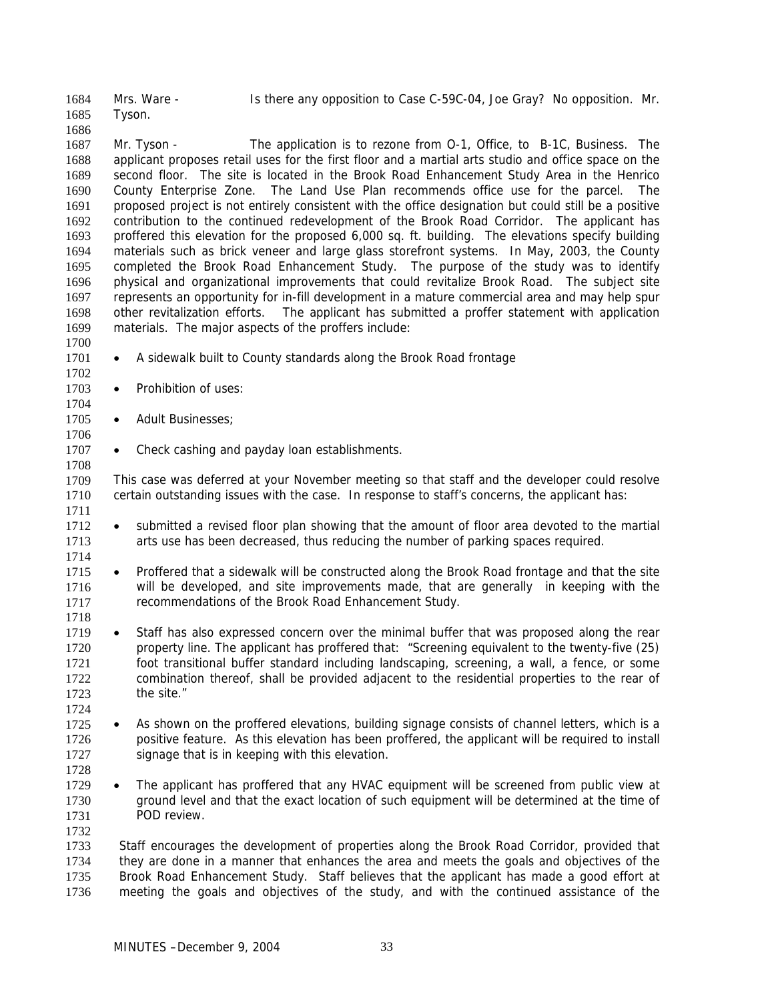Mrs. Ware - Is there any opposition to Case C-59C-04, Joe Gray? No opposition. Mr. Tyson. 1684 1685

1687 1688 1689 1690 1691 1692 1693 1694 1695 1696 1697 1698 1699 Mr. Tyson - The application is to rezone from O-1, Office, to B-1C, Business. The applicant proposes retail uses for the first floor and a martial arts studio and office space on the second floor. The site is located in the Brook Road Enhancement Study Area in the Henrico County Enterprise Zone. The Land Use Plan recommends office use for the parcel. The proposed project is not entirely consistent with the office designation but could still be a positive contribution to the continued redevelopment of the Brook Road Corridor. The applicant has proffered this elevation for the proposed 6,000 sq. ft. building. The elevations specify building materials such as brick veneer and large glass storefront systems. In May, 2003, the County completed the Brook Road Enhancement Study. The purpose of the study was to identify physical and organizational improvements that could revitalize Brook Road. The subject site represents an opportunity for in-fill development in a mature commercial area and may help spur other revitalization efforts. The applicant has submitted a proffer statement with application materials. The major aspects of the proffers include:

1700

1702

1706

1708

1714

1718

1724

1732

1686

- 1701 • A sidewalk built to County standards along the Brook Road frontage
- 1703 • Prohibition of uses:
- 1704 1705 • Adult Businesses;
- 1707 • Check cashing and payday loan establishments.

1709 1710 1711 This case was deferred at your November meeting so that staff and the developer could resolve certain outstanding issues with the case. In response to staff's concerns, the applicant has:

- 1712 1713 • submitted a revised floor plan showing that the amount of floor area devoted to the martial arts use has been decreased, thus reducing the number of parking spaces required.
- 1715 1716 1717 • Proffered that a sidewalk will be constructed along the Brook Road frontage and that the site will be developed, and site improvements made, that are generally in keeping with the recommendations of the Brook Road Enhancement Study.
- 1719 1720 1721 1722 1723 • Staff has also expressed concern over the minimal buffer that was proposed along the rear property line. The applicant has proffered that: "Screening equivalent to the twenty-five (25) foot transitional buffer standard including landscaping, screening, a wall, a fence, or some combination thereof, shall be provided adjacent to the residential properties to the rear of the site."
- 1725 1726 1727 • As shown on the proffered elevations, building signage consists of channel letters, which is a positive feature. As this elevation has been proffered, the applicant will be required to install signage that is in keeping with this elevation.
- 1728 1729 1730 1731 • The applicant has proffered that any HVAC equipment will be screened from public view at ground level and that the exact location of such equipment will be determined at the time of POD review.
- 1733 1734 1735 1736 Staff encourages the development of properties along the Brook Road Corridor, provided that they are done in a manner that enhances the area and meets the goals and objectives of the Brook Road Enhancement Study. Staff believes that the applicant has made a good effort at meeting the goals and objectives of the study, and with the continued assistance of the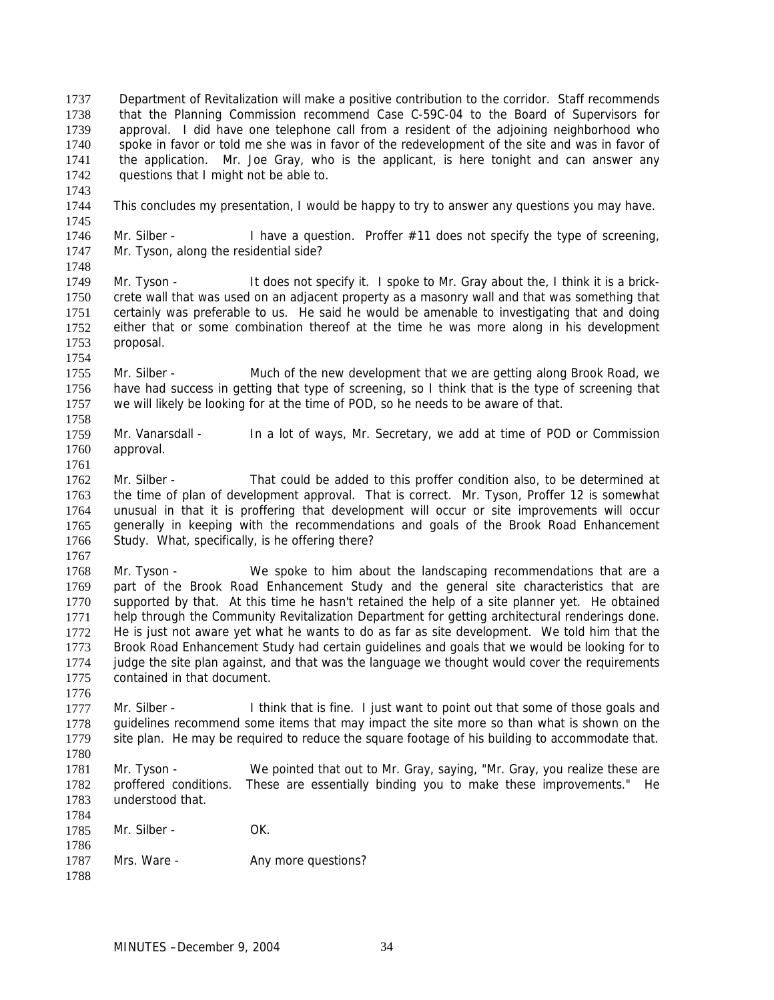Department of Revitalization will make a positive contribution to the corridor. Staff recommends that the Planning Commission recommend Case C-59C-04 to the Board of Supervisors for approval. I did have one telephone call from a resident of the adjoining neighborhood who spoke in favor or told me she was in favor of the redevelopment of the site and was in favor of the application. Mr. Joe Gray, who is the applicant, is here tonight and can answer any questions that I might not be able to. 1737 1738 1739 1740 1741 1742 1743 1744 This concludes my presentation, I would be happy to try to answer any questions you may have.

- 1745
- 1746 1747 1748 Mr. Silber - I have a question. Proffer  $#11$  does not specify the type of screening, Mr. Tyson, along the residential side?
- 1749 1750 1751 1752 1753 Mr. Tyson - It does not specify it. I spoke to Mr. Gray about the, I think it is a brickcrete wall that was used on an adjacent property as a masonry wall and that was something that certainly was preferable to us. He said he would be amenable to investigating that and doing either that or some combination thereof at the time he was more along in his development proposal.
- 1755 1756 1757 1758 Mr. Silber - Much of the new development that we are getting along Brook Road, we have had success in getting that type of screening, so I think that is the type of screening that we will likely be looking for at the time of POD, so he needs to be aware of that.
- 1759 1760 1761 Mr. Vanarsdall - In a lot of ways, Mr. Secretary, we add at time of POD or Commission approval.
- 1762 1763 1764 1765 1766 1767 Mr. Silber - That could be added to this proffer condition also, to be determined at the time of plan of development approval. That is correct. Mr. Tyson, Proffer 12 is somewhat unusual in that it is proffering that development will occur or site improvements will occur generally in keeping with the recommendations and goals of the Brook Road Enhancement Study. What, specifically, is he offering there?
- 1768 1769 1770 1771 1772 1773 1774 1775 Mr. Tyson - We spoke to him about the landscaping recommendations that are a part of the Brook Road Enhancement Study and the general site characteristics that are supported by that. At this time he hasn't retained the help of a site planner yet. He obtained help through the Community Revitalization Department for getting architectural renderings done. He is just not aware yet what he wants to do as far as site development. We told him that the Brook Road Enhancement Study had certain guidelines and goals that we would be looking for to judge the site plan against, and that was the language we thought would cover the requirements contained in that document.
- 1776 1777 1778 1779 Mr. Silber - I think that is fine. I just want to point out that some of those goals and guidelines recommend some items that may impact the site more so than what is shown on the site plan. He may be required to reduce the square footage of his building to accommodate that.
- 1781 1782 1783 Mr. Tyson - We pointed that out to Mr. Gray, saying, "Mr. Gray, you realize these are proffered conditions. These are essentially binding you to make these improvements." He understood that.
- 1784 1785 1786 1787 1788 Mr. Silber - OK. Mrs. Ware - The Any more questions?

1754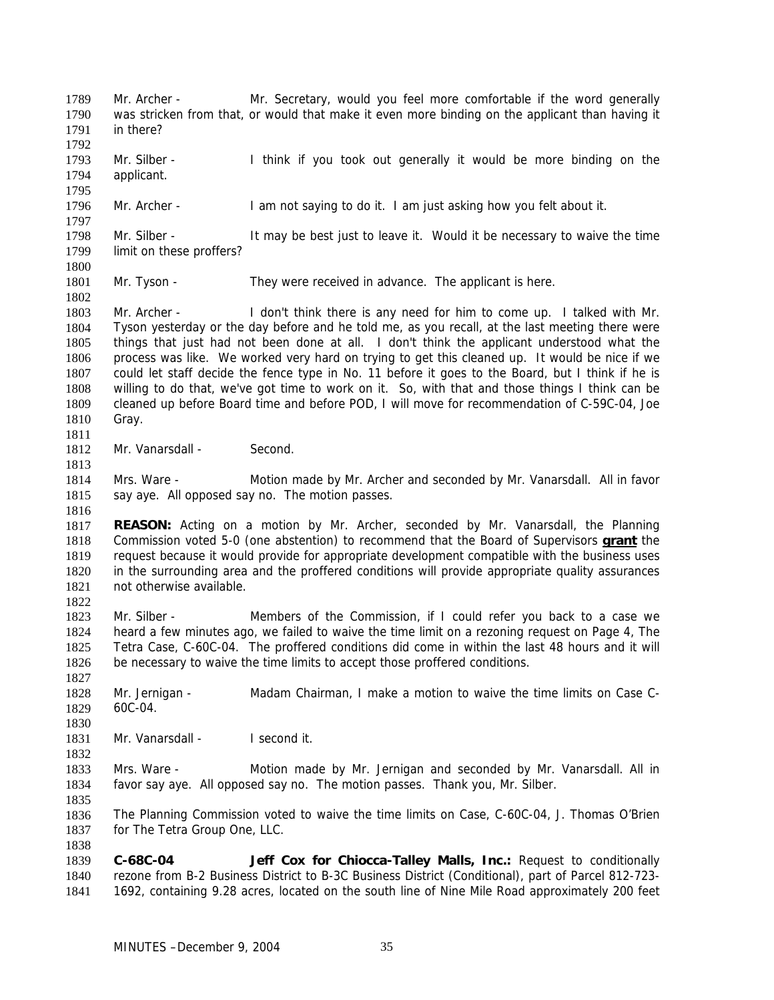Mr. Archer - Mr. Secretary, would you feel more comfortable if the word generally was stricken from that, or would that make it even more binding on the applicant than having it in there? 1789 1790 1791 1792 1793 1794 1795 1796 1797 1798 1799 1800 1801 1802 1803 1804 1805 1806 1807 1808 1809 1810 1811 1812 1813 1814 1815 1816 1817 Mr. Silber - I think if you took out generally it would be more binding on the applicant. Mr. Archer - I am not saying to do it. I am just asking how you felt about it. Mr. Silber - It may be best just to leave it. Would it be necessary to waive the time limit on these proffers? Mr. Tyson - They were received in advance. The applicant is here. Mr. Archer - I don't think there is any need for him to come up. I talked with Mr. Tyson yesterday or the day before and he told me, as you recall, at the last meeting there were things that just had not been done at all. I don't think the applicant understood what the process was like. We worked very hard on trying to get this cleaned up. It would be nice if we could let staff decide the fence type in No. 11 before it goes to the Board, but I think if he is willing to do that, we've got time to work on it. So, with that and those things I think can be cleaned up before Board time and before POD, I will move for recommendation of C-59C-04, Joe Gray. Mr. Vanarsdall - Second. Mrs. Ware - Motion made by Mr. Archer and seconded by Mr. Vanarsdall. All in favor say aye. All opposed say no. The motion passes. **REASON:** Acting on a motion by Mr. Archer, seconded by Mr. Vanarsdall, the Planning Commission voted 5-0 (one abstention) to recommend that the Board of Supervisors **grant** the request because it would provide for appropriate development compatible with the business uses in the surrounding area and the proffered conditions will provide appropriate quality assurances not otherwise available. 1818 1819 1820 1821 1822 1823 1824 1825 1826 1827 1828 1829 1830 1831 1832 1833 1834 1835 1836 1837 1838 1839 1840 1841 Mr. Silber - Members of the Commission, if I could refer you back to a case we heard a few minutes ago, we failed to waive the time limit on a rezoning request on Page 4, The Tetra Case, C-60C-04. The proffered conditions did come in within the last 48 hours and it will be necessary to waive the time limits to accept those proffered conditions. Mr. Jernigan - Madam Chairman, I make a motion to waive the time limits on Case C-60C-04. Mr. Vanarsdall - I second it. Mrs. Ware - Motion made by Mr. Jernigan and seconded by Mr. Vanarsdall. All in favor say aye. All opposed say no. The motion passes. Thank you, Mr. Silber. The Planning Commission voted to waive the time limits on Case, C-60C-04, J. Thomas O'Brien for The Tetra Group One, LLC. **C-68C-04 Jeff Cox for Chiocca-Talley Malls, Inc.:** Request to conditionally rezone from B-2 Business District to B-3C Business District (Conditional), part of Parcel 812-723- 1692, containing 9.28 acres, located on the south line of Nine Mile Road approximately 200 feet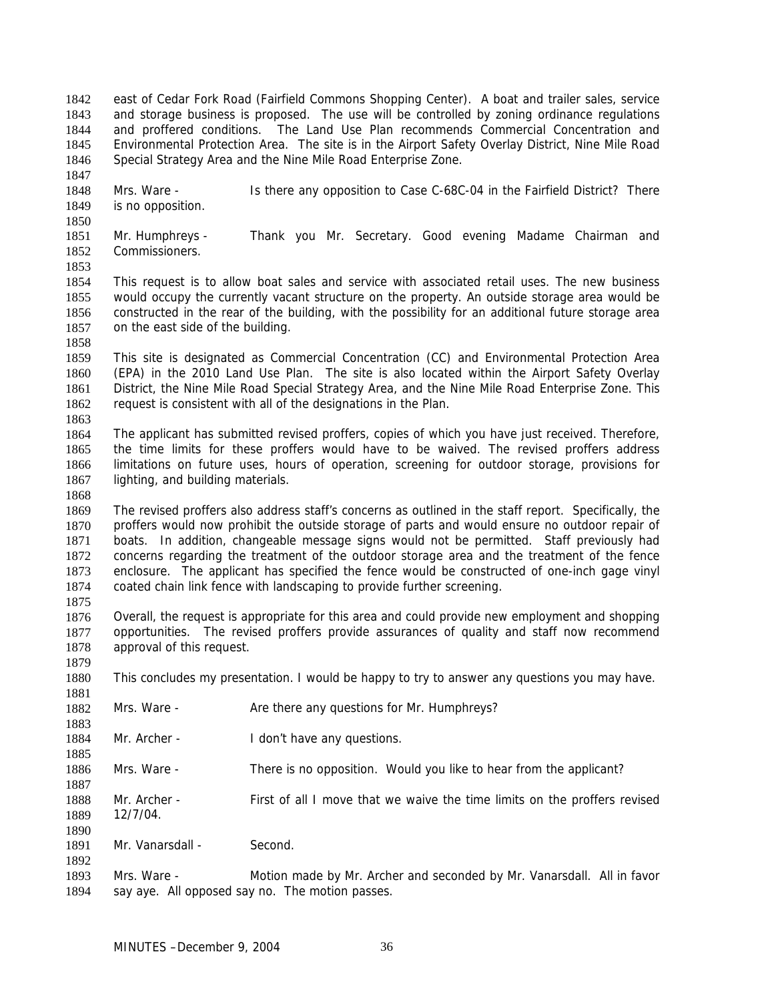east of Cedar Fork Road (Fairfield Commons Shopping Center). A boat and trailer sales, service and storage business is proposed. The use will be controlled by zoning ordinance regulations and proffered conditions. The Land Use Plan recommends Commercial Concentration and Environmental Protection Area. The site is in the Airport Safety Overlay District, Nine Mile Road Special Strategy Area and the Nine Mile Road Enterprise Zone. 1842 1843 1844 1845 1846 1847

1848 1849 Mrs. Ware - Is there any opposition to Case C-68C-04 in the Fairfield District? There is no opposition.

1851 1852 1853 Mr. Humphreys - Thank you Mr. Secretary. Good evening Madame Chairman and Commissioners.

1854 1855 1856 1857 This request is to allow boat sales and service with associated retail uses. The new business would occupy the currently vacant structure on the property. An outside storage area would be constructed in the rear of the building, with the possibility for an additional future storage area on the east side of the building.

1859 1860 1861 1862 This site is designated as Commercial Concentration (CC) and Environmental Protection Area (EPA) in the 2010 Land Use Plan. The site is also located within the Airport Safety Overlay District, the Nine Mile Road Special Strategy Area, and the Nine Mile Road Enterprise Zone. This request is consistent with all of the designations in the Plan.

1863

1868

1875

1879

1881

1858

1850

1864 1865 1866 1867 The applicant has submitted revised proffers, copies of which you have just received. Therefore, the time limits for these proffers would have to be waived. The revised proffers address limitations on future uses, hours of operation, screening for outdoor storage, provisions for lighting, and building materials.

1869 1870 1871 1872 1873 1874 The revised proffers also address staff's concerns as outlined in the staff report. Specifically, the proffers would now prohibit the outside storage of parts and would ensure no outdoor repair of boats. In addition, changeable message signs would not be permitted. Staff previously had concerns regarding the treatment of the outdoor storage area and the treatment of the fence enclosure. The applicant has specified the fence would be constructed of one-inch gage vinyl coated chain link fence with landscaping to provide further screening.

1876 1877 1878 Overall, the request is appropriate for this area and could provide new employment and shopping opportunities. The revised proffers provide assurances of quality and staff now recommend approval of this request.

1880 This concludes my presentation. I would be happy to try to answer any questions you may have.

| 1882 | Mrs. Ware -      | Are there any questions for Mr. Humphreys?                                |  |
|------|------------------|---------------------------------------------------------------------------|--|
| 1883 |                  |                                                                           |  |
| 1884 | Mr. Archer -     | I don't have any questions.                                               |  |
| 1885 |                  |                                                                           |  |
| 1886 | Mrs. Ware -      | There is no opposition. Would you like to hear from the applicant?        |  |
| 1887 |                  |                                                                           |  |
| 1888 | Mr. Archer -     | First of all I move that we waive the time limits on the proffers revised |  |
| 1889 | 12/7/04.         |                                                                           |  |
| 1890 |                  |                                                                           |  |
| 1891 | Mr. Vanarsdall - | Second.                                                                   |  |
| 1892 |                  |                                                                           |  |
| 1893 | Mrs. Ware -      | Motion made by Mr. Archer and seconded by Mr. Vanarsdall. All in favor    |  |

1894 say aye. All opposed say no. The motion passes.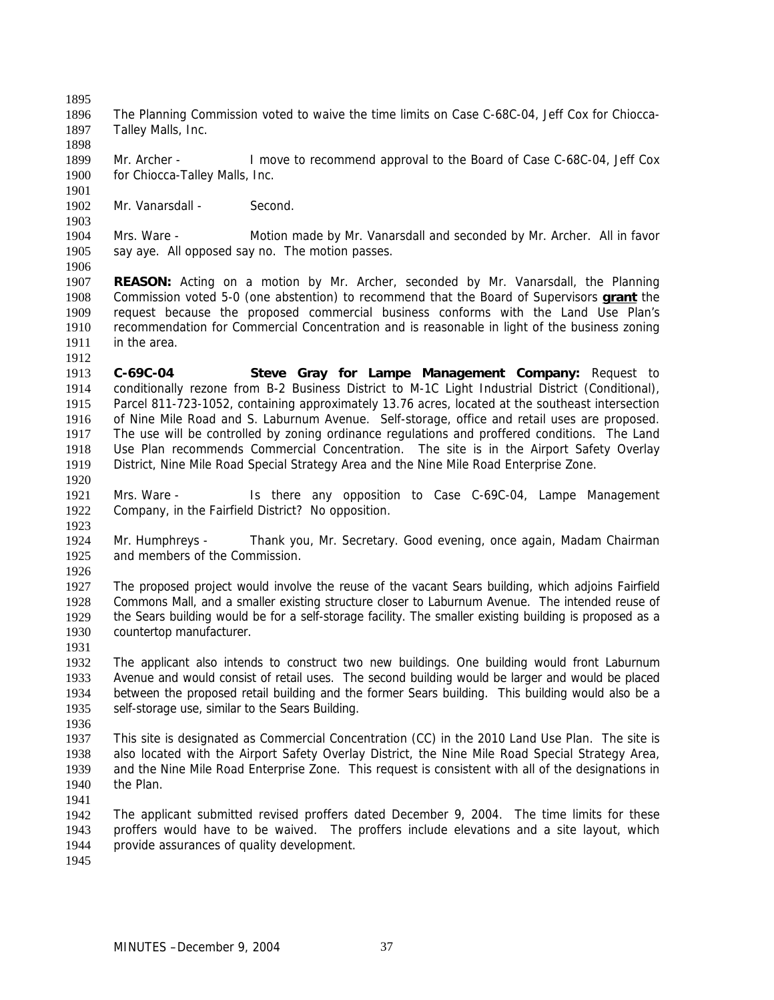1895

1898

1901

1903

1906

1912

1896 1897 The Planning Commission voted to waive the time limits on Case C-68C-04, Jeff Cox for Chiocca-Talley Malls, Inc.

1899 1900 Mr. Archer - I move to recommend approval to the Board of Case C-68C-04, Jeff Cox for Chiocca-Talley Malls, Inc.

1902 Mr. Vanarsdall - Second.

1904 1905 Mrs. Ware - Motion made by Mr. Vanarsdall and seconded by Mr. Archer. All in favor say aye. All opposed say no. The motion passes.

- 1907 **REASON:** Acting on a motion by Mr. Archer, seconded by Mr. Vanarsdall, the Planning Commission voted 5-0 (one abstention) to recommend that the Board of Supervisors **grant** the request because the proposed commercial business conforms with the Land Use Plan's recommendation for Commercial Concentration and is reasonable in light of the business zoning in the area. 1908 1909 1910 1911
- 1913 1914 1915 1916 1917 1918 1919 1920 **C-69C-04 Steve Gray for Lampe Management Company:** Request to conditionally rezone from B-2 Business District to M-1C Light Industrial District (Conditional), Parcel 811-723-1052, containing approximately 13.76 acres, located at the southeast intersection of Nine Mile Road and S. Laburnum Avenue. Self-storage, office and retail uses are proposed. The use will be controlled by zoning ordinance regulations and proffered conditions. The Land Use Plan recommends Commercial Concentration. The site is in the Airport Safety Overlay District, Nine Mile Road Special Strategy Area and the Nine Mile Road Enterprise Zone.
- 1921 1922 Mrs. Ware - Is there any opposition to Case C-69C-04, Lampe Management Company, in the Fairfield District? No opposition.
- 1924 1925 Mr. Humphreys - Thank you, Mr. Secretary. Good evening, once again, Madam Chairman and members of the Commission.
- 1926

1923

1927 1928 1929 1930 The proposed project would involve the reuse of the vacant Sears building, which adjoins Fairfield Commons Mall, and a smaller existing structure closer to Laburnum Avenue. The intended reuse of the Sears building would be for a self-storage facility. The smaller existing building is proposed as a countertop manufacturer.

1931

1932 1933 1934 1935 The applicant also intends to construct two new buildings. One building would front Laburnum Avenue and would consist of retail uses. The second building would be larger and would be placed between the proposed retail building and the former Sears building. This building would also be a self-storage use, similar to the Sears Building.

1936

1937 1938 1939 1940 This site is designated as Commercial Concentration (CC) in the 2010 Land Use Plan. The site is also located with the Airport Safety Overlay District, the Nine Mile Road Special Strategy Area, and the Nine Mile Road Enterprise Zone. This request is consistent with all of the designations in the Plan.

1941

1942 1943 1944 The applicant submitted revised proffers dated December 9, 2004. The time limits for these proffers would have to be waived. The proffers include elevations and a site layout, which provide assurances of quality development.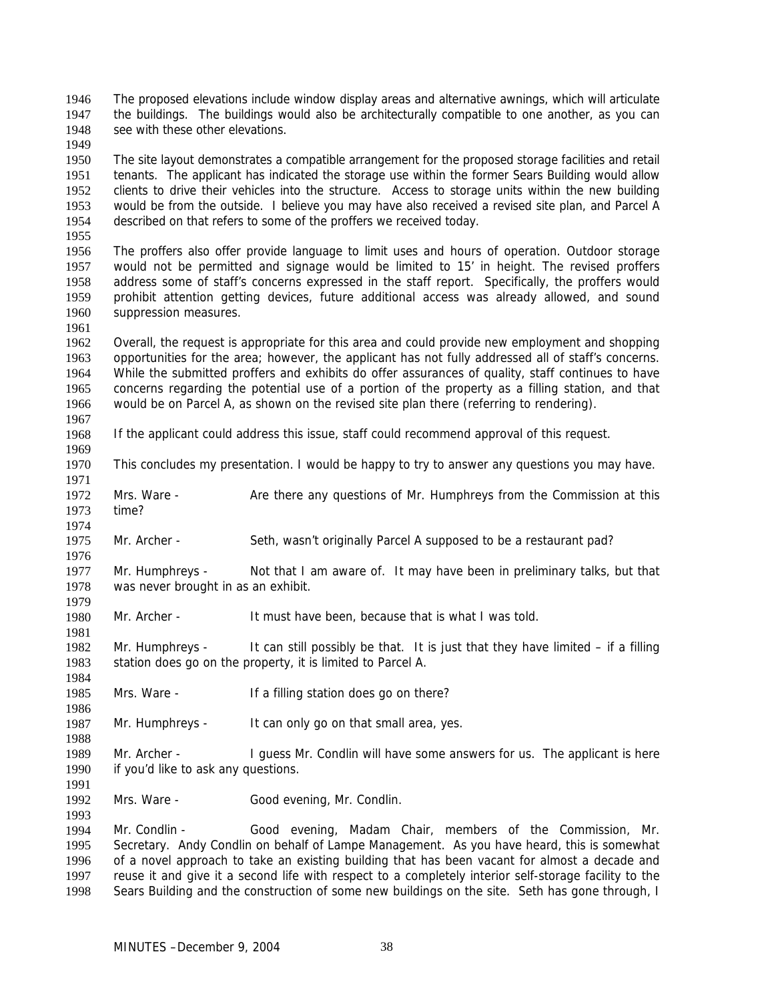The proposed elevations include window display areas and alternative awnings, which will articulate the buildings. The buildings would also be architecturally compatible to one another, as you can see with these other elevations. 1946 1947 1948

1950 1951 1952 1953 1954 1955 The site layout demonstrates a compatible arrangement for the proposed storage facilities and retail tenants. The applicant has indicated the storage use within the former Sears Building would allow clients to drive their vehicles into the structure. Access to storage units within the new building would be from the outside. I believe you may have also received a revised site plan, and Parcel A described on that refers to some of the proffers we received today.

1956 1957 1958 1959 1960 The proffers also offer provide language to limit uses and hours of operation. Outdoor storage would not be permitted and signage would be limited to 15' in height. The revised proffers address some of staff's concerns expressed in the staff report. Specifically, the proffers would prohibit attention getting devices, future additional access was already allowed, and sound suppression measures.

1962 1963 1964 1965 1966 Overall, the request is appropriate for this area and could provide new employment and shopping opportunities for the area; however, the applicant has not fully addressed all of staff's concerns. While the submitted proffers and exhibits do offer assurances of quality, staff continues to have concerns regarding the potential use of a portion of the property as a filling station, and that would be on Parcel A, as shown on the revised site plan there (referring to rendering).

1967

1974

1979

1981

1984

1986

1988

1991

1993

1961

1949

1968

1969 If the applicant could address this issue, staff could recommend approval of this request.

1970 1971 This concludes my presentation. I would be happy to try to answer any questions you may have.

1972 1973 Mrs. Ware - Are there any questions of Mr. Humphreys from the Commission at this time?

1975 1976 Mr. Archer - Seth, wasn't originally Parcel A supposed to be a restaurant pad?

1977 1978 Mr. Humphreys - Not that I am aware of. It may have been in preliminary talks, but that was never brought in as an exhibit.

1980 Mr. Archer - It must have been, because that is what I was told.

1982 1983 Mr. Humphreys  $-$  It can still possibly be that. It is just that they have limited  $-$  if a filling station does go on the property, it is limited to Parcel A.

1985 Mrs. Ware - If a filling station does go on there?

1987 Mr. Humphreys - It can only go on that small area, yes.

1989 1990 Mr. Archer - I guess Mr. Condlin will have some answers for us. The applicant is here if you'd like to ask any questions.

1992 Mrs. Ware - Good evening, Mr. Condlin.

1994 1995 1996 1997 1998 Mr. Condlin - Good evening, Madam Chair, members of the Commission, Mr. Secretary. Andy Condlin on behalf of Lampe Management. As you have heard, this is somewhat of a novel approach to take an existing building that has been vacant for almost a decade and reuse it and give it a second life with respect to a completely interior self-storage facility to the Sears Building and the construction of some new buildings on the site. Seth has gone through, I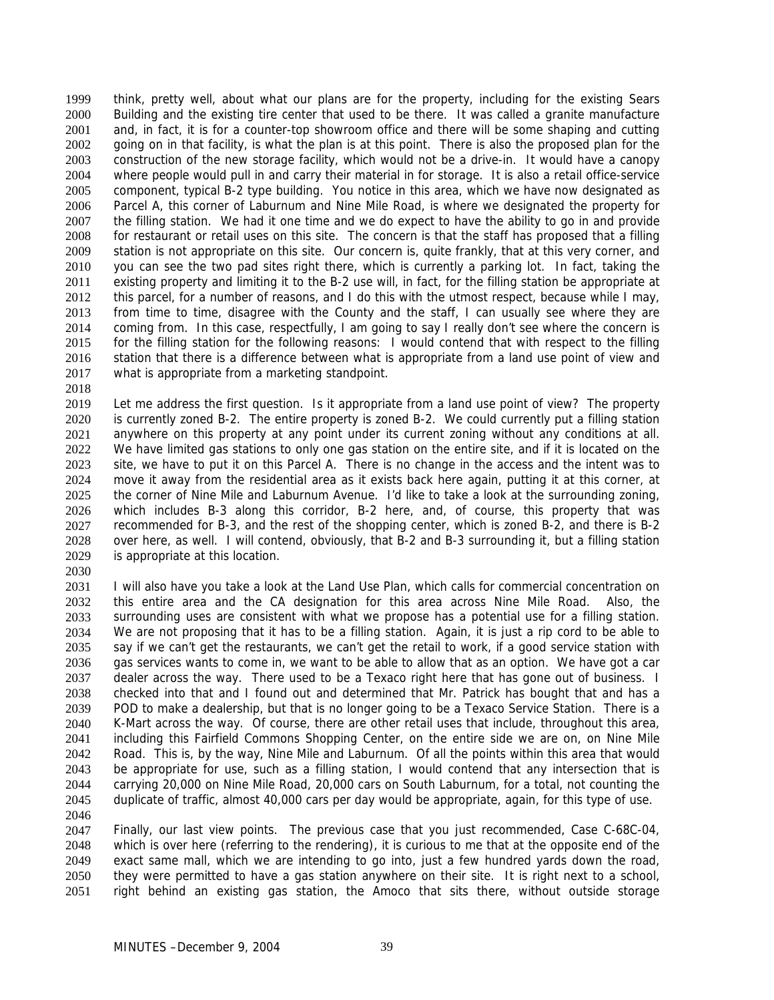think, pretty well, about what our plans are for the property, including for the existing Sears Building and the existing tire center that used to be there. It was called a granite manufacture and, in fact, it is for a counter-top showroom office and there will be some shaping and cutting going on in that facility, is what the plan is at this point. There is also the proposed plan for the construction of the new storage facility, which would not be a drive-in. It would have a canopy where people would pull in and carry their material in for storage. It is also a retail office-service component, typical B-2 type building. You notice in this area, which we have now designated as Parcel A, this corner of Laburnum and Nine Mile Road, is where we designated the property for the filling station. We had it one time and we do expect to have the ability to go in and provide for restaurant or retail uses on this site. The concern is that the staff has proposed that a filling station is not appropriate on this site. Our concern is, quite frankly, that at this very corner, and you can see the two pad sites right there, which is currently a parking lot. In fact, taking the existing property and limiting it to the B-2 use will, in fact, for the filling station be appropriate at this parcel, for a number of reasons, and I do this with the utmost respect, because while I may, from time to time, disagree with the County and the staff, I can usually see where they are coming from. In this case, respectfully, I am going to say I really don't see where the concern is for the filling station for the following reasons: I would contend that with respect to the filling station that there is a difference between what is appropriate from a land use point of view and what is appropriate from a marketing standpoint. 1999 2000 2001 2002 2003 2004 2005 2006 2007 2008 2009 2010 2011 2012 2013 2014 2015 2016 2017

2018

2019 2020 2021 2022 2023 2024 2025 2026 2027 2028 2029 Let me address the first question. Is it appropriate from a land use point of view? The property is currently zoned B-2. The entire property is zoned B-2. We could currently put a filling station anywhere on this property at any point under its current zoning without any conditions at all. We have limited gas stations to only one gas station on the entire site, and if it is located on the site, we have to put it on this Parcel A. There is no change in the access and the intent was to move it away from the residential area as it exists back here again, putting it at this corner, at the corner of Nine Mile and Laburnum Avenue. I'd like to take a look at the surrounding zoning, which includes B-3 along this corridor, B-2 here, and, of course, this property that was recommended for B-3, and the rest of the shopping center, which is zoned B-2, and there is B-2 over here, as well. I will contend, obviously, that B-2 and B-3 surrounding it, but a filling station is appropriate at this location.

2030

2031 2032 2033 2034 2035 2036 2037 2038 2039 2040 2041 2042 2043 2044 2045 2046 I will also have you take a look at the Land Use Plan, which calls for commercial concentration on this entire area and the CA designation for this area across Nine Mile Road. Also, the surrounding uses are consistent with what we propose has a potential use for a filling station. We are not proposing that it has to be a filling station. Again, it is just a rip cord to be able to say if we can't get the restaurants, we can't get the retail to work, if a good service station with gas services wants to come in, we want to be able to allow that as an option. We have got a car dealer across the way. There used to be a Texaco right here that has gone out of business. I checked into that and I found out and determined that Mr. Patrick has bought that and has a POD to make a dealership, but that is no longer going to be a Texaco Service Station. There is a K-Mart across the way. Of course, there are other retail uses that include, throughout this area, including this Fairfield Commons Shopping Center, on the entire side we are on, on Nine Mile Road. This is, by the way, Nine Mile and Laburnum. Of all the points within this area that would be appropriate for use, such as a filling station, I would contend that any intersection that is carrying 20,000 on Nine Mile Road, 20,000 cars on South Laburnum, for a total, not counting the duplicate of traffic, almost 40,000 cars per day would be appropriate, again, for this type of use.

2047 2048 2049 2050 2051 Finally, our last view points. The previous case that you just recommended, Case C-68C-04, which is over here (referring to the rendering), it is curious to me that at the opposite end of the exact same mall, which we are intending to go into, just a few hundred yards down the road, they were permitted to have a gas station anywhere on their site. It is right next to a school, right behind an existing gas station, the Amoco that sits there, without outside storage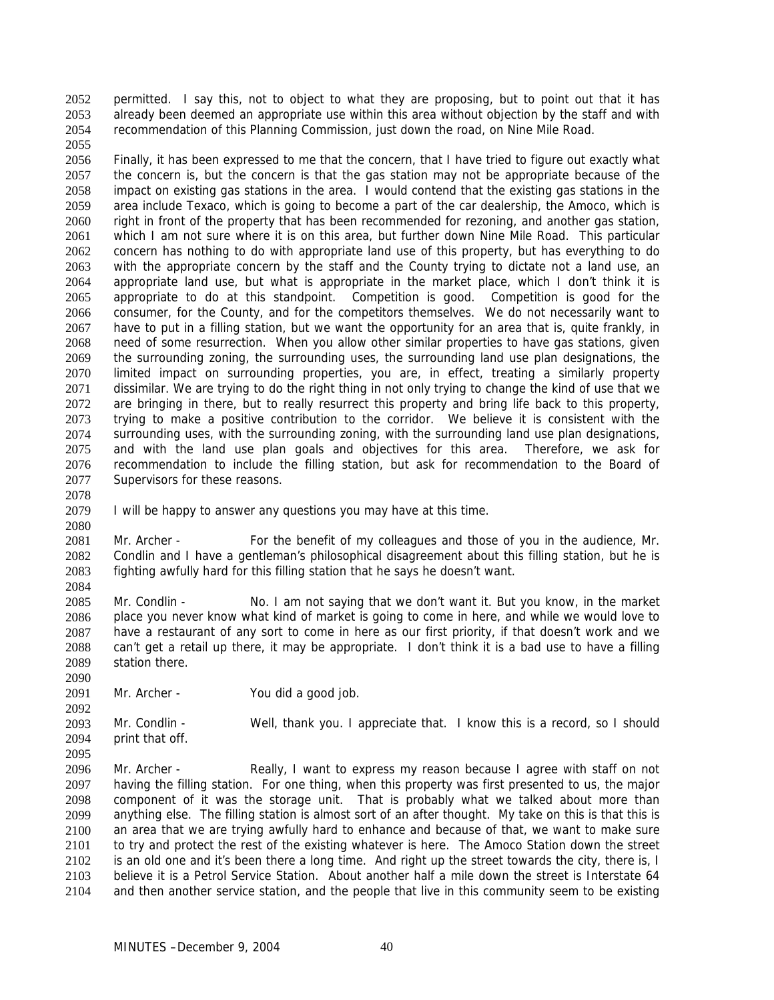permitted. I say this, not to object to what they are proposing, but to point out that it has already been deemed an appropriate use within this area without objection by the staff and with recommendation of this Planning Commission, just down the road, on Nine Mile Road. 2052 2053 2054 2055

2056 2057 2058 2059 2060 2061 2062 2063 2064 2065 2066 2067 2068 2069 2070 2071 2072 2073 2074 2075 2076 2077 Finally, it has been expressed to me that the concern, that I have tried to figure out exactly what the concern is, but the concern is that the gas station may not be appropriate because of the impact on existing gas stations in the area. I would contend that the existing gas stations in the area include Texaco, which is going to become a part of the car dealership, the Amoco, which is right in front of the property that has been recommended for rezoning, and another gas station, which I am not sure where it is on this area, but further down Nine Mile Road. This particular concern has nothing to do with appropriate land use of this property, but has everything to do with the appropriate concern by the staff and the County trying to dictate not a land use, an appropriate land use, but what is appropriate in the market place, which I don't think it is appropriate to do at this standpoint. Competition is good. Competition is good for the consumer, for the County, and for the competitors themselves. We do not necessarily want to have to put in a filling station, but we want the opportunity for an area that is, quite frankly, in need of some resurrection. When you allow other similar properties to have gas stations, given the surrounding zoning, the surrounding uses, the surrounding land use plan designations, the limited impact on surrounding properties, you are, in effect, treating a similarly property dissimilar. We are trying to do the right thing in not only trying to change the kind of use that we are bringing in there, but to really resurrect this property and bring life back to this property, trying to make a positive contribution to the corridor. We believe it is consistent with the surrounding uses, with the surrounding zoning, with the surrounding land use plan designations, and with the land use plan goals and objectives for this area. Therefore, we ask for recommendation to include the filling station, but ask for recommendation to the Board of Supervisors for these reasons.

2078

2080

2084

2090

2095

2079 I will be happy to answer any questions you may have at this time.

2081 2082 2083 Mr. Archer - For the benefit of my colleagues and those of you in the audience, Mr. Condlin and I have a gentleman's philosophical disagreement about this filling station, but he is fighting awfully hard for this filling station that he says he doesn't want.

2085 2086 2087 2088 2089 Mr. Condlin - No. I am not saying that we don't want it. But you know, in the market place you never know what kind of market is going to come in here, and while we would love to have a restaurant of any sort to come in here as our first priority, if that doesn't work and we can't get a retail up there, it may be appropriate. I don't think it is a bad use to have a filling station there.

2091 Mr. Archer - You did a good job.

2092 2093 2094 Mr. Condlin - Well, thank you. I appreciate that. I know this is a record, so I should print that off.

2096 2097 2098 2099 2100 2101 2102 2103 2104 Mr. Archer - Really, I want to express my reason because I agree with staff on not having the filling station. For one thing, when this property was first presented to us, the major component of it was the storage unit. That is probably what we talked about more than anything else. The filling station is almost sort of an after thought. My take on this is that this is an area that we are trying awfully hard to enhance and because of that, we want to make sure to try and protect the rest of the existing whatever is here. The Amoco Station down the street is an old one and it's been there a long time. And right up the street towards the city, there is, I believe it is a Petrol Service Station. About another half a mile down the street is Interstate 64 and then another service station, and the people that live in this community seem to be existing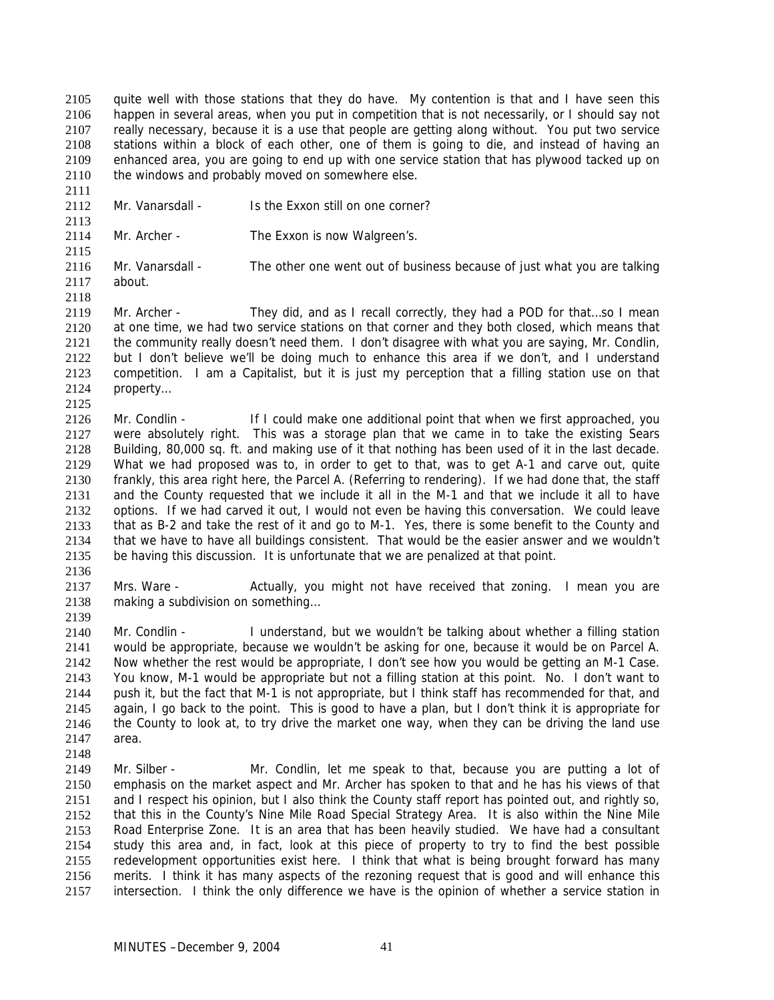quite well with those stations that they do have. My contention is that and I have seen this happen in several areas, when you put in competition that is not necessarily, or I should say not really necessary, because it is a use that people are getting along without. You put two service stations within a block of each other, one of them is going to die, and instead of having an enhanced area, you are going to end up with one service station that has plywood tacked up on the windows and probably moved on somewhere else. 2105 2106 2107 2108 2109 2110

2111 2112

2113

2115

2125

- Mr. Vanarsdall Is the Exxon still on one corner?
- 2114 Mr. Archer - The Exxon is now Walgreen's.
- 2116 2117 Mr. Vanarsdall - The other one went out of business because of just what you are talking about.
- 2118 2119 2120 2121 2122 2123 2124 Mr. Archer - They did, and as I recall correctly, they had a POD for that...so I mean at one time, we had two service stations on that corner and they both closed, which means that the community really doesn't need them. I don't disagree with what you are saying, Mr. Condlin, but I don't believe we'll be doing much to enhance this area if we don't, and I understand competition. I am a Capitalist, but it is just my perception that a filling station use on that property…
- 2126 2127 2128 2129 2130 2131 2132 2133 2134 2135 Mr. Condlin - If I could make one additional point that when we first approached, you were absolutely right. This was a storage plan that we came in to take the existing Sears Building, 80,000 sq. ft. and making use of it that nothing has been used of it in the last decade. What we had proposed was to, in order to get to that, was to get A-1 and carve out, quite frankly, this area right here, the Parcel A. (Referring to rendering). If we had done that, the staff and the County requested that we include it all in the M-1 and that we include it all to have options. If we had carved it out, I would not even be having this conversation. We could leave that as B-2 and take the rest of it and go to M-1. Yes, there is some benefit to the County and that we have to have all buildings consistent. That would be the easier answer and we wouldn't be having this discussion. It is unfortunate that we are penalized at that point.
- 2136

2137 2138 2139 Mrs. Ware - Actually, you might not have received that zoning. I mean you are making a subdivision on something…

2140 2141 2142 2143 2144 2145 2146 2147 Mr. Condlin - I understand, but we wouldn't be talking about whether a filling station would be appropriate, because we wouldn't be asking for one, because it would be on Parcel A. Now whether the rest would be appropriate, I don't see how you would be getting an M-1 Case. You know, M-1 would be appropriate but not a filling station at this point. No. I don't want to push it, but the fact that M-1 is not appropriate, but I think staff has recommended for that, and again, I go back to the point. This is good to have a plan, but I don't think it is appropriate for the County to look at, to try drive the market one way, when they can be driving the land use area.

- 2148
- 2149 2150 2151 2152 2153 2154 2155 2156 2157 Mr. Silber - Mr. Condlin, let me speak to that, because you are putting a lot of emphasis on the market aspect and Mr. Archer has spoken to that and he has his views of that and I respect his opinion, but I also think the County staff report has pointed out, and rightly so, that this in the County's Nine Mile Road Special Strategy Area. It is also within the Nine Mile Road Enterprise Zone. It is an area that has been heavily studied. We have had a consultant study this area and, in fact, look at this piece of property to try to find the best possible redevelopment opportunities exist here. I think that what is being brought forward has many merits. I think it has many aspects of the rezoning request that is good and will enhance this intersection. I think the only difference we have is the opinion of whether a service station in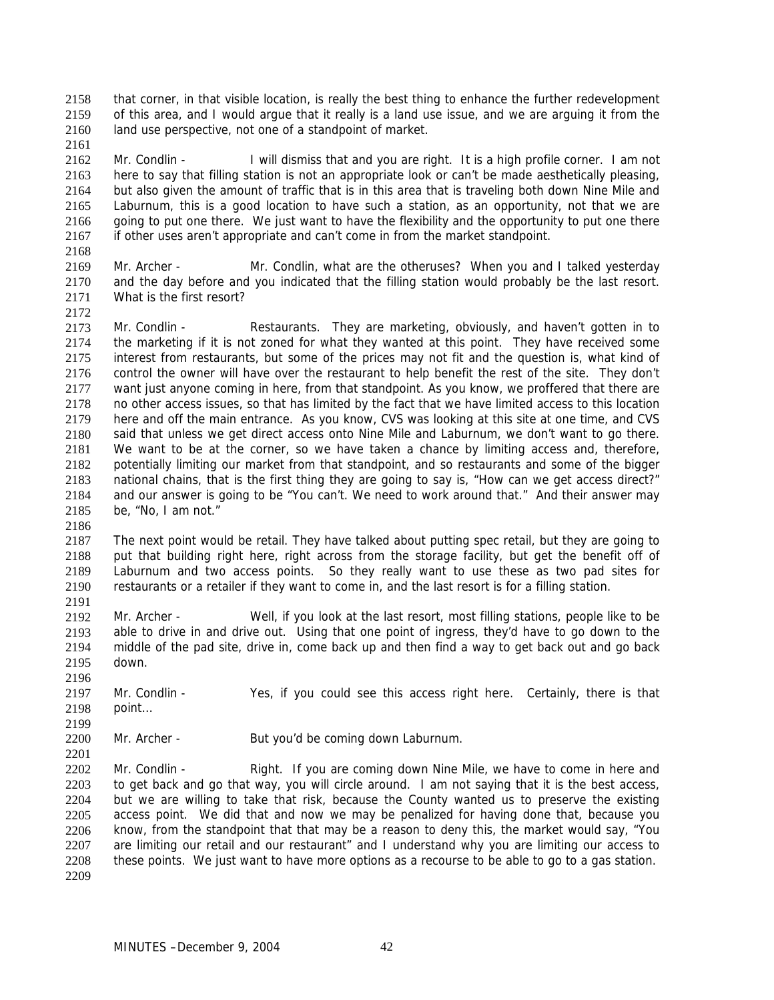that corner, in that visible location, is really the best thing to enhance the further redevelopment of this area, and I would argue that it really is a land use issue, and we are arguing it from the land use perspective, not one of a standpoint of market. 2158 2159 2160

2162 2163 2164 2165 2166 2167 Mr. Condlin - I will dismiss that and you are right. It is a high profile corner. I am not here to say that filling station is not an appropriate look or can't be made aesthetically pleasing, but also given the amount of traffic that is in this area that is traveling both down Nine Mile and Laburnum, this is a good location to have such a station, as an opportunity, not that we are going to put one there. We just want to have the flexibility and the opportunity to put one there if other uses aren't appropriate and can't come in from the market standpoint.

2168

2161

- 2169 2170 2171 Mr. Archer - Mr. Condlin, what are the otheruses? When you and I talked yesterday and the day before and you indicated that the filling station would probably be the last resort. What is the first resort?
- 2172

2173 2174 2175 2176 2177 2178 2179 2180 2181 2182 2183 2184 2185 Mr. Condlin - Restaurants. They are marketing, obviously, and haven't gotten in to the marketing if it is not zoned for what they wanted at this point. They have received some interest from restaurants, but some of the prices may not fit and the question is, what kind of control the owner will have over the restaurant to help benefit the rest of the site. They don't want just anyone coming in here, from that standpoint. As you know, we proffered that there are no other access issues, so that has limited by the fact that we have limited access to this location here and off the main entrance. As you know, CVS was looking at this site at one time, and CVS said that unless we get direct access onto Nine Mile and Laburnum, we don't want to go there. We want to be at the corner, so we have taken a chance by limiting access and, therefore, potentially limiting our market from that standpoint, and so restaurants and some of the bigger national chains, that is the first thing they are going to say is, "How can we get access direct?" and our answer is going to be "You can't. We need to work around that." And their answer may be, "No, I am not."

2186

2199

2201

2187 2188 2189 2190 2191 The next point would be retail. They have talked about putting spec retail, but they are going to put that building right here, right across from the storage facility, but get the benefit off of Laburnum and two access points. So they really want to use these as two pad sites for restaurants or a retailer if they want to come in, and the last resort is for a filling station.

2192 2193 2194 2195 Mr. Archer - Well, if you look at the last resort, most filling stations, people like to be able to drive in and drive out. Using that one point of ingress, they'd have to go down to the middle of the pad site, drive in, come back up and then find a way to get back out and go back down.

2196 2197 2198 Mr. Condlin - Yes, if you could see this access right here. Certainly, there is that point…

2200 Mr. Archer - But you'd be coming down Laburnum.

2202 2203 2204 2205 2206 2207 2208 2209 Mr. Condlin - Right. If you are coming down Nine Mile, we have to come in here and to get back and go that way, you will circle around. I am not saying that it is the best access, but we are willing to take that risk, because the County wanted us to preserve the existing access point. We did that and now we may be penalized for having done that, because you know, from the standpoint that that may be a reason to deny this, the market would say, "You are limiting our retail and our restaurant" and I understand why you are limiting our access to these points. We just want to have more options as a recourse to be able to go to a gas station.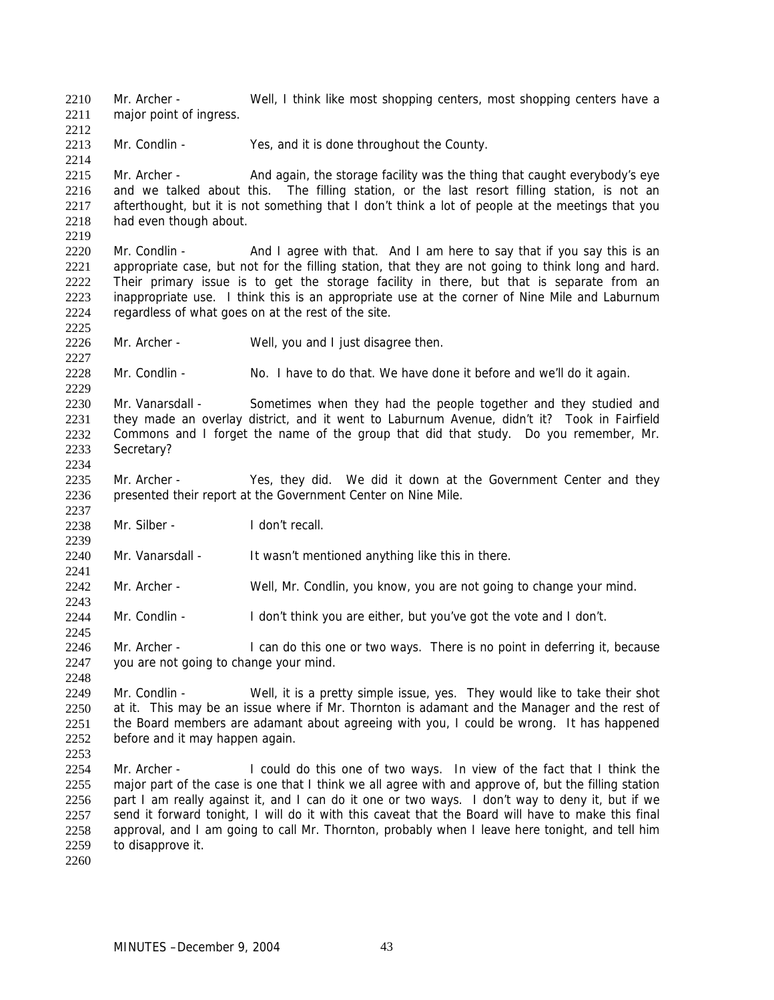Mr. Archer - Well, I think like most shopping centers, most shopping centers have a major point of ingress. 2210 2211

2213 Mr. Condlin - Yes, and it is done throughout the County.

2215 2216 2217 2218 2219 Mr. Archer - And again, the storage facility was the thing that caught everybody's eye and we talked about this. The filling station, or the last resort filling station, is not an afterthought, but it is not something that I don't think a lot of people at the meetings that you had even though about.

2220 2221 2222 2223 2224 Mr. Condlin - And I agree with that. And I am here to say that if you say this is an appropriate case, but not for the filling station, that they are not going to think long and hard. Their primary issue is to get the storage facility in there, but that is separate from an inappropriate use. I think this is an appropriate use at the corner of Nine Mile and Laburnum regardless of what goes on at the rest of the site.

2226 Mr. Archer - Well, you and I just disagree then.

2228 Mr. Condlin - No. I have to do that. We have done it before and we'll do it again.

2230 2231 2232 2233 2234 Mr. Vanarsdall - Sometimes when they had the people together and they studied and they made an overlay district, and it went to Laburnum Avenue, didn't it? Took in Fairfield Commons and I forget the name of the group that did that study. Do you remember, Mr. Secretary?

- 2235 2236 Mr. Archer - Yes, they did. We did it down at the Government Center and they presented their report at the Government Center on Nine Mile.
- 2238 Mr. Silber - I don't recall.

2240 Mr. Vanarsdall - It wasn't mentioned anything like this in there.

- 2242 Mr. Archer - Well, Mr. Condlin, you know, you are not going to change your mind.
- 2244 Mr. Condlin - I don't think you are either, but you've got the vote and I don't.

2246 2247 Mr. Archer - I can do this one or two ways. There is no point in deferring it, because you are not going to change your mind.

2249 2250 2251 2252 Mr. Condlin - Well, it is a pretty simple issue, yes. They would like to take their shot at it. This may be an issue where if Mr. Thornton is adamant and the Manager and the rest of the Board members are adamant about agreeing with you, I could be wrong. It has happened before and it may happen again.

2254 2255 2256 2257 2258 2259 Mr. Archer - I could do this one of two ways. In view of the fact that I think the major part of the case is one that I think we all agree with and approve of, but the filling station part I am really against it, and I can do it one or two ways. I don't way to deny it, but if we send it forward tonight, I will do it with this caveat that the Board will have to make this final approval, and I am going to call Mr. Thornton, probably when I leave here tonight, and tell him to disapprove it.

2260

2212

2214

2225

2227

2229

2237

2239

2241

2243

2245

2248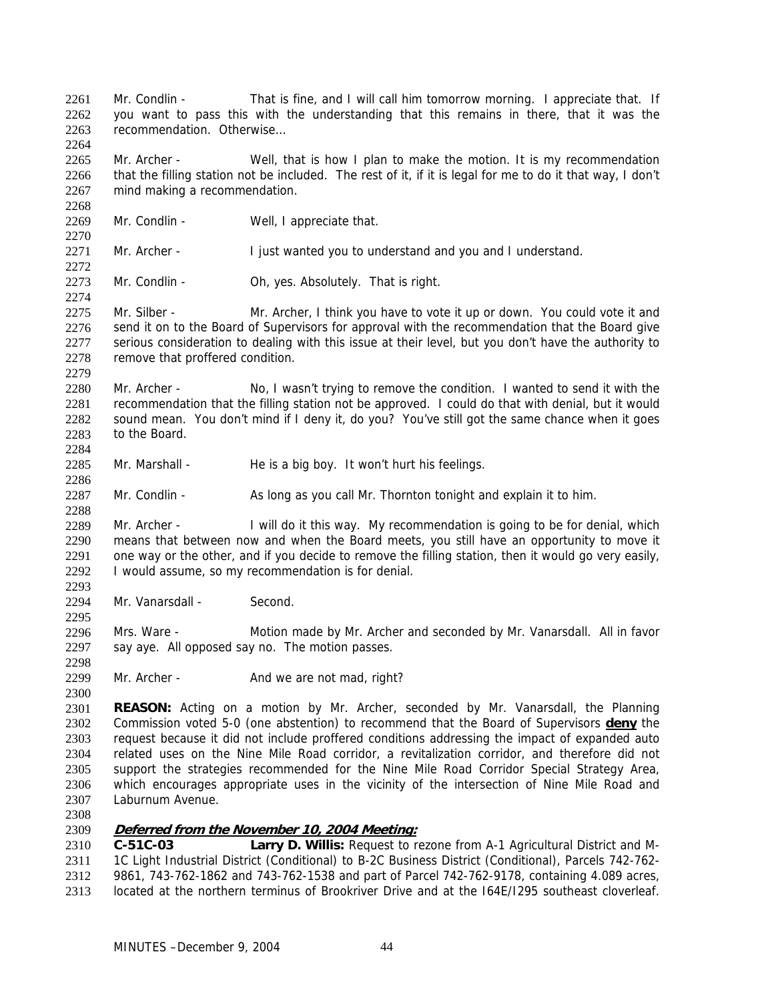Mr. Condlin - That is fine, and I will call him tomorrow morning. I appreciate that. If you want to pass this with the understanding that this remains in there, that it was the recommendation. Otherwise… 2261 2262 2263 2264

2265 2266 2267 Mr. Archer - Well, that is how I plan to make the motion. It is my recommendation that the filling station not be included. The rest of it, if it is legal for me to do it that way, I don't mind making a recommendation.

2268 2269 2270

2272

2274

2279

2284

2286

2288

2295

2298

2300

Mr. Condlin - Well, I appreciate that.

2271 Mr. Archer - I just wanted you to understand and you and I understand.

2273 Mr. Condlin - Oh, yes. Absolutely. That is right.

2275 2276 2277 2278 Mr. Silber - Mr. Archer, I think you have to vote it up or down. You could vote it and send it on to the Board of Supervisors for approval with the recommendation that the Board give serious consideration to dealing with this issue at their level, but you don't have the authority to remove that proffered condition.

2280 2281 2282 2283 Mr. Archer - No, I wasn't trying to remove the condition. I wanted to send it with the recommendation that the filling station not be approved. I could do that with denial, but it would sound mean. You don't mind if I deny it, do you? You've still got the same chance when it goes to the Board.

2285 Mr. Marshall - He is a big boy. It won't hurt his feelings.

2287 Mr. Condlin - As long as you call Mr. Thornton tonight and explain it to him.

2289 2290 2291 2292 2293 Mr. Archer - I will do it this way. My recommendation is going to be for denial, which means that between now and when the Board meets, you still have an opportunity to move it one way or the other, and if you decide to remove the filling station, then it would go very easily, I would assume, so my recommendation is for denial.

2294 Mr. Vanarsdall - Second.

2296 2297 Mrs. Ware - Motion made by Mr. Archer and seconded by Mr. Vanarsdall. All in favor say aye. All opposed say no. The motion passes.

2299 Mr. Archer - And we are not mad, right?

2301 **REASON:** Acting on a motion by Mr. Archer, seconded by Mr. Vanarsdall, the Planning Commission voted 5-0 (one abstention) to recommend that the Board of Supervisors **deny** the request because it did not include proffered conditions addressing the impact of expanded auto related uses on the Nine Mile Road corridor, a revitalization corridor, and therefore did not support the strategies recommended for the Nine Mile Road Corridor Special Strategy Area, which encourages appropriate uses in the vicinity of the intersection of Nine Mile Road and Laburnum Avenue. 2302 2303 2304 2305 2306 2307

2308

### 2309 **Deferred from the November 10, 2004 Meeting:**

2310 2311 2312 2313 **C-51C-03 Larry D. Willis:** Request to rezone from A-1 Agricultural District and M-1C Light Industrial District (Conditional) to B-2C Business District (Conditional), Parcels 742-762- 9861, 743-762-1862 and 743-762-1538 and part of Parcel 742-762-9178, containing 4.089 acres, located at the northern terminus of Brookriver Drive and at the I64E/I295 southeast cloverleaf.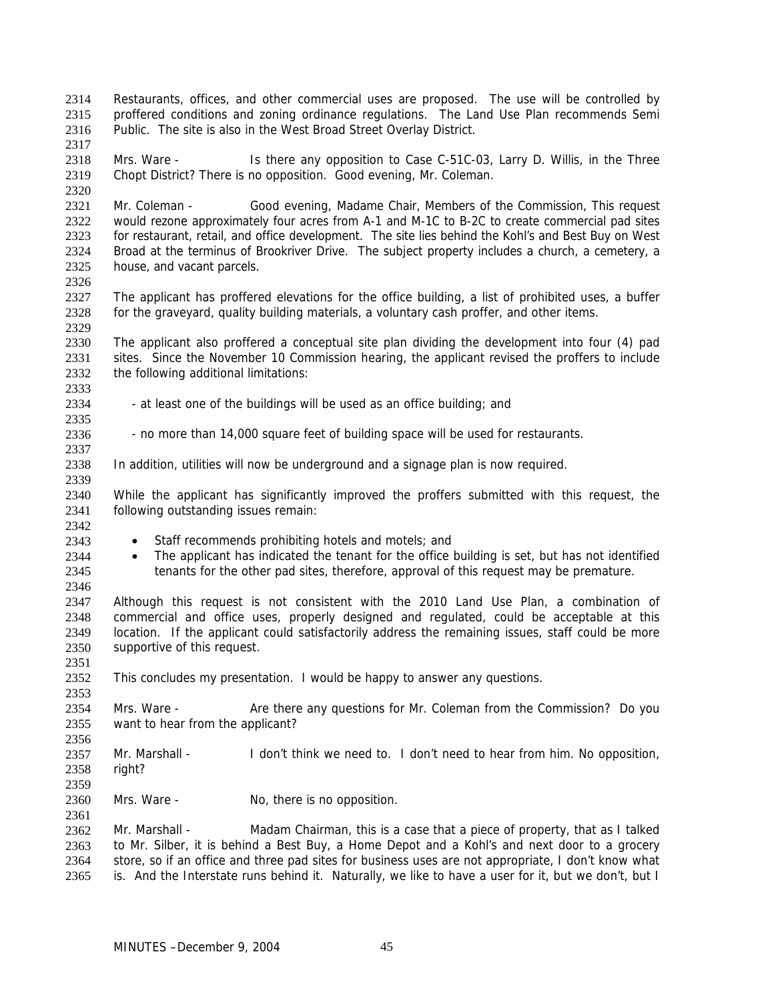Restaurants, offices, and other commercial uses are proposed. The use will be controlled by proffered conditions and zoning ordinance regulations. The Land Use Plan recommends Semi Public. The site is also in the West Broad Street Overlay District. 2314 2315 2316 2317

2318 2319 Mrs. Ware - Is there any opposition to Case C-51C-03, Larry D. Willis, in the Three Chopt District? There is no opposition. Good evening, Mr. Coleman.

2321 2322 2323 2324 2325 Mr. Coleman - Good evening, Madame Chair, Members of the Commission, This request would rezone approximately four acres from A-1 and M-1C to B-2C to create commercial pad sites for restaurant, retail, and office development. The site lies behind the Kohl's and Best Buy on West Broad at the terminus of Brookriver Drive. The subject property includes a church, a cemetery, a house, and vacant parcels.

2327 2328 The applicant has proffered elevations for the office building, a list of prohibited uses, a buffer for the graveyard, quality building materials, a voluntary cash proffer, and other items.

2330 2331 2332 The applicant also proffered a conceptual site plan dividing the development into four (4) pad sites. Since the November 10 Commission hearing, the applicant revised the proffers to include the following additional limitations:

- 2334 - at least one of the buildings will be used as an office building; and
- 2336 - no more than 14,000 square feet of building space will be used for restaurants.
- 2338 In addition, utilities will now be underground and a signage plan is now required.

2340 2341 While the applicant has significantly improved the proffers submitted with this request, the following outstanding issues remain:

2342 2343

2346

2351

2353

2356

2359

2361

2320

2326

2329

2333

2335

2337

2339

- Staff recommends prohibiting hotels and motels; and
- 2344 2345 The applicant has indicated the tenant for the office building is set, but has not identified tenants for the other pad sites, therefore, approval of this request may be premature.

2347 2348 2349 2350 Although this request is not consistent with the 2010 Land Use Plan, a combination of commercial and office uses, properly designed and regulated, could be acceptable at this location. If the applicant could satisfactorily address the remaining issues, staff could be more supportive of this request.

2352 This concludes my presentation. I would be happy to answer any questions.

2354 2355 Mrs. Ware - Are there any questions for Mr. Coleman from the Commission? Do you want to hear from the applicant?

2357 2358 Mr. Marshall - I don't think we need to. I don't need to hear from him. No opposition, right?

2360 Mrs. Ware - No, there is no opposition.

2362 2363 2364 2365 Mr. Marshall - Madam Chairman, this is a case that a piece of property, that as I talked to Mr. Silber, it is behind a Best Buy, a Home Depot and a Kohl's and next door to a grocery store, so if an office and three pad sites for business uses are not appropriate, I don't know what is. And the Interstate runs behind it. Naturally, we like to have a user for it, but we don't, but I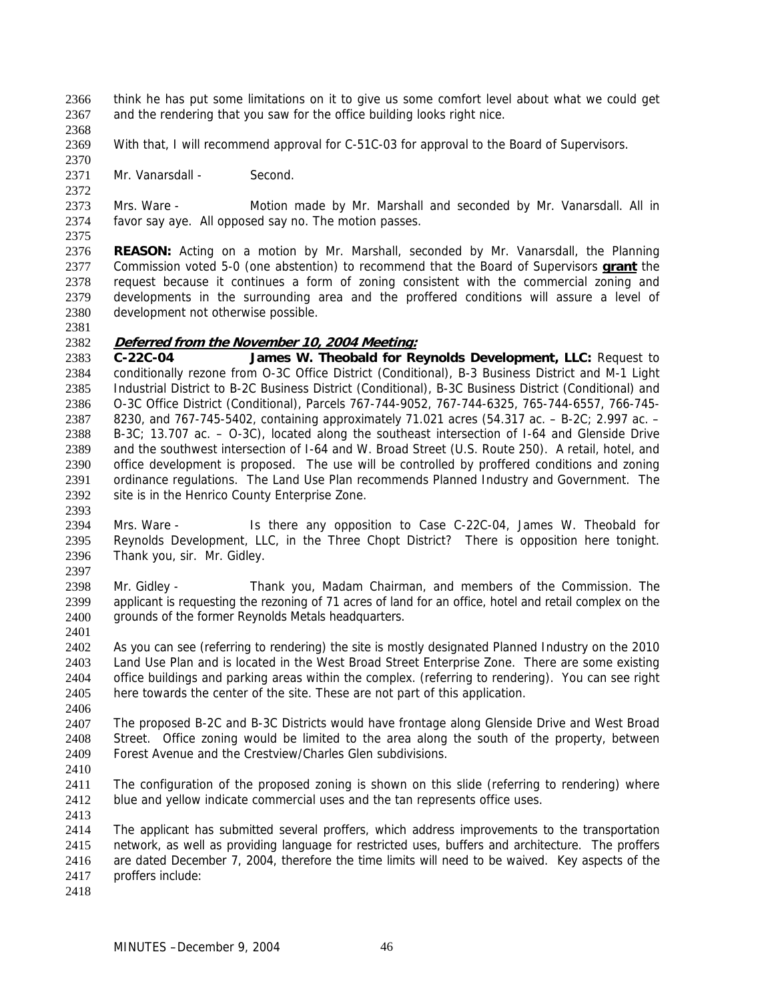think he has put some limitations on it to give us some comfort level about what we could get and the rendering that you saw for the office building looks right nice. 2366 2367

2368

2370

2372

2369 With that, I will recommend approval for C-51C-03 for approval to the Board of Supervisors.

2371 Mr. Vanarsdall - Second.

2373 2374 Mrs. Ware - Motion made by Mr. Marshall and seconded by Mr. Vanarsdall. All in favor say aye. All opposed say no. The motion passes.

2375

2376 **REASON:** Acting on a motion by Mr. Marshall, seconded by Mr. Vanarsdall, the Planning Commission voted 5-0 (one abstention) to recommend that the Board of Supervisors **grant** the request because it continues a form of zoning consistent with the commercial zoning and developments in the surrounding area and the proffered conditions will assure a level of development not otherwise possible. 2377 2378 2379 2380

2381

## 2382 **Deferred from the November 10, 2004 Meeting:**

2383 2384 2385 2386 2387 2388 2389 2390 2391 2392 **C-22C-04 James W. Theobald for Reynolds Development, LLC:** Request to conditionally rezone from O-3C Office District (Conditional), B-3 Business District and M-1 Light Industrial District to B-2C Business District (Conditional), B-3C Business District (Conditional) and O-3C Office District (Conditional), Parcels 767-744-9052, 767-744-6325, 765-744-6557, 766-745- 8230, and 767-745-5402, containing approximately 71.021 acres (54.317 ac. – B-2C; 2.997 ac. – B-3C; 13.707 ac. – O-3C), located along the southeast intersection of I-64 and Glenside Drive and the southwest intersection of I-64 and W. Broad Street (U.S. Route 250). A retail, hotel, and office development is proposed. The use will be controlled by proffered conditions and zoning ordinance regulations. The Land Use Plan recommends Planned Industry and Government. The site is in the Henrico County Enterprise Zone.

2393

2394 2395 2396 2397 Mrs. Ware - Is there any opposition to Case C-22C-04, James W. Theobald for Reynolds Development, LLC, in the Three Chopt District? There is opposition here tonight. Thank you, sir. Mr. Gidley.

2398 2399 2400 2401 Mr. Gidley - Thank you, Madam Chairman, and members of the Commission. The applicant is requesting the rezoning of 71 acres of land for an office, hotel and retail complex on the grounds of the former Reynolds Metals headquarters.

2402 2403 2404 2405 As you can see (referring to rendering) the site is mostly designated Planned Industry on the 2010 Land Use Plan and is located in the West Broad Street Enterprise Zone. There are some existing office buildings and parking areas within the complex. (referring to rendering). You can see right here towards the center of the site. These are not part of this application.

2406

2407 2408 2409 The proposed B-2C and B-3C Districts would have frontage along Glenside Drive and West Broad Street. Office zoning would be limited to the area along the south of the property, between Forest Avenue and the Crestview/Charles Glen subdivisions.

2410

2411 2412 2413 The configuration of the proposed zoning is shown on this slide (referring to rendering) where blue and yellow indicate commercial uses and the tan represents office uses.

2414 2415 2416 2417 The applicant has submitted several proffers, which address improvements to the transportation network, as well as providing language for restricted uses, buffers and architecture. The proffers are dated December 7, 2004, therefore the time limits will need to be waived. Key aspects of the proffers include: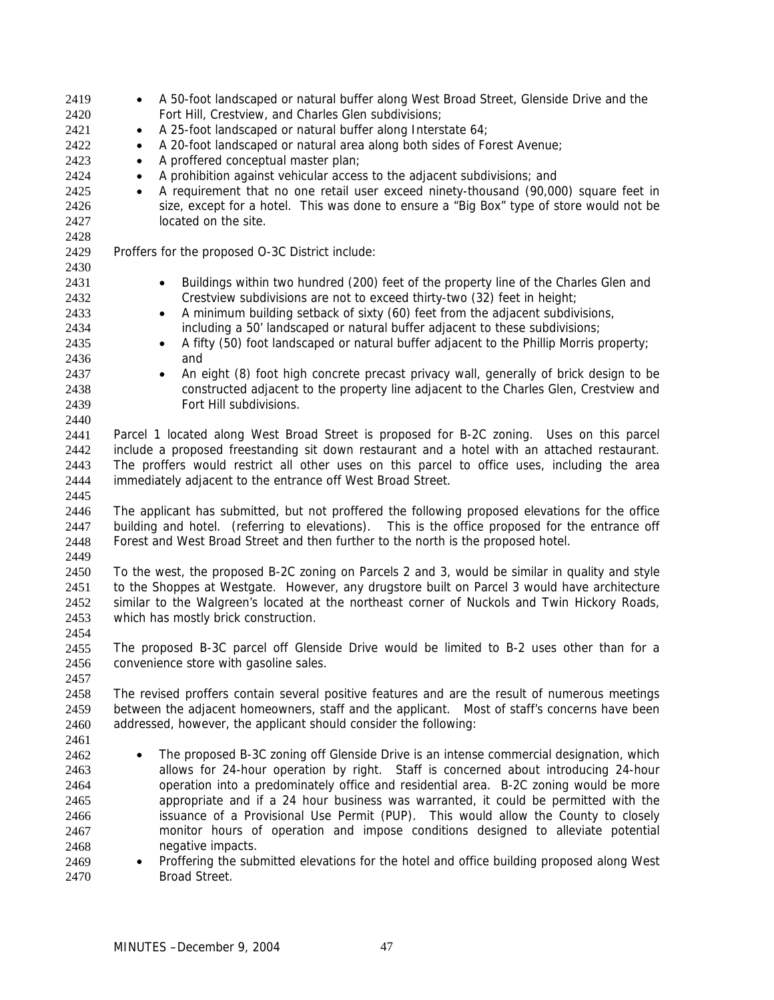| 2419 | A 50-foot landscaped or natural buffer along West Broad Street, Glenside Drive and the                 |  |
|------|--------------------------------------------------------------------------------------------------------|--|
| 2420 | Fort Hill, Crestview, and Charles Glen subdivisions;                                                   |  |
| 2421 | A 25-foot landscaped or natural buffer along Interstate 64;<br>$\bullet$                               |  |
| 2422 | A 20-foot landscaped or natural area along both sides of Forest Avenue;<br>$\bullet$                   |  |
| 2423 | A proffered conceptual master plan;<br>$\bullet$                                                       |  |
| 2424 | A prohibition against vehicular access to the adjacent subdivisions; and<br>$\bullet$                  |  |
| 2425 | A requirement that no one retail user exceed ninety-thousand (90,000) square feet in<br>$\bullet$      |  |
| 2426 | size, except for a hotel. This was done to ensure a "Big Box" type of store would not be               |  |
| 2427 | located on the site.                                                                                   |  |
| 2428 |                                                                                                        |  |
| 2429 | Proffers for the proposed O-3C District include:                                                       |  |
| 2430 |                                                                                                        |  |
| 2431 | Buildings within two hundred (200) feet of the property line of the Charles Glen and                   |  |
| 2432 | Crestview subdivisions are not to exceed thirty-two (32) feet in height;                               |  |
| 2433 | A minimum building setback of sixty (60) feet from the adjacent subdivisions,<br>$\bullet$             |  |
| 2434 | including a 50' landscaped or natural buffer adjacent to these subdivisions;                           |  |
| 2435 | A fifty (50) foot landscaped or natural buffer adjacent to the Phillip Morris property;                |  |
| 2436 | and                                                                                                    |  |
| 2437 | An eight (8) foot high concrete precast privacy wall, generally of brick design to be                  |  |
| 2438 | constructed adjacent to the property line adjacent to the Charles Glen, Crestview and                  |  |
| 2439 | Fort Hill subdivisions.                                                                                |  |
| 2440 |                                                                                                        |  |
| 2441 | Parcel 1 located along West Broad Street is proposed for B-2C zoning. Uses on this parcel              |  |
| 2442 | include a proposed freestanding sit down restaurant and a hotel with an attached restaurant.           |  |
| 2443 | The proffers would restrict all other uses on this parcel to office uses, including the area           |  |
|      |                                                                                                        |  |
| 2444 | immediately adjacent to the entrance off West Broad Street.                                            |  |
| 2445 |                                                                                                        |  |
| 2446 | The applicant has submitted, but not proffered the following proposed elevations for the office        |  |
| 2447 | building and hotel. (referring to elevations). This is the office proposed for the entrance off        |  |
| 2448 | Forest and West Broad Street and then further to the north is the proposed hotel.                      |  |
| 2449 |                                                                                                        |  |
| 2450 | To the west, the proposed B-2C zoning on Parcels 2 and 3, would be similar in quality and style        |  |
| 2451 | to the Shoppes at Westgate. However, any drugstore built on Parcel 3 would have architecture           |  |
| 2452 | similar to the Walgreen's located at the northeast corner of Nuckols and Twin Hickory Roads,           |  |
| 2453 | which has mostly brick construction.                                                                   |  |
| 2454 |                                                                                                        |  |
| 2455 | The proposed B-3C parcel off Glenside Drive would be limited to B-2 uses other than for a              |  |
| 2456 | convenience store with gasoline sales.                                                                 |  |
| 2457 |                                                                                                        |  |
| 2458 | The revised proffers contain several positive features and are the result of numerous meetings         |  |
| 2459 | between the adjacent homeowners, staff and the applicant. Most of staff's concerns have been           |  |
| 2460 | addressed, however, the applicant should consider the following:                                       |  |
| 2461 |                                                                                                        |  |
| 2462 | The proposed B-3C zoning off Glenside Drive is an intense commercial designation, which                |  |
| 2463 | allows for 24-hour operation by right. Staff is concerned about introducing 24-hour                    |  |
| 2464 | operation into a predominately office and residential area. B-2C zoning would be more                  |  |
| 2465 | appropriate and if a 24 hour business was warranted, it could be permitted with the                    |  |
| 2466 | issuance of a Provisional Use Permit (PUP). This would allow the County to closely                     |  |
| 2467 | monitor hours of operation and impose conditions designed to alleviate potential                       |  |
| 2468 | negative impacts.                                                                                      |  |
| 2469 | Proffering the submitted elevations for the hotel and office building proposed along West<br>$\bullet$ |  |
| 2470 | Broad Street.                                                                                          |  |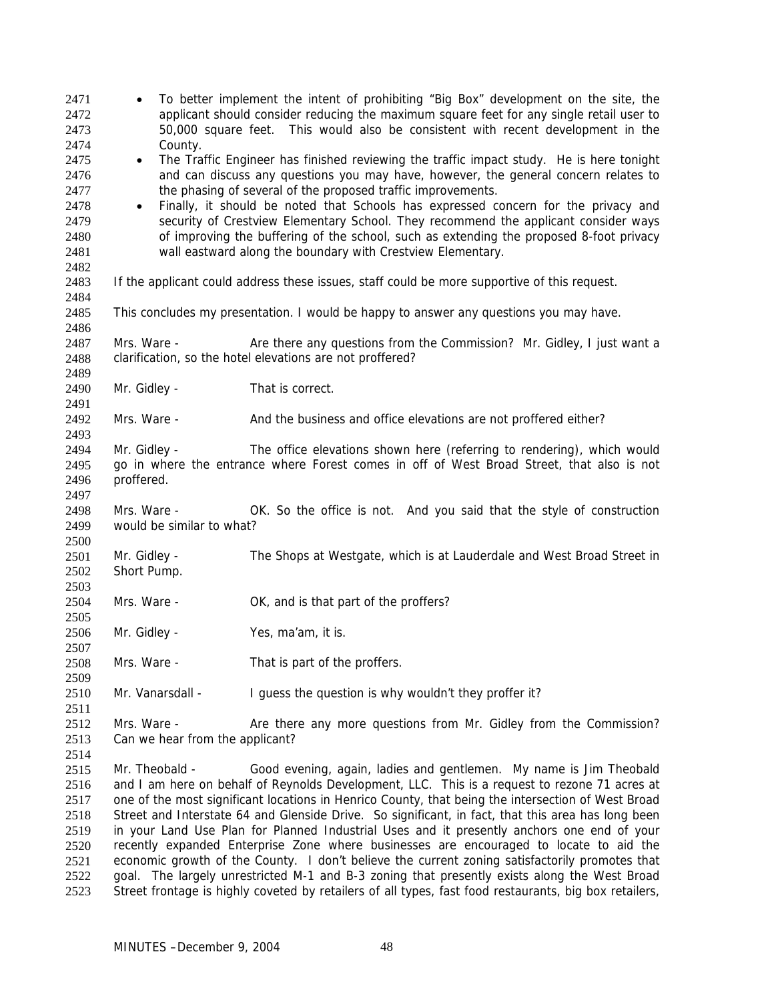| 2471<br>2472<br>2473 |                                                                                                                                                                                                     | To better implement the intent of prohibiting "Big Box" development on the site, the<br>applicant should consider reducing the maximum square feet for any single retail user to<br>50,000 square feet. This would also be consistent with recent development in the |  |
|----------------------|-----------------------------------------------------------------------------------------------------------------------------------------------------------------------------------------------------|----------------------------------------------------------------------------------------------------------------------------------------------------------------------------------------------------------------------------------------------------------------------|--|
| 2474                 | County.                                                                                                                                                                                             |                                                                                                                                                                                                                                                                      |  |
| 2475                 | The Traffic Engineer has finished reviewing the traffic impact study. He is here tonight<br>$\bullet$                                                                                               |                                                                                                                                                                                                                                                                      |  |
| 2476                 | and can discuss any questions you may have, however, the general concern relates to                                                                                                                 |                                                                                                                                                                                                                                                                      |  |
| 2477                 |                                                                                                                                                                                                     | the phasing of several of the proposed traffic improvements.                                                                                                                                                                                                         |  |
| 2478                 | $\bullet$                                                                                                                                                                                           | Finally, it should be noted that Schools has expressed concern for the privacy and                                                                                                                                                                                   |  |
| 2479                 |                                                                                                                                                                                                     | security of Crestview Elementary School. They recommend the applicant consider ways                                                                                                                                                                                  |  |
| 2480                 |                                                                                                                                                                                                     | of improving the buffering of the school, such as extending the proposed 8-foot privacy                                                                                                                                                                              |  |
| 2481                 |                                                                                                                                                                                                     | wall eastward along the boundary with Crestview Elementary.                                                                                                                                                                                                          |  |
| 2482                 |                                                                                                                                                                                                     |                                                                                                                                                                                                                                                                      |  |
| 2483                 |                                                                                                                                                                                                     | If the applicant could address these issues, staff could be more supportive of this request.                                                                                                                                                                         |  |
| 2484                 |                                                                                                                                                                                                     |                                                                                                                                                                                                                                                                      |  |
| 2485<br>2486         |                                                                                                                                                                                                     | This concludes my presentation. I would be happy to answer any questions you may have.                                                                                                                                                                               |  |
| 2487                 | Mrs. Ware -                                                                                                                                                                                         | Are there any questions from the Commission? Mr. Gidley, I just want a                                                                                                                                                                                               |  |
| 2488<br>2489         |                                                                                                                                                                                                     | clarification, so the hotel elevations are not proffered?                                                                                                                                                                                                            |  |
| 2490                 | Mr. Gidley -                                                                                                                                                                                        | That is correct.                                                                                                                                                                                                                                                     |  |
| 2491                 |                                                                                                                                                                                                     |                                                                                                                                                                                                                                                                      |  |
| 2492                 | Mrs. Ware -                                                                                                                                                                                         | And the business and office elevations are not proffered either?                                                                                                                                                                                                     |  |
| 2493                 |                                                                                                                                                                                                     |                                                                                                                                                                                                                                                                      |  |
| 2494                 | Mr. Gidley -                                                                                                                                                                                        | The office elevations shown here (referring to rendering), which would                                                                                                                                                                                               |  |
| 2495                 |                                                                                                                                                                                                     | go in where the entrance where Forest comes in off of West Broad Street, that also is not                                                                                                                                                                            |  |
| 2496                 | proffered.                                                                                                                                                                                          |                                                                                                                                                                                                                                                                      |  |
| 2497                 |                                                                                                                                                                                                     |                                                                                                                                                                                                                                                                      |  |
| 2498                 | Mrs. Ware -                                                                                                                                                                                         | OK. So the office is not. And you said that the style of construction                                                                                                                                                                                                |  |
| 2499                 | would be similar to what?                                                                                                                                                                           |                                                                                                                                                                                                                                                                      |  |
| 2500                 |                                                                                                                                                                                                     |                                                                                                                                                                                                                                                                      |  |
| 2501                 | Mr. Gidley -                                                                                                                                                                                        | The Shops at Westgate, which is at Lauderdale and West Broad Street in                                                                                                                                                                                               |  |
| 2502                 | Short Pump.                                                                                                                                                                                         |                                                                                                                                                                                                                                                                      |  |
| 2503                 |                                                                                                                                                                                                     |                                                                                                                                                                                                                                                                      |  |
| 2504                 | Mrs. Ware -                                                                                                                                                                                         | OK, and is that part of the proffers?                                                                                                                                                                                                                                |  |
| 2505                 |                                                                                                                                                                                                     |                                                                                                                                                                                                                                                                      |  |
| 2506                 | Mr. Gidley -                                                                                                                                                                                        | Yes, ma'am, it is.                                                                                                                                                                                                                                                   |  |
| 2507                 |                                                                                                                                                                                                     |                                                                                                                                                                                                                                                                      |  |
| 2508                 | Mrs. Ware -                                                                                                                                                                                         | That is part of the proffers.                                                                                                                                                                                                                                        |  |
| 2509                 |                                                                                                                                                                                                     |                                                                                                                                                                                                                                                                      |  |
| 2510                 | Mr. Vanarsdall -                                                                                                                                                                                    | I guess the question is why wouldn't they proffer it?                                                                                                                                                                                                                |  |
| 2511                 |                                                                                                                                                                                                     |                                                                                                                                                                                                                                                                      |  |
| 2512                 | Mrs. Ware -                                                                                                                                                                                         | Are there any more questions from Mr. Gidley from the Commission?                                                                                                                                                                                                    |  |
| 2513                 | Can we hear from the applicant?                                                                                                                                                                     |                                                                                                                                                                                                                                                                      |  |
| 2514                 |                                                                                                                                                                                                     |                                                                                                                                                                                                                                                                      |  |
| 2515                 | Mr. Theobald -                                                                                                                                                                                      | Good evening, again, ladies and gentlemen. My name is Jim Theobald                                                                                                                                                                                                   |  |
| 2516                 |                                                                                                                                                                                                     |                                                                                                                                                                                                                                                                      |  |
| 2517                 | and I am here on behalf of Reynolds Development, LLC. This is a request to rezone 71 acres at<br>one of the most significant locations in Henrico County, that being the intersection of West Broad |                                                                                                                                                                                                                                                                      |  |
| 2518                 |                                                                                                                                                                                                     | Street and Interstate 64 and Glenside Drive. So significant, in fact, that this area has long been                                                                                                                                                                   |  |
| 2519                 |                                                                                                                                                                                                     | in your Land Use Plan for Planned Industrial Uses and it presently anchors one end of your                                                                                                                                                                           |  |
| 2520                 |                                                                                                                                                                                                     | recently expanded Enterprise Zone where businesses are encouraged to locate to aid the                                                                                                                                                                               |  |
| 2521                 |                                                                                                                                                                                                     | economic growth of the County. I don't believe the current zoning satisfactorily promotes that                                                                                                                                                                       |  |
| 2522                 |                                                                                                                                                                                                     | goal. The largely unrestricted M-1 and B-3 zoning that presently exists along the West Broad                                                                                                                                                                         |  |
| 2523                 |                                                                                                                                                                                                     | Street frontage is highly coveted by retailers of all types, fast food restaurants, big box retailers,                                                                                                                                                               |  |
|                      |                                                                                                                                                                                                     |                                                                                                                                                                                                                                                                      |  |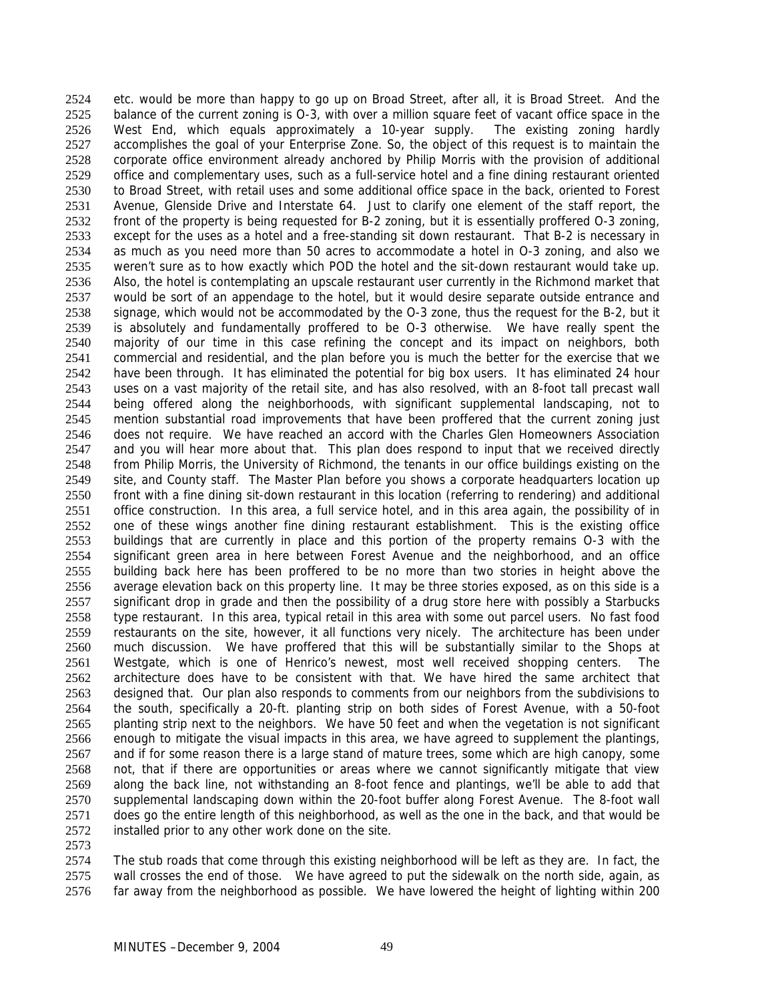etc. would be more than happy to go up on Broad Street, after all, it is Broad Street. And the balance of the current zoning is O-3, with over a million square feet of vacant office space in the West End, which equals approximately a 10-year supply. The existing zoning hardly accomplishes the goal of your Enterprise Zone. So, the object of this request is to maintain the corporate office environment already anchored by Philip Morris with the provision of additional office and complementary uses, such as a full-service hotel and a fine dining restaurant oriented to Broad Street, with retail uses and some additional office space in the back, oriented to Forest Avenue, Glenside Drive and Interstate 64. Just to clarify one element of the staff report, the front of the property is being requested for B-2 zoning, but it is essentially proffered O-3 zoning, except for the uses as a hotel and a free-standing sit down restaurant. That B-2 is necessary in as much as you need more than 50 acres to accommodate a hotel in O-3 zoning, and also we weren't sure as to how exactly which POD the hotel and the sit-down restaurant would take up. Also, the hotel is contemplating an upscale restaurant user currently in the Richmond market that would be sort of an appendage to the hotel, but it would desire separate outside entrance and signage, which would not be accommodated by the O-3 zone, thus the request for the B-2, but it is absolutely and fundamentally proffered to be O-3 otherwise. We have really spent the majority of our time in this case refining the concept and its impact on neighbors, both commercial and residential, and the plan before you is much the better for the exercise that we have been through. It has eliminated the potential for big box users. It has eliminated 24 hour uses on a vast majority of the retail site, and has also resolved, with an 8-foot tall precast wall being offered along the neighborhoods, with significant supplemental landscaping, not to mention substantial road improvements that have been proffered that the current zoning just does not require. We have reached an accord with the Charles Glen Homeowners Association and you will hear more about that. This plan does respond to input that we received directly from Philip Morris, the University of Richmond, the tenants in our office buildings existing on the site, and County staff. The Master Plan before you shows a corporate headquarters location up front with a fine dining sit-down restaurant in this location (referring to rendering) and additional office construction. In this area, a full service hotel, and in this area again, the possibility of in one of these wings another fine dining restaurant establishment. This is the existing office buildings that are currently in place and this portion of the property remains O-3 with the significant green area in here between Forest Avenue and the neighborhood, and an office building back here has been proffered to be no more than two stories in height above the average elevation back on this property line. It may be three stories exposed, as on this side is a significant drop in grade and then the possibility of a drug store here with possibly a Starbucks type restaurant. In this area, typical retail in this area with some out parcel users. No fast food restaurants on the site, however, it all functions very nicely. The architecture has been under much discussion. We have proffered that this will be substantially similar to the Shops at Westgate, which is one of Henrico's newest, most well received shopping centers. The architecture does have to be consistent with that. We have hired the same architect that designed that. Our plan also responds to comments from our neighbors from the subdivisions to the south, specifically a 20-ft. planting strip on both sides of Forest Avenue, with a 50-foot planting strip next to the neighbors. We have 50 feet and when the vegetation is not significant enough to mitigate the visual impacts in this area, we have agreed to supplement the plantings, and if for some reason there is a large stand of mature trees, some which are high canopy, some not, that if there are opportunities or areas where we cannot significantly mitigate that view along the back line, not withstanding an 8-foot fence and plantings, we'll be able to add that supplemental landscaping down within the 20-foot buffer along Forest Avenue. The 8-foot wall does go the entire length of this neighborhood, as well as the one in the back, and that would be installed prior to any other work done on the site. 2524 2525 2526 2527 2528 2529 2530 2531 2532 2533 2534 2535 2536 2537 2538 2539 2540 2541 2542 2543 2544 2545 2546 2547 2548 2549 2550 2551 2552 2553 2554 2555 2556 2557 2558 2559 2560 2561 2562 2563 2564 2565 2566 2567 2568 2569 2570 2571 2572

2573

2574 2575 2576 The stub roads that come through this existing neighborhood will be left as they are. In fact, the wall crosses the end of those. We have agreed to put the sidewalk on the north side, again, as far away from the neighborhood as possible. We have lowered the height of lighting within 200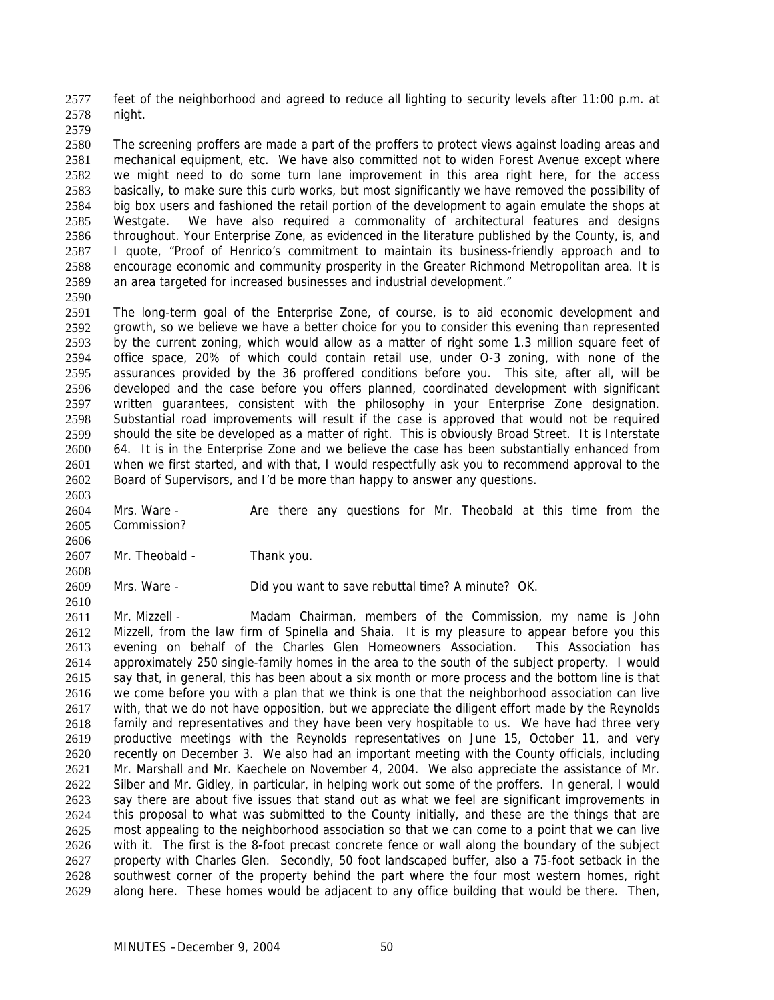feet of the neighborhood and agreed to reduce all lighting to security levels after 11:00 p.m. at night. 2577 2578

2579

2580 2581 2582 2583 2584 2585 2586 2587 2588 2589 The screening proffers are made a part of the proffers to protect views against loading areas and mechanical equipment, etc. We have also committed not to widen Forest Avenue except where we might need to do some turn lane improvement in this area right here, for the access basically, to make sure this curb works, but most significantly we have removed the possibility of big box users and fashioned the retail portion of the development to again emulate the shops at Westgate. We have also required a commonality of architectural features and designs throughout. Your Enterprise Zone, as evidenced in the literature published by the County, is, and I quote, "Proof of Henrico's commitment to maintain its business-friendly approach and to encourage economic and community prosperity in the Greater Richmond Metropolitan area. It is an area targeted for increased businesses and industrial development."

2590

2603

2606

2610

2591 2592 2593 2594 2595 2596 2597 2598 2599 2600 2601 2602 The long-term goal of the Enterprise Zone, of course, is to aid economic development and growth, so we believe we have a better choice for you to consider this evening than represented by the current zoning, which would allow as a matter of right some 1.3 million square feet of office space, 20% of which could contain retail use, under O-3 zoning, with none of the assurances provided by the 36 proffered conditions before you. This site, after all, will be developed and the case before you offers planned, coordinated development with significant written guarantees, consistent with the philosophy in your Enterprise Zone designation. Substantial road improvements will result if the case is approved that would not be required should the site be developed as a matter of right. This is obviously Broad Street. It is Interstate 64. It is in the Enterprise Zone and we believe the case has been substantially enhanced from when we first started, and with that, I would respectfully ask you to recommend approval to the Board of Supervisors, and I'd be more than happy to answer any questions.

2604 2605 Mrs. Ware - Are there any questions for Mr. Theobald at this time from the Commission?

2607 2608 Mr. Theobald - Thank you.

2609 Mrs. Ware - Did you want to save rebuttal time? A minute? OK.

2611 2612 2613 2614 2615 2616 2617 2618 2619 2620 2621 2622 2623 2624 2625 2626 2627 2628 2629 Mr. Mizzell - Madam Chairman, members of the Commission, my name is John Mizzell, from the law firm of Spinella and Shaia. It is my pleasure to appear before you this evening on behalf of the Charles Glen Homeowners Association. This Association has approximately 250 single-family homes in the area to the south of the subject property. I would say that, in general, this has been about a six month or more process and the bottom line is that we come before you with a plan that we think is one that the neighborhood association can live with, that we do not have opposition, but we appreciate the diligent effort made by the Reynolds family and representatives and they have been very hospitable to us. We have had three very productive meetings with the Reynolds representatives on June 15, October 11, and very recently on December 3. We also had an important meeting with the County officials, including Mr. Marshall and Mr. Kaechele on November 4, 2004. We also appreciate the assistance of Mr. Silber and Mr. Gidley, in particular, in helping work out some of the proffers. In general, I would say there are about five issues that stand out as what we feel are significant improvements in this proposal to what was submitted to the County initially, and these are the things that are most appealing to the neighborhood association so that we can come to a point that we can live with it. The first is the 8-foot precast concrete fence or wall along the boundary of the subject property with Charles Glen. Secondly, 50 foot landscaped buffer, also a 75-foot setback in the southwest corner of the property behind the part where the four most western homes, right along here. These homes would be adjacent to any office building that would be there. Then,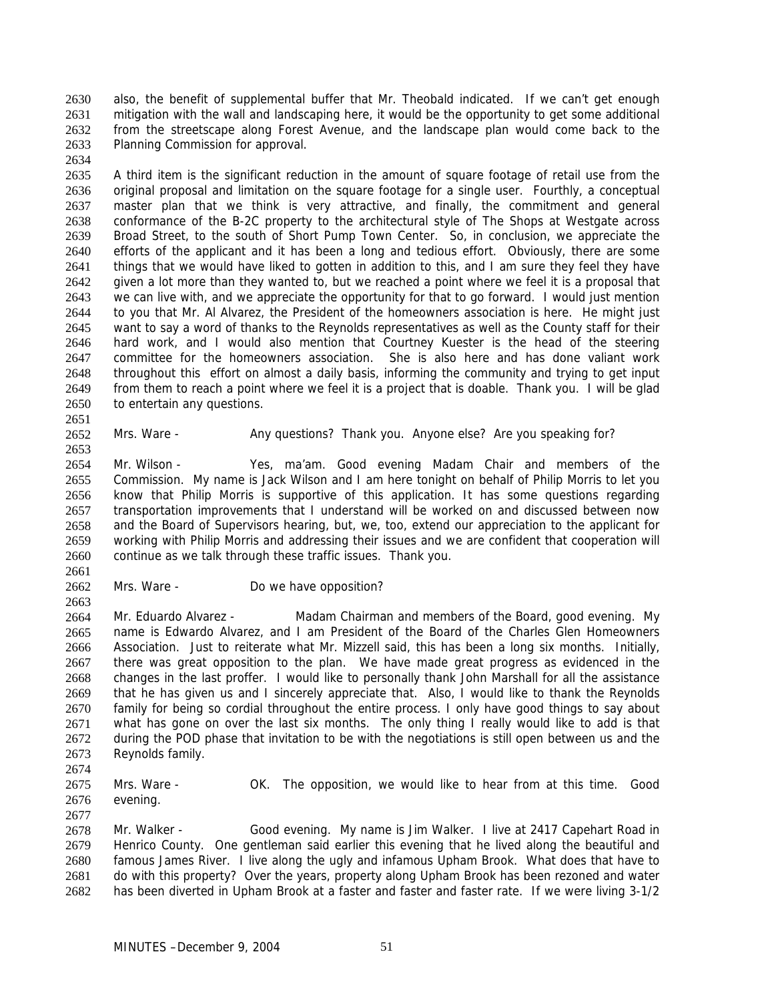also, the benefit of supplemental buffer that Mr. Theobald indicated. If we can't get enough mitigation with the wall and landscaping here, it would be the opportunity to get some additional from the streetscape along Forest Avenue, and the landscape plan would come back to the Planning Commission for approval. 2630 2631 2632 2633

2635 2636 2637 2638 2639 2640 2641 2642 2643 2644 2645 2646 2647 2648 2649 2650 A third item is the significant reduction in the amount of square footage of retail use from the original proposal and limitation on the square footage for a single user. Fourthly, a conceptual master plan that we think is very attractive, and finally, the commitment and general conformance of the B-2C property to the architectural style of The Shops at Westgate across Broad Street, to the south of Short Pump Town Center. So, in conclusion, we appreciate the efforts of the applicant and it has been a long and tedious effort. Obviously, there are some things that we would have liked to gotten in addition to this, and I am sure they feel they have given a lot more than they wanted to, but we reached a point where we feel it is a proposal that we can live with, and we appreciate the opportunity for that to go forward. I would just mention to you that Mr. Al Alvarez, the President of the homeowners association is here. He might just want to say a word of thanks to the Reynolds representatives as well as the County staff for their hard work, and I would also mention that Courtney Kuester is the head of the steering committee for the homeowners association. She is also here and has done valiant work throughout this effort on almost a daily basis, informing the community and trying to get input from them to reach a point where we feel it is a project that is doable. Thank you. I will be glad to entertain any questions.

2651 2652 2653

2634

Mrs. Ware - Any questions? Thank you. Anyone else? Are you speaking for?

2654 2655 2656 2657 2658 2659 2660 Mr. Wilson - Yes, ma'am. Good evening Madam Chair and members of the Commission. My name is Jack Wilson and I am here tonight on behalf of Philip Morris to let you know that Philip Morris is supportive of this application. It has some questions regarding transportation improvements that I understand will be worked on and discussed between now and the Board of Supervisors hearing, but, we, too, extend our appreciation to the applicant for working with Philip Morris and addressing their issues and we are confident that cooperation will continue as we talk through these traffic issues. Thank you.

2661 2662

2663

2674

Mrs. Ware - Do we have opposition?

2664 2665 2666 2667 2668 2669 2670 2671 2672 2673 Mr. Eduardo Alvarez - Madam Chairman and members of the Board, good evening. My name is Edwardo Alvarez, and I am President of the Board of the Charles Glen Homeowners Association. Just to reiterate what Mr. Mizzell said, this has been a long six months. Initially, there was great opposition to the plan. We have made great progress as evidenced in the changes in the last proffer. I would like to personally thank John Marshall for all the assistance that he has given us and I sincerely appreciate that. Also, I would like to thank the Reynolds family for being so cordial throughout the entire process. I only have good things to say about what has gone on over the last six months. The only thing I really would like to add is that during the POD phase that invitation to be with the negotiations is still open between us and the Reynolds family.

2675 2676 2677 Mrs. Ware - **OK.** The opposition, we would like to hear from at this time. Good evening.

2678 2679 2680 2681 2682 Mr. Walker - Good evening. My name is Jim Walker. I live at 2417 Capehart Road in Henrico County. One gentleman said earlier this evening that he lived along the beautiful and famous James River. I live along the ugly and infamous Upham Brook. What does that have to do with this property? Over the years, property along Upham Brook has been rezoned and water has been diverted in Upham Brook at a faster and faster and faster rate. If we were living 3-1/2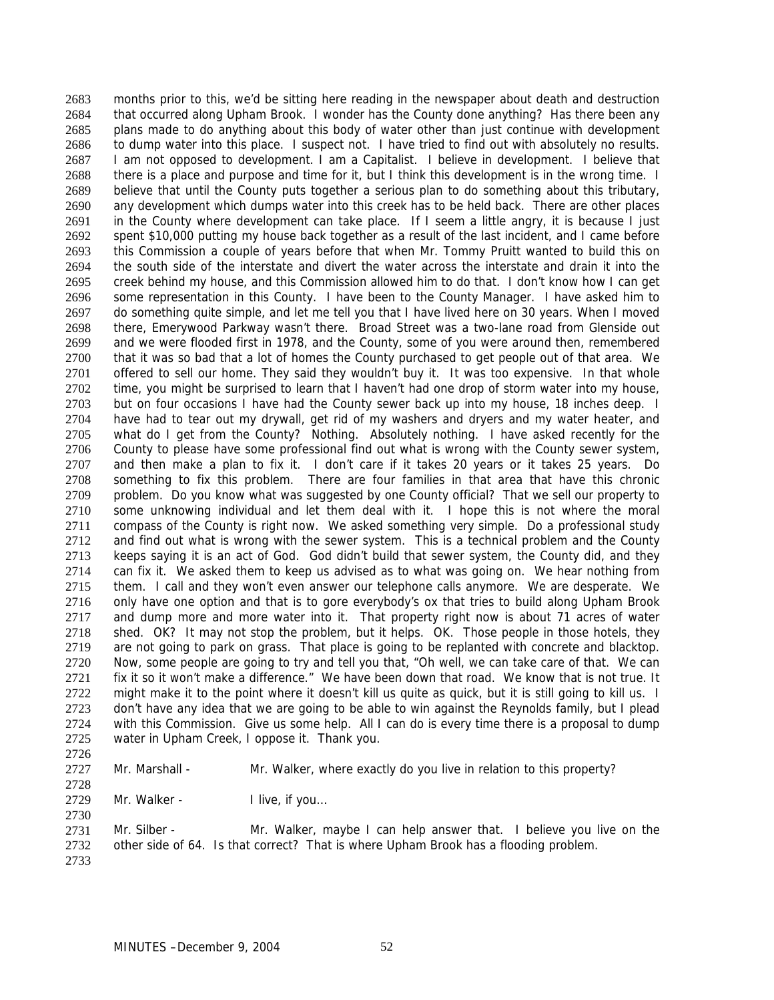months prior to this, we'd be sitting here reading in the newspaper about death and destruction that occurred along Upham Brook. I wonder has the County done anything? Has there been any plans made to do anything about this body of water other than just continue with development to dump water into this place. I suspect not. I have tried to find out with absolutely no results. I am not opposed to development. I am a Capitalist. I believe in development. I believe that there is a place and purpose and time for it, but I think this development is in the wrong time. I believe that until the County puts together a serious plan to do something about this tributary, any development which dumps water into this creek has to be held back. There are other places in the County where development can take place. If I seem a little angry, it is because I just spent \$10,000 putting my house back together as a result of the last incident, and I came before this Commission a couple of years before that when Mr. Tommy Pruitt wanted to build this on the south side of the interstate and divert the water across the interstate and drain it into the creek behind my house, and this Commission allowed him to do that. I don't know how I can get some representation in this County. I have been to the County Manager. I have asked him to do something quite simple, and let me tell you that I have lived here on 30 years. When I moved there, Emerywood Parkway wasn't there. Broad Street was a two-lane road from Glenside out and we were flooded first in 1978, and the County, some of you were around then, remembered that it was so bad that a lot of homes the County purchased to get people out of that area. We offered to sell our home. They said they wouldn't buy it. It was too expensive. In that whole time, you might be surprised to learn that I haven't had one drop of storm water into my house, but on four occasions I have had the County sewer back up into my house, 18 inches deep. I have had to tear out my drywall, get rid of my washers and dryers and my water heater, and what do I get from the County? Nothing. Absolutely nothing. I have asked recently for the County to please have some professional find out what is wrong with the County sewer system, and then make a plan to fix it. I don't care if it takes 20 years or it takes 25 years. Do something to fix this problem. There are four families in that area that have this chronic problem. Do you know what was suggested by one County official? That we sell our property to some unknowing individual and let them deal with it. I hope this is not where the moral compass of the County is right now. We asked something very simple. Do a professional study and find out what is wrong with the sewer system. This is a technical problem and the County keeps saying it is an act of God. God didn't build that sewer system, the County did, and they can fix it. We asked them to keep us advised as to what was going on. We hear nothing from them. I call and they won't even answer our telephone calls anymore. We are desperate. We only have one option and that is to gore everybody's ox that tries to build along Upham Brook and dump more and more water into it. That property right now is about 71 acres of water shed. OK? It may not stop the problem, but it helps. OK. Those people in those hotels, they are not going to park on grass. That place is going to be replanted with concrete and blacktop. Now, some people are going to try and tell you that, "Oh well, we can take care of that. We can fix it so it won't make a difference." We have been down that road. We know that is not true. It might make it to the point where it doesn't kill us quite as quick, but it is still going to kill us. I don't have any idea that we are going to be able to win against the Reynolds family, but I plead with this Commission. Give us some help. All I can do is every time there is a proposal to dump water in Upham Creek, I oppose it. Thank you. 2683 2684 2685 2686 2687 2688 2689 2690 2691 2692 2693 2694 2695 2696 2697 2698 2699 2700 2701 2702 2703 2704 2705 2706 2707 2708 2709 2710 2711 2712 2713 2714 2715 2716 2717 2718 2719 2720 2721 2722 2723 2724 2725

2726

2728

2730

2727

Mr. Marshall - Mr. Walker, where exactly do you live in relation to this property?

2729 Mr. Walker - I live, if you...

2731 2732 2733 Mr. Silber - Mr. Walker, maybe I can help answer that. I believe you live on the other side of 64. Is that correct? That is where Upham Brook has a flooding problem.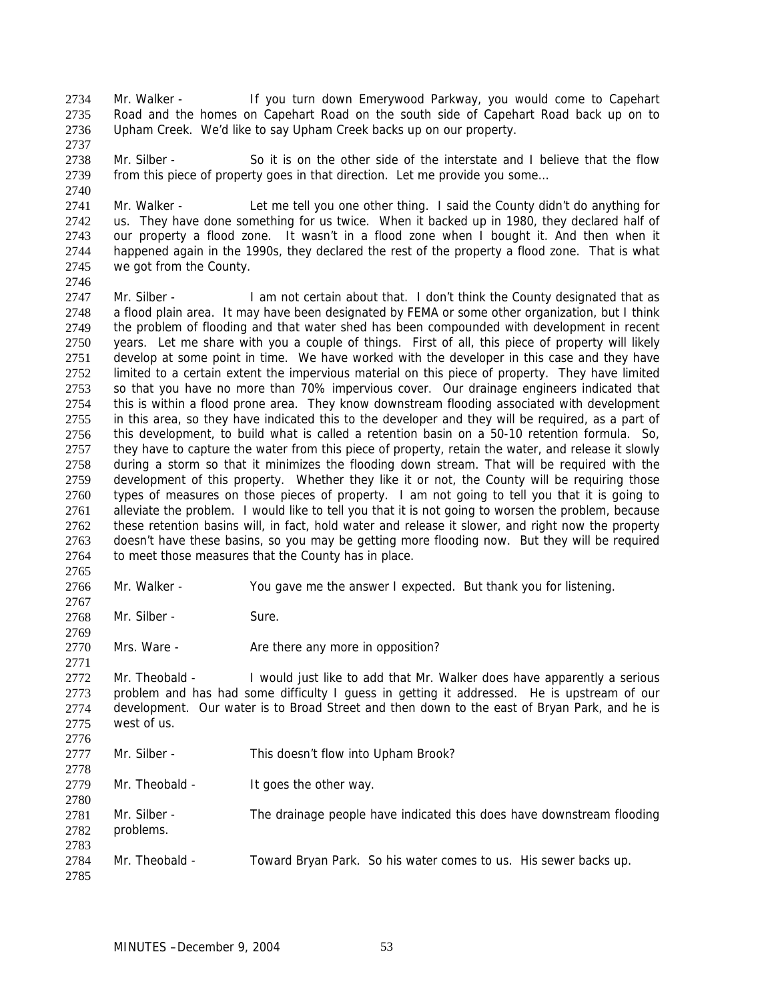Mr. Walker - If you turn down Emerywood Parkway, you would come to Capehart Road and the homes on Capehart Road on the south side of Capehart Road back up on to Upham Creek. We'd like to say Upham Creek backs up on our property. 2734 2735 2736

2738 2739 Mr. Silber - So it is on the other side of the interstate and I believe that the flow from this piece of property goes in that direction. Let me provide you some…

2741 2742 2743 2744 2745 2746 Mr. Walker - Let me tell you one other thing. I said the County didn't do anything for us. They have done something for us twice. When it backed up in 1980, they declared half of our property a flood zone. It wasn't in a flood zone when I bought it. And then when it happened again in the 1990s, they declared the rest of the property a flood zone. That is what we got from the County.

2747 2748 2749 2750 2751 2752 2753 2754 2755 2756 2757 2758 2759 2760 2761 2762 2763 2764 Mr. Silber - I am not certain about that. I don't think the County designated that as a flood plain area. It may have been designated by FEMA or some other organization, but I think the problem of flooding and that water shed has been compounded with development in recent years. Let me share with you a couple of things. First of all, this piece of property will likely develop at some point in time. We have worked with the developer in this case and they have limited to a certain extent the impervious material on this piece of property. They have limited so that you have no more than 70% impervious cover. Our drainage engineers indicated that this is within a flood prone area. They know downstream flooding associated with development in this area, so they have indicated this to the developer and they will be required, as a part of this development, to build what is called a retention basin on a 50-10 retention formula. So, they have to capture the water from this piece of property, retain the water, and release it slowly during a storm so that it minimizes the flooding down stream. That will be required with the development of this property. Whether they like it or not, the County will be requiring those types of measures on those pieces of property. I am not going to tell you that it is going to alleviate the problem. I would like to tell you that it is not going to worsen the problem, because these retention basins will, in fact, hold water and release it slower, and right now the property doesn't have these basins, so you may be getting more flooding now. But they will be required to meet those measures that the County has in place.

2766 Mr. Walker - You gave me the answer I expected. But thank you for listening.

2768 Mr. Silber - Sure.

2770 Mrs. Ware - The Are there any more in opposition?

2772 2773 2774 2775 2776 Mr. Theobald - I would just like to add that Mr. Walker does have apparently a serious problem and has had some difficulty I guess in getting it addressed. He is upstream of our development. Our water is to Broad Street and then down to the east of Bryan Park, and he is west of us.

2777 Mr. Silber - This doesn't flow into Upham Brook?

2778 2779 Mr. Theobald - It goes the other way.

2780 2781 2782 2783 2784 Mr. Silber - The drainage people have indicated this does have downstream flooding problems. Mr. Theobald - Toward Bryan Park. So his water comes to us. His sewer backs up.

2785

2765

2767

2769

2771

2737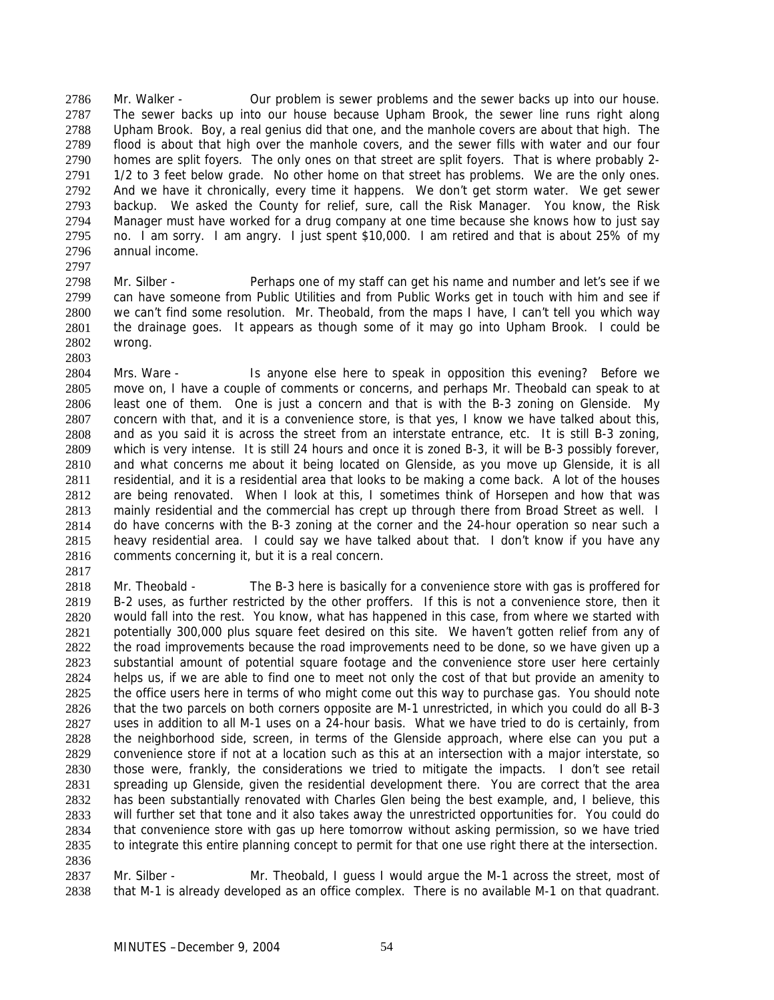Mr. Walker - Our problem is sewer problems and the sewer backs up into our house. The sewer backs up into our house because Upham Brook, the sewer line runs right along Upham Brook. Boy, a real genius did that one, and the manhole covers are about that high. The flood is about that high over the manhole covers, and the sewer fills with water and our four homes are split foyers. The only ones on that street are split foyers. That is where probably 2- 1/2 to 3 feet below grade. No other home on that street has problems. We are the only ones. And we have it chronically, every time it happens. We don't get storm water. We get sewer backup. We asked the County for relief, sure, call the Risk Manager. You know, the Risk Manager must have worked for a drug company at one time because she knows how to just say no. I am sorry. I am angry. I just spent \$10,000. I am retired and that is about 25% of my annual income. 2786 2787 2788 2789 2790 2791 2792 2793 2794 2795 2796

2798 2799 2800 2801 2802 2803 Mr. Silber - Perhaps one of my staff can get his name and number and let's see if we can have someone from Public Utilities and from Public Works get in touch with him and see if we can't find some resolution. Mr. Theobald, from the maps I have, I can't tell you which way the drainage goes. It appears as though some of it may go into Upham Brook. I could be wrong.

2804 2805 2806 2807 2808 2809 2810 2811 2812 2813 2814 2815 2816 Mrs. Ware - Is anyone else here to speak in opposition this evening? Before we move on, I have a couple of comments or concerns, and perhaps Mr. Theobald can speak to at least one of them. One is just a concern and that is with the B-3 zoning on Glenside. My concern with that, and it is a convenience store, is that yes, I know we have talked about this, and as you said it is across the street from an interstate entrance, etc. It is still B-3 zoning, which is very intense. It is still 24 hours and once it is zoned B-3, it will be B-3 possibly forever, and what concerns me about it being located on Glenside, as you move up Glenside, it is all residential, and it is a residential area that looks to be making a come back. A lot of the houses are being renovated. When I look at this, I sometimes think of Horsepen and how that was mainly residential and the commercial has crept up through there from Broad Street as well. I do have concerns with the B-3 zoning at the corner and the 24-hour operation so near such a heavy residential area. I could say we have talked about that. I don't know if you have any comments concerning it, but it is a real concern.

2817

2797

2818 2819 2820 2821 2822 2823 2824 2825 2826 2827 2828 2829 2830 2831 2832 2833 2834 2835 2836 Mr. Theobald - The B-3 here is basically for a convenience store with gas is proffered for B-2 uses, as further restricted by the other proffers. If this is not a convenience store, then it would fall into the rest. You know, what has happened in this case, from where we started with potentially 300,000 plus square feet desired on this site. We haven't gotten relief from any of the road improvements because the road improvements need to be done, so we have given up a substantial amount of potential square footage and the convenience store user here certainly helps us, if we are able to find one to meet not only the cost of that but provide an amenity to the office users here in terms of who might come out this way to purchase gas. You should note that the two parcels on both corners opposite are M-1 unrestricted, in which you could do all B-3 uses in addition to all M-1 uses on a 24-hour basis. What we have tried to do is certainly, from the neighborhood side, screen, in terms of the Glenside approach, where else can you put a convenience store if not at a location such as this at an intersection with a major interstate, so those were, frankly, the considerations we tried to mitigate the impacts. I don't see retail spreading up Glenside, given the residential development there. You are correct that the area has been substantially renovated with Charles Glen being the best example, and, I believe, this will further set that tone and it also takes away the unrestricted opportunities for. You could do that convenience store with gas up here tomorrow without asking permission, so we have tried to integrate this entire planning concept to permit for that one use right there at the intersection.

2837 2838 Mr. Silber - Mr. Theobald, I guess I would argue the M-1 across the street, most of that M-1 is already developed as an office complex. There is no available M-1 on that quadrant.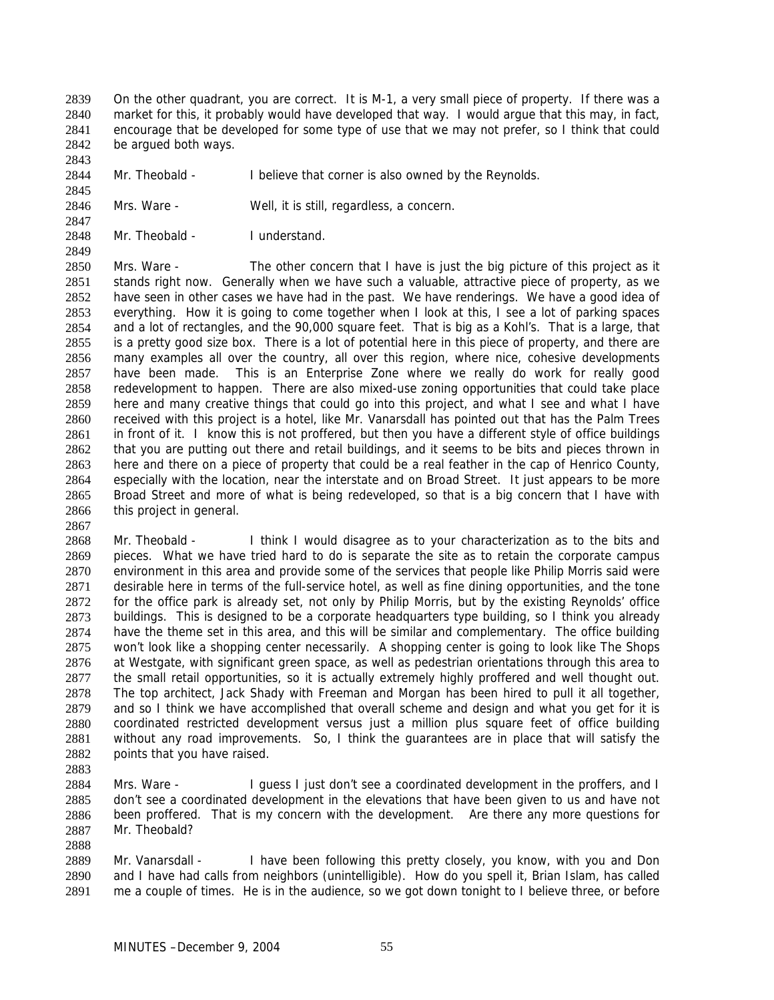On the other quadrant, you are correct. It is M-1, a very small piece of property. If there was a market for this, it probably would have developed that way. I would argue that this may, in fact, encourage that be developed for some type of use that we may not prefer, so I think that could be argued both ways. 2839 2840 2841 2842

2844 Mr. Theobald - I believe that corner is also owned by the Reynolds.

2846 Mrs. Ware - Well, it is still, regardless, a concern.

2848 Mr. Theobald - I understand.

2850 2851 2852 2853 2854 2855 2856 2857 2858 2859 2860 2861 2862 2863 2864 2865 2866 Mrs. Ware - The other concern that I have is just the big picture of this project as it stands right now. Generally when we have such a valuable, attractive piece of property, as we have seen in other cases we have had in the past. We have renderings. We have a good idea of everything. How it is going to come together when I look at this, I see a lot of parking spaces and a lot of rectangles, and the 90,000 square feet. That is big as a Kohl's. That is a large, that is a pretty good size box. There is a lot of potential here in this piece of property, and there are many examples all over the country, all over this region, where nice, cohesive developments have been made. This is an Enterprise Zone where we really do work for really good redevelopment to happen. There are also mixed-use zoning opportunities that could take place here and many creative things that could go into this project, and what I see and what I have received with this project is a hotel, like Mr. Vanarsdall has pointed out that has the Palm Trees in front of it. I know this is not proffered, but then you have a different style of office buildings that you are putting out there and retail buildings, and it seems to be bits and pieces thrown in here and there on a piece of property that could be a real feather in the cap of Henrico County, especially with the location, near the interstate and on Broad Street. It just appears to be more Broad Street and more of what is being redeveloped, so that is a big concern that I have with this project in general.

2867

2883

2888

2843

2845

2847

2849

2868 2869 2870 2871 2872 2873 2874 2875 2876 2877 2878 2879 2880 2881 2882 Mr. Theobald - I think I would disagree as to your characterization as to the bits and pieces. What we have tried hard to do is separate the site as to retain the corporate campus environment in this area and provide some of the services that people like Philip Morris said were desirable here in terms of the full-service hotel, as well as fine dining opportunities, and the tone for the office park is already set, not only by Philip Morris, but by the existing Reynolds' office buildings. This is designed to be a corporate headquarters type building, so I think you already have the theme set in this area, and this will be similar and complementary. The office building won't look like a shopping center necessarily. A shopping center is going to look like The Shops at Westgate, with significant green space, as well as pedestrian orientations through this area to the small retail opportunities, so it is actually extremely highly proffered and well thought out. The top architect, Jack Shady with Freeman and Morgan has been hired to pull it all together, and so I think we have accomplished that overall scheme and design and what you get for it is coordinated restricted development versus just a million plus square feet of office building without any road improvements. So, I think the guarantees are in place that will satisfy the points that you have raised.

2884 2885 2886 2887 Mrs. Ware - I guess I just don't see a coordinated development in the proffers, and I don't see a coordinated development in the elevations that have been given to us and have not been proffered. That is my concern with the development. Are there any more questions for Mr. Theobald?

2889 2890 2891 Mr. Vanarsdall - I have been following this pretty closely, you know, with you and Don and I have had calls from neighbors (unintelligible). How do you spell it, Brian Islam, has called me a couple of times. He is in the audience, so we got down tonight to I believe three, or before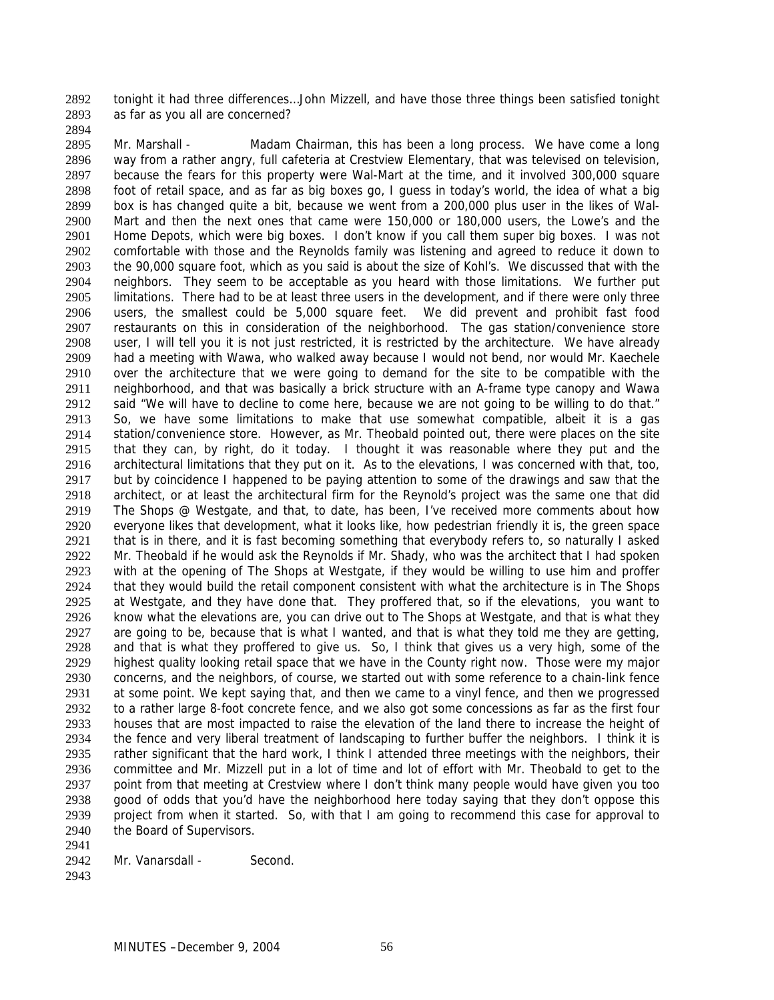tonight it had three differences…John Mizzell, and have those three things been satisfied tonight as far as you all are concerned? 2892 2893

2894

2895 2896 2897 2898 2899 2900 2901 2902 2903 2904 2905 2906 2907 2908 2909 2910 2911 2912 2913 2914 2915 2916 2917 2918 2919 2920 2921 2922 2923 2924 2925 2926 2927 2928 2929 2930 2931 2932 2933 2934 2935 2936 2937 2938 2939 2940 2941 Mr. Marshall - Madam Chairman, this has been a long process. We have come a long way from a rather angry, full cafeteria at Crestview Elementary, that was televised on television, because the fears for this property were Wal-Mart at the time, and it involved 300,000 square foot of retail space, and as far as big boxes go, I guess in today's world, the idea of what a big box is has changed quite a bit, because we went from a 200,000 plus user in the likes of Wal-Mart and then the next ones that came were 150,000 or 180,000 users, the Lowe's and the Home Depots, which were big boxes. I don't know if you call them super big boxes. I was not comfortable with those and the Reynolds family was listening and agreed to reduce it down to the 90,000 square foot, which as you said is about the size of Kohl's. We discussed that with the neighbors. They seem to be acceptable as you heard with those limitations. We further put limitations. There had to be at least three users in the development, and if there were only three users, the smallest could be 5,000 square feet. We did prevent and prohibit fast food restaurants on this in consideration of the neighborhood. The gas station/convenience store user, I will tell you it is not just restricted, it is restricted by the architecture. We have already had a meeting with Wawa, who walked away because I would not bend, nor would Mr. Kaechele over the architecture that we were going to demand for the site to be compatible with the neighborhood, and that was basically a brick structure with an A-frame type canopy and Wawa said "We will have to decline to come here, because we are not going to be willing to do that." So, we have some limitations to make that use somewhat compatible, albeit it is a gas station/convenience store. However, as Mr. Theobald pointed out, there were places on the site that they can, by right, do it today. I thought it was reasonable where they put and the architectural limitations that they put on it. As to the elevations, I was concerned with that, too, but by coincidence I happened to be paying attention to some of the drawings and saw that the architect, or at least the architectural firm for the Reynold's project was the same one that did The Shops @ Westgate, and that, to date, has been, I've received more comments about how everyone likes that development, what it looks like, how pedestrian friendly it is, the green space that is in there, and it is fast becoming something that everybody refers to, so naturally I asked Mr. Theobald if he would ask the Reynolds if Mr. Shady, who was the architect that I had spoken with at the opening of The Shops at Westgate, if they would be willing to use him and proffer that they would build the retail component consistent with what the architecture is in The Shops at Westgate, and they have done that. They proffered that, so if the elevations, you want to know what the elevations are, you can drive out to The Shops at Westgate, and that is what they are going to be, because that is what I wanted, and that is what they told me they are getting, and that is what they proffered to give us. So, I think that gives us a very high, some of the highest quality looking retail space that we have in the County right now. Those were my major concerns, and the neighbors, of course, we started out with some reference to a chain-link fence at some point. We kept saying that, and then we came to a vinyl fence, and then we progressed to a rather large 8-foot concrete fence, and we also got some concessions as far as the first four houses that are most impacted to raise the elevation of the land there to increase the height of the fence and very liberal treatment of landscaping to further buffer the neighbors. I think it is rather significant that the hard work, I think I attended three meetings with the neighbors, their committee and Mr. Mizzell put in a lot of time and lot of effort with Mr. Theobald to get to the point from that meeting at Crestview where I don't think many people would have given you too good of odds that you'd have the neighborhood here today saying that they don't oppose this project from when it started. So, with that I am going to recommend this case for approval to the Board of Supervisors.

- 2942 Mr. Vanarsdall - Second.
- 2943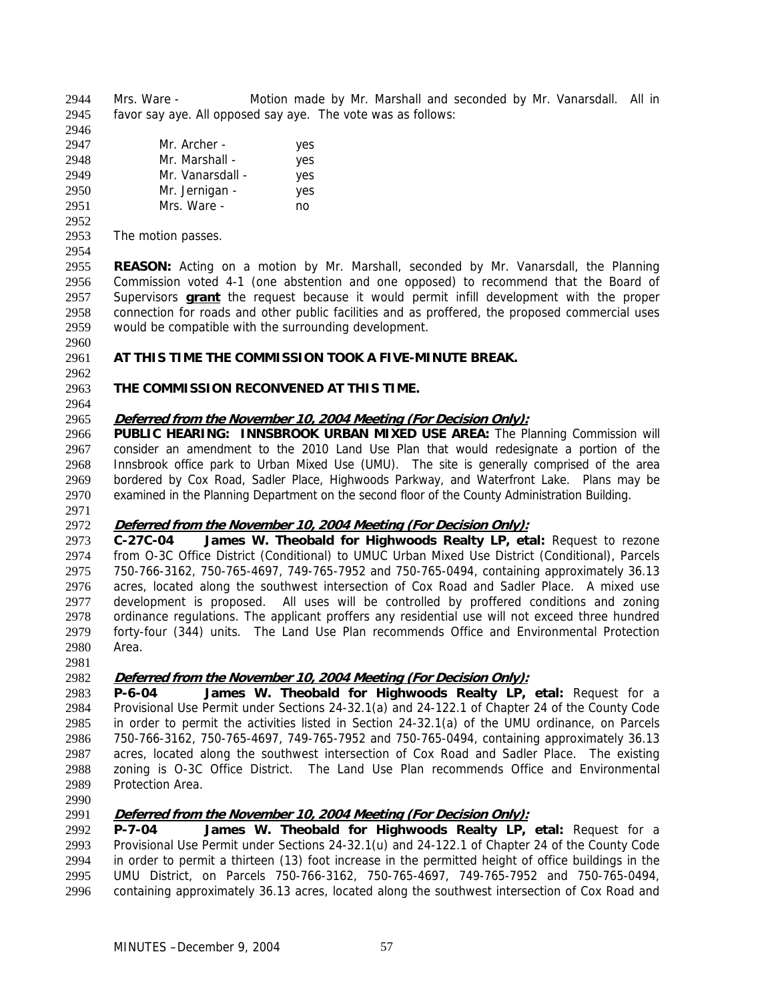Mrs. Ware - Motion made by Mr. Marshall and seconded by Mr. Vanarsdall. All in favor say aye. All opposed say aye. The vote was as follows: 2944 2945

| 2946 |                  |     |
|------|------------------|-----|
| 2947 | Mr. Archer -     | yes |
| 2948 | Mr. Marshall -   | yes |
| 2949 | Mr. Vanarsdall - | yes |
| 2950 | Mr. Jernigan -   | yes |
| 2951 | Mrs. Ware -      | no  |

2953 The motion passes.

2954

2952

2955 2956 **REASON:** Acting on a motion by Mr. Marshall, seconded by Mr. Vanarsdall, the Planning Commission voted 4-1 (one abstention and one opposed) to recommend that the Board of Supervisors **grant** the request because it would permit infill development with the proper connection for roads and other public facilities and as proffered, the proposed commercial uses would be compatible with the surrounding development. 2957 2958 2959

#### 2961 **AT THIS TIME THE COMMISSION TOOK A FIVE-MINUTE BREAK.**

#### 2963 **THE COMMISSION RECONVENED AT THIS TIME.**

2964

2962

2960

# 2965 **Deferred from the November 10, 2004 Meeting (For Decision Only):**

2966 2967 2968 2969 2970 **PUBLIC HEARING: INNSBROOK URBAN MIXED USE AREA:** The Planning Commission will consider an amendment to the 2010 Land Use Plan that would redesignate a portion of the Innsbrook office park to Urban Mixed Use (UMU). The site is generally comprised of the area bordered by Cox Road, Sadler Place, Highwoods Parkway, and Waterfront Lake. Plans may be examined in the Planning Department on the second floor of the County Administration Building.

2971

# 2972 **Deferred from the November 10, 2004 Meeting (For Decision Only):**

2973 2974 2975 2976 2977 2978 2979 2980 **C-27C-04 James W. Theobald for Highwoods Realty LP, etal:** Request to rezone from O-3C Office District (Conditional) to UMUC Urban Mixed Use District (Conditional), Parcels 750-766-3162, 750-765-4697, 749-765-7952 and 750-765-0494, containing approximately 36.13 acres, located along the southwest intersection of Cox Road and Sadler Place. A mixed use development is proposed. All uses will be controlled by proffered conditions and zoning ordinance regulations. The applicant proffers any residential use will not exceed three hundred forty-four (344) units. The Land Use Plan recommends Office and Environmental Protection Area.

2981

# 2982 **Deferred from the November 10, 2004 Meeting (For Decision Only):**

2983 2984 2985 2986 2987 2988 2989 **P-6-04 James W. Theobald for Highwoods Realty LP, etal:** Request for a Provisional Use Permit under Sections 24-32.1(a) and 24-122.1 of Chapter 24 of the County Code in order to permit the activities listed in Section 24-32.1(a) of the UMU ordinance, on Parcels 750-766-3162, 750-765-4697, 749-765-7952 and 750-765-0494, containing approximately 36.13 acres, located along the southwest intersection of Cox Road and Sadler Place. The existing zoning is O-3C Office District. The Land Use Plan recommends Office and Environmental Protection Area.

2990

# 2991 **Deferred from the November 10, 2004 Meeting (For Decision Only):**

2992 2993 2994 2995 2996 **P-7-04 James W. Theobald for Highwoods Realty LP, etal:** Request for a Provisional Use Permit under Sections 24-32.1(u) and 24-122.1 of Chapter 24 of the County Code in order to permit a thirteen (13) foot increase in the permitted height of office buildings in the UMU District, on Parcels 750-766-3162, 750-765-4697, 749-765-7952 and 750-765-0494, containing approximately 36.13 acres, located along the southwest intersection of Cox Road and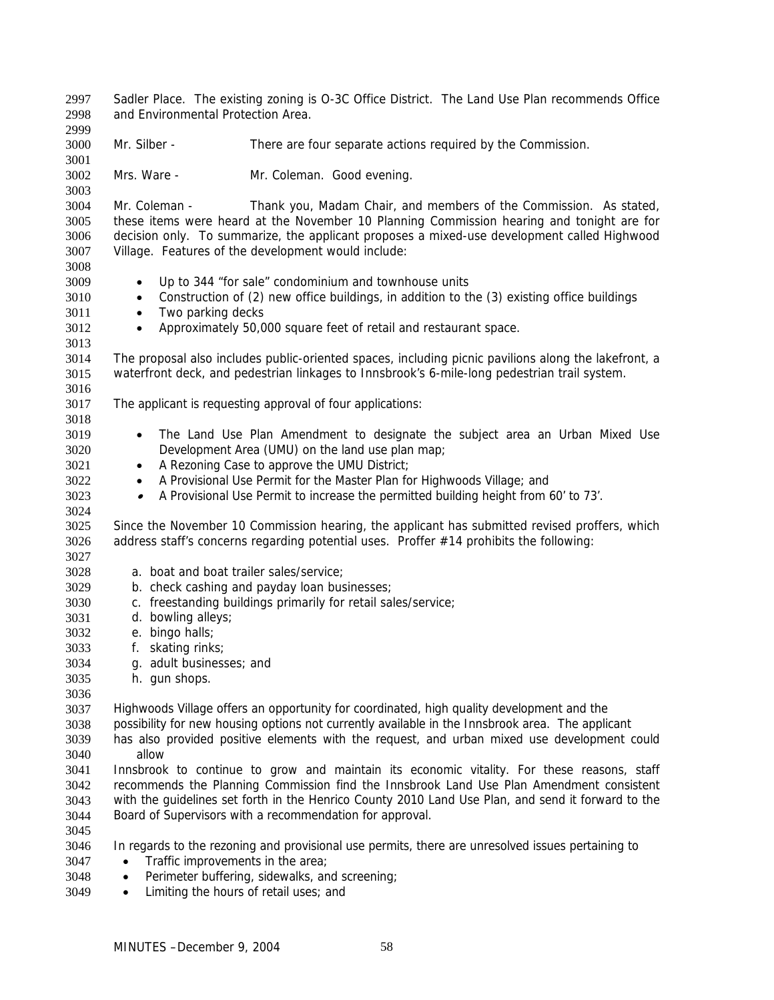Sadler Place. The existing zoning is O-3C Office District. The Land Use Plan recommends Office and Environmental Protection Area. 2997 2998 2999 3000 3001 3002 3003 3004 3005 3006 3007 3008 3009 3010 3011 3012 3013 3014 3015 3016 3017 3018 3019 3020 3021 3022 3023 3024 3025 3026 3027 3028 3029 3030 3031 3032 3033 3034 3035 3036 3037 3038 3039 3040 3041 3042 3043 3044 3045 3046 3047 3048 Mr. Silber - There are four separate actions required by the Commission. Mrs. Ware - Mr. Coleman. Good evening. Mr. Coleman - Thank you, Madam Chair, and members of the Commission. As stated, these items were heard at the November 10 Planning Commission hearing and tonight are for decision only. To summarize, the applicant proposes a mixed-use development called Highwood Village. Features of the development would include: • Up to 344 "for sale" condominium and townhouse units • Construction of (2) new office buildings, in addition to the (3) existing office buildings • Two parking decks • Approximately 50,000 square feet of retail and restaurant space. The proposal also includes public-oriented spaces, including picnic pavilions along the lakefront, a waterfront deck, and pedestrian linkages to Innsbrook's 6-mile-long pedestrian trail system. The applicant is requesting approval of four applications: • The Land Use Plan Amendment to designate the subject area an Urban Mixed Use Development Area (UMU) on the land use plan map; • A Rezoning Case to approve the UMU District; • A Provisional Use Permit for the Master Plan for Highwoods Village; and • A Provisional Use Permit to increase the permitted building height from 60' to 73'. Since the November 10 Commission hearing, the applicant has submitted revised proffers, which address staff's concerns regarding potential uses. Proffer #14 prohibits the following: a. boat and boat trailer sales/service; b. check cashing and payday loan businesses; c. freestanding buildings primarily for retail sales/service; d. bowling alleys; e. bingo halls; f. skating rinks; g. adult businesses; and h. gun shops. Highwoods Village offers an opportunity for coordinated, high quality development and the possibility for new housing options not currently available in the Innsbrook area. The applicant has also provided positive elements with the request, and urban mixed use development could allow Innsbrook to continue to grow and maintain its economic vitality. For these reasons, staff recommends the Planning Commission find the Innsbrook Land Use Plan Amendment consistent with the guidelines set forth in the Henrico County 2010 Land Use Plan, and send it forward to the Board of Supervisors with a recommendation for approval. In regards to the rezoning and provisional use permits, there are unresolved issues pertaining to • Traffic improvements in the area; Perimeter buffering, sidewalks, and screening;

3049 • Limiting the hours of retail uses; and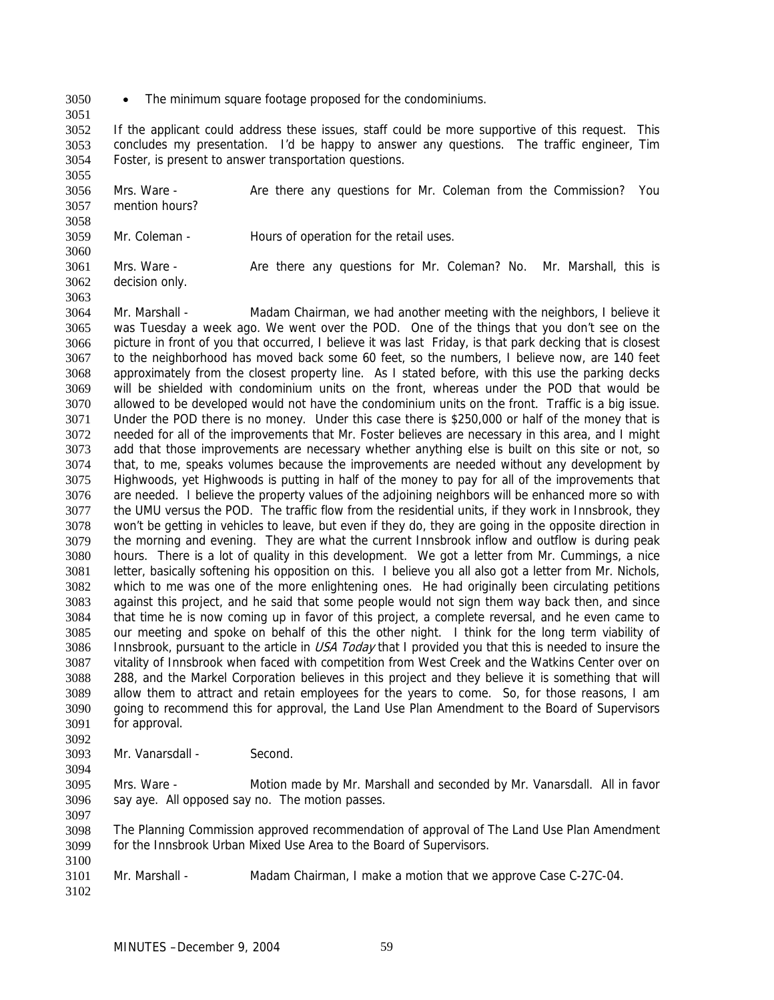- 3050 The minimum square footage proposed for the condominiums.
- 3051

3060

3063

3052 3053 3054 If the applicant could address these issues, staff could be more supportive of this request. This concludes my presentation. I'd be happy to answer any questions. The traffic engineer, Tim Foster, is present to answer transportation questions.

3055 3056 3057 3058 Mrs. Ware - Are there any questions for Mr. Coleman from the Commission? You mention hours?

3059 Mr. Coleman - Thours of operation for the retail uses.

3061 3062 Mrs. Ware - There there any questions for Mr. Coleman? No. Mr. Marshall, this is decision only.

3064 3065 3066 3067 3068 3069 3070 3071 3072 3073 3074 3075 3076 3077 3078 3079 3080 3081 3082 3083 3084 3085 3086 3087 3088 3089 3090 3091 3092 Mr. Marshall - Madam Chairman, we had another meeting with the neighbors, I believe it was Tuesday a week ago. We went over the POD. One of the things that you don't see on the picture in front of you that occurred, I believe it was last Friday, is that park decking that is closest to the neighborhood has moved back some 60 feet, so the numbers, I believe now, are 140 feet approximately from the closest property line. As I stated before, with this use the parking decks will be shielded with condominium units on the front, whereas under the POD that would be allowed to be developed would not have the condominium units on the front. Traffic is a big issue. Under the POD there is no money. Under this case there is \$250,000 or half of the money that is needed for all of the improvements that Mr. Foster believes are necessary in this area, and I might add that those improvements are necessary whether anything else is built on this site or not, so that, to me, speaks volumes because the improvements are needed without any development by Highwoods, yet Highwoods is putting in half of the money to pay for all of the improvements that are needed. I believe the property values of the adjoining neighbors will be enhanced more so with the UMU versus the POD. The traffic flow from the residential units, if they work in Innsbrook, they won't be getting in vehicles to leave, but even if they do, they are going in the opposite direction in the morning and evening. They are what the current Innsbrook inflow and outflow is during peak hours. There is a lot of quality in this development. We got a letter from Mr. Cummings, a nice letter, basically softening his opposition on this. I believe you all also got a letter from Mr. Nichols, which to me was one of the more enlightening ones. He had originally been circulating petitions against this project, and he said that some people would not sign them way back then, and since that time he is now coming up in favor of this project, a complete reversal, and he even came to our meeting and spoke on behalf of this the other night. I think for the long term viability of Innsbrook, pursuant to the article in USA Today that I provided you that this is needed to insure the vitality of Innsbrook when faced with competition from West Creek and the Watkins Center over on 288, and the Markel Corporation believes in this project and they believe it is something that will allow them to attract and retain employees for the years to come. So, for those reasons, I am going to recommend this for approval, the Land Use Plan Amendment to the Board of Supervisors for approval.

3093 Mr. Vanarsdall - Second.

3095 3096 3097 Mrs. Ware - Motion made by Mr. Marshall and seconded by Mr. Vanarsdall. All in favor say aye. All opposed say no. The motion passes.

3098 3099 The Planning Commission approved recommendation of approval of The Land Use Plan Amendment for the Innsbrook Urban Mixed Use Area to the Board of Supervisors.

3101 Mr. Marshall - Madam Chairman, I make a motion that we approve Case C-27C-04.

3102

3100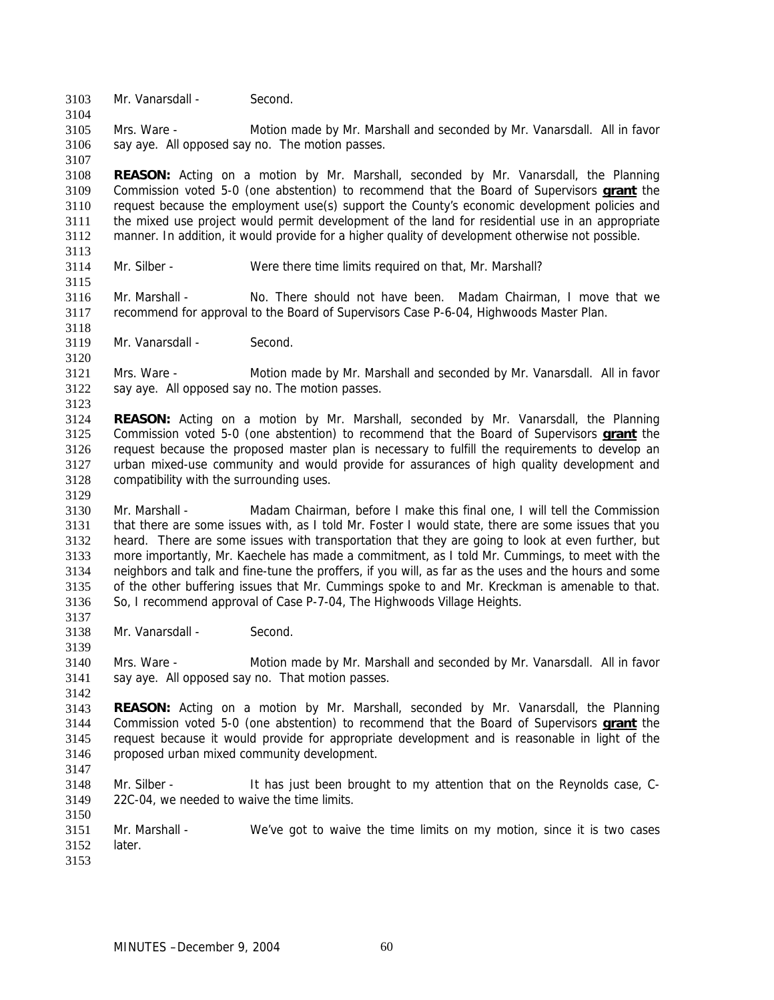3103 Mr. Vanarsdall - Second.

3105 3106 Mrs. Ware - Motion made by Mr. Marshall and seconded by Mr. Vanarsdall. All in favor say aye. All opposed say no. The motion passes.

3108 **REASON:** Acting on a motion by Mr. Marshall, seconded by Mr. Vanarsdall, the Planning Commission voted 5-0 (one abstention) to recommend that the Board of Supervisors **grant** the request because the employment use(s) support the County's economic development policies and the mixed use project would permit development of the land for residential use in an appropriate manner. In addition, it would provide for a higher quality of development otherwise not possible. 3109 3110 3111 3112

3113 3114 3115

3118

3120

3123

3129

3137

3139

3142

3147

3150

3104

3107

Mr. Silber - Were there time limits required on that, Mr. Marshall?

3116 3117 Mr. Marshall - No. There should not have been. Madam Chairman, I move that we recommend for approval to the Board of Supervisors Case P-6-04, Highwoods Master Plan.

3119 Mr. Vanarsdall - Second.

3121 3122 Mrs. Ware - Motion made by Mr. Marshall and seconded by Mr. Vanarsdall. All in favor say aye. All opposed say no. The motion passes.

3124 **REASON:** Acting on a motion by Mr. Marshall, seconded by Mr. Vanarsdall, the Planning Commission voted 5-0 (one abstention) to recommend that the Board of Supervisors **grant** the request because the proposed master plan is necessary to fulfill the requirements to develop an urban mixed-use community and would provide for assurances of high quality development and compatibility with the surrounding uses. 3125 3126 3127 3128

3130 3131 3132 3133 3134 3135 3136 Mr. Marshall - Madam Chairman, before I make this final one, I will tell the Commission that there are some issues with, as I told Mr. Foster I would state, there are some issues that you heard. There are some issues with transportation that they are going to look at even further, but more importantly, Mr. Kaechele has made a commitment, as I told Mr. Cummings, to meet with the neighbors and talk and fine-tune the proffers, if you will, as far as the uses and the hours and some of the other buffering issues that Mr. Cummings spoke to and Mr. Kreckman is amenable to that. So, I recommend approval of Case P-7-04, The Highwoods Village Heights.

3138 Mr. Vanarsdall - Second.

3140 3141 Mrs. Ware - Motion made by Mr. Marshall and seconded by Mr. Vanarsdall. All in favor say aye. All opposed say no. That motion passes.

3143 **REASON:** Acting on a motion by Mr. Marshall, seconded by Mr. Vanarsdall, the Planning Commission voted 5-0 (one abstention) to recommend that the Board of Supervisors **grant** the request because it would provide for appropriate development and is reasonable in light of the proposed urban mixed community development. 3144 3145 3146

3148 3149 Mr. Silber - It has just been brought to my attention that on the Reynolds case, C-22C-04, we needed to waive the time limits.

3151 3152 Mr. Marshall - We've got to waive the time limits on my motion, since it is two cases **later**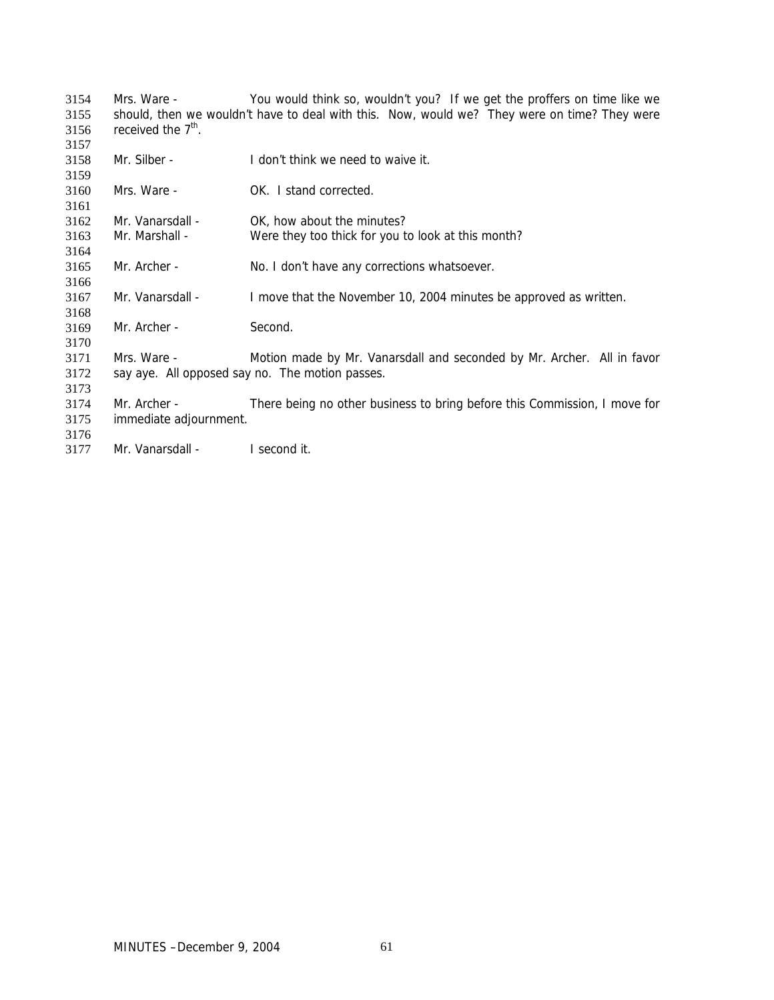| 3154 | Mrs. Ware -                                                                                  | You would think so, wouldn't you? If we get the proffers on time like we  |
|------|----------------------------------------------------------------------------------------------|---------------------------------------------------------------------------|
| 3155 | should, then we wouldn't have to deal with this. Now, would we? They were on time? They were |                                                                           |
| 3156 | received the $7th$ .                                                                         |                                                                           |
| 3157 |                                                                                              |                                                                           |
| 3158 | Mr. Silber -                                                                                 | I don't think we need to waive it.                                        |
| 3159 |                                                                                              |                                                                           |
| 3160 | Mrs. Ware -                                                                                  | OK. I stand corrected.                                                    |
| 3161 |                                                                                              |                                                                           |
| 3162 | Mr. Vanarsdall -                                                                             | OK, how about the minutes?                                                |
| 3163 | Mr. Marshall -                                                                               | Were they too thick for you to look at this month?                        |
| 3164 |                                                                                              |                                                                           |
| 3165 | Mr. Archer -                                                                                 | No. I don't have any corrections whatsoever.                              |
| 3166 |                                                                                              |                                                                           |
| 3167 | Mr. Vanarsdall -                                                                             | I move that the November 10, 2004 minutes be approved as written.         |
| 3168 |                                                                                              |                                                                           |
| 3169 | Mr. Archer -                                                                                 | Second.                                                                   |
| 3170 |                                                                                              |                                                                           |
| 3171 | Mrs. Ware -                                                                                  | Motion made by Mr. Vanarsdall and seconded by Mr. Archer. All in favor    |
| 3172 |                                                                                              | say aye. All opposed say no. The motion passes.                           |
| 3173 |                                                                                              |                                                                           |
| 3174 | Mr. Archer -                                                                                 | There being no other business to bring before this Commission, I move for |
| 3175 | immediate adjournment.                                                                       |                                                                           |
| 3176 |                                                                                              |                                                                           |
| 3177 | Mr. Vanarsdall -                                                                             | I second it.                                                              |